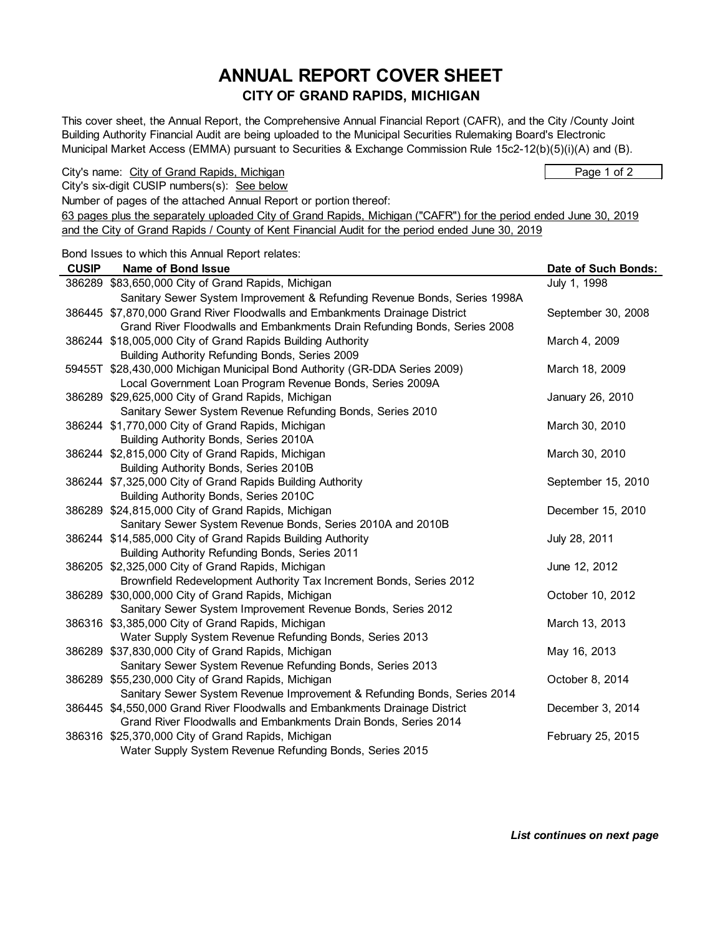# **ANNUAL REPORT COVER SHEET CITY OF GRAND RAPIDS, MICHIGAN**

This cover sheet, the Annual Report, the Comprehensive Annual Financial Report (CAFR), and the City /County Joint Building Authority Financial Audit are being uploaded to the Municipal Securities Rulemaking Board's Electronic Municipal Market Access (EMMA) pursuant to Securities & Exchange Commission Rule 15c2-12(b)(5)(i)(A) and (B).

City's name: City of Grand Rapids, Michigan Page 1 of 2

City's six-digit CUSIP numbers(s): See below

Number of pages of the attached Annual Report or portion thereof:

63 pages plus the separately uploaded City of Grand Rapids, Michigan ("CAFR") for the period ended June 30, 2019 and the City of Grand Rapids / County of Kent Financial Audit for the period ended June 30, 2019

Bond Issues to which this Annual Report relates:

| <b>CUSIP</b> | Name of Bond Issue                                                          | Date of Such Bonds: |
|--------------|-----------------------------------------------------------------------------|---------------------|
|              | 386289 \$83,650,000 City of Grand Rapids, Michigan                          | July 1, 1998        |
|              | Sanitary Sewer System Improvement & Refunding Revenue Bonds, Series 1998A   |                     |
|              | 386445 \$7,870,000 Grand River Floodwalls and Embankments Drainage District | September 30, 2008  |
|              | Grand River Floodwalls and Embankments Drain Refunding Bonds, Series 2008   |                     |
|              | 386244 \$18,005,000 City of Grand Rapids Building Authority                 | March 4, 2009       |
|              | Building Authority Refunding Bonds, Series 2009                             |                     |
|              | 59455T \$28,430,000 Michigan Municipal Bond Authority (GR-DDA Series 2009)  | March 18, 2009      |
|              | Local Government Loan Program Revenue Bonds, Series 2009A                   |                     |
|              | 386289 \$29,625,000 City of Grand Rapids, Michigan                          | January 26, 2010    |
|              | Sanitary Sewer System Revenue Refunding Bonds, Series 2010                  |                     |
|              | 386244 \$1,770,000 City of Grand Rapids, Michigan                           | March 30, 2010      |
|              | Building Authority Bonds, Series 2010A                                      |                     |
|              | 386244 \$2,815,000 City of Grand Rapids, Michigan                           | March 30, 2010      |
|              | Building Authority Bonds, Series 2010B                                      |                     |
|              | 386244 \$7,325,000 City of Grand Rapids Building Authority                  | September 15, 2010  |
|              | Building Authority Bonds, Series 2010C                                      |                     |
|              | 386289 \$24,815,000 City of Grand Rapids, Michigan                          | December 15, 2010   |
|              | Sanitary Sewer System Revenue Bonds, Series 2010A and 2010B                 |                     |
|              | 386244 \$14,585,000 City of Grand Rapids Building Authority                 | July 28, 2011       |
|              | Building Authority Refunding Bonds, Series 2011                             |                     |
|              | 386205 \$2,325,000 City of Grand Rapids, Michigan                           | June 12, 2012       |
|              | Brownfield Redevelopment Authority Tax Increment Bonds, Series 2012         |                     |
|              | 386289 \$30,000,000 City of Grand Rapids, Michigan                          | October 10, 2012    |
|              | Sanitary Sewer System Improvement Revenue Bonds, Series 2012                |                     |
|              | 386316 \$3,385,000 City of Grand Rapids, Michigan                           | March 13, 2013      |
|              | Water Supply System Revenue Refunding Bonds, Series 2013                    |                     |
|              | 386289 \$37,830,000 City of Grand Rapids, Michigan                          | May 16, 2013        |
|              | Sanitary Sewer System Revenue Refunding Bonds, Series 2013                  |                     |
|              | 386289 \$55,230,000 City of Grand Rapids, Michigan                          | October 8, 2014     |
|              | Sanitary Sewer System Revenue Improvement & Refunding Bonds, Series 2014    |                     |
|              | 386445 \$4,550,000 Grand River Floodwalls and Embankments Drainage District | December 3, 2014    |
|              | Grand River Floodwalls and Embankments Drain Bonds, Series 2014             |                     |
|              | 386316 \$25,370,000 City of Grand Rapids, Michigan                          | February 25, 2015   |
|              | Water Supply System Revenue Refunding Bonds, Series 2015                    |                     |

*List continues on next page*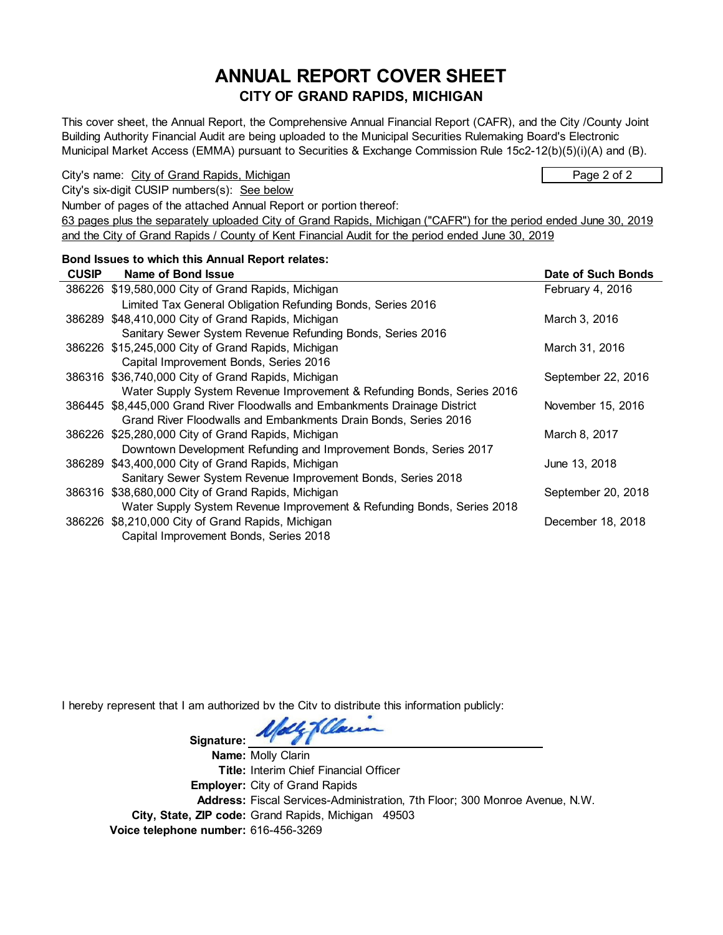# **ANNUAL REPORT COVER SHEET CITY OF GRAND RAPIDS, MICHIGAN**

This cover sheet, the Annual Report, the Comprehensive Annual Financial Report (CAFR), and the City /County Joint Building Authority Financial Audit are being uploaded to the Municipal Securities Rulemaking Board's Electronic Municipal Market Access (EMMA) pursuant to Securities & Exchange Commission Rule 15c2-12(b)(5)(i)(A) and (B).

City's name: City of Grand Rapids, Michigan Page 2 of 2

City's six-digit CUSIP numbers(s): See below

Number of pages of the attached Annual Report or portion thereof:

63 pages plus the separately uploaded City of Grand Rapids, Michigan ("CAFR") for the period ended June 30, 2019 and the City of Grand Rapids / County of Kent Financial Audit for the period ended June 30, 2019

#### **Bond Issues to which this Annual Report relates:**

| <b>CUSIP</b> | Name of Bond Issue                                                          | Date of Such Bonds |
|--------------|-----------------------------------------------------------------------------|--------------------|
|              | 386226 \$19,580,000 City of Grand Rapids, Michigan                          | February 4, 2016   |
|              | Limited Tax General Obligation Refunding Bonds, Series 2016                 |                    |
|              | 386289 \$48,410,000 City of Grand Rapids, Michigan                          | March 3, 2016      |
|              | Sanitary Sewer System Revenue Refunding Bonds, Series 2016                  |                    |
|              | 386226 \$15,245,000 City of Grand Rapids, Michigan                          | March 31, 2016     |
|              | Capital Improvement Bonds, Series 2016                                      |                    |
|              | 386316 \$36,740,000 City of Grand Rapids, Michigan                          | September 22, 2016 |
|              | Water Supply System Revenue Improvement & Refunding Bonds, Series 2016      |                    |
|              | 386445 \$8,445,000 Grand River Floodwalls and Embankments Drainage District | November 15, 2016  |
|              | Grand River Floodwalls and Embankments Drain Bonds, Series 2016             |                    |
|              | 386226 \$25,280,000 City of Grand Rapids, Michigan                          | March 8, 2017      |
|              | Downtown Development Refunding and Improvement Bonds, Series 2017           |                    |
|              | 386289 \$43,400,000 City of Grand Rapids, Michigan                          | June 13, 2018      |
|              | Sanitary Sewer System Revenue Improvement Bonds, Series 2018                |                    |
|              | 386316 \$38,680,000 City of Grand Rapids, Michigan                          | September 20, 2018 |
|              | Water Supply System Revenue Improvement & Refunding Bonds, Series 2018      |                    |
|              | 386226 \$8,210,000 City of Grand Rapids, Michigan                           | December 18, 2018  |
|              | Capital Improvement Bonds, Series 2018                                      |                    |

I hereby represent that I am authorized by the City to distribute this information publicly:

de Kellow Signature:

**Name:** Molly Clarin **Title:** Interim Chief Financial Officer **Employer:** City of Grand Rapids **Address:** Fiscal Services-Administration, 7th Floor; 300 Monroe Avenue, N.W. **City, State, ZIP code:** Grand Rapids, Michigan 49503 **Voice telephone number:** 616-456-3269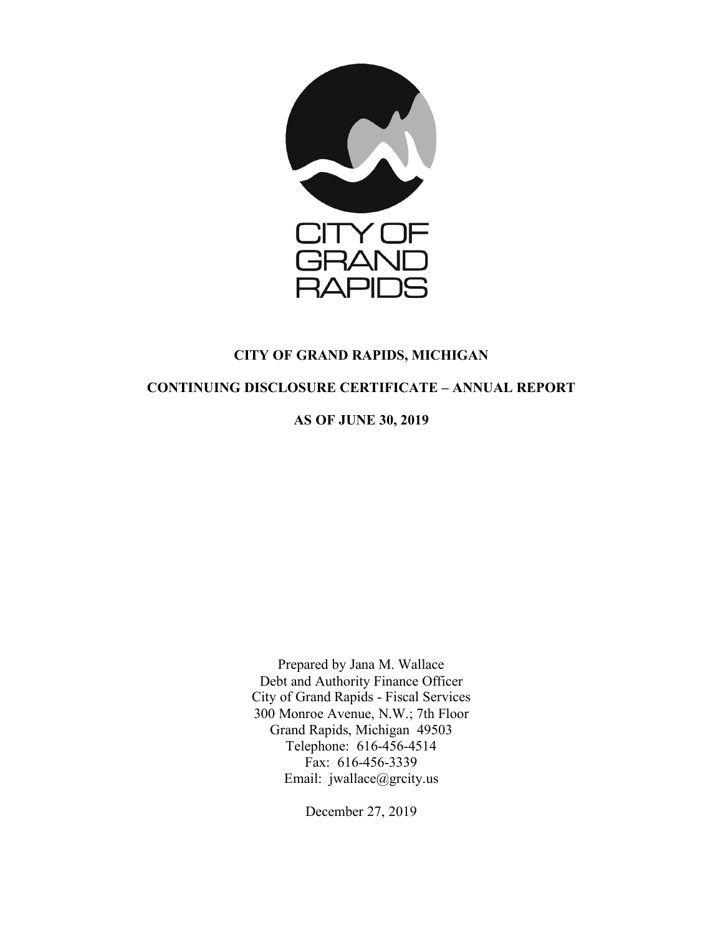

# **CITY OF GRAND RAPIDS, MICHIGAN**

# **CONTINUING DISCLOSURE CERTIFICATE – ANNUAL REPORT**

**AS OF JUNE 30, 2019**

Prepared by Jana M. Wallace Debt and Authority Finance Officer City of Grand Rapids - Fiscal Services 300 Monroe Avenue, N.W.; 7th Floor Grand Rapids, Michigan 49503 Telephone: 616-456-4514 Fax: 616-456-3339 Email: jwallace@grcity.us

December 27, 2019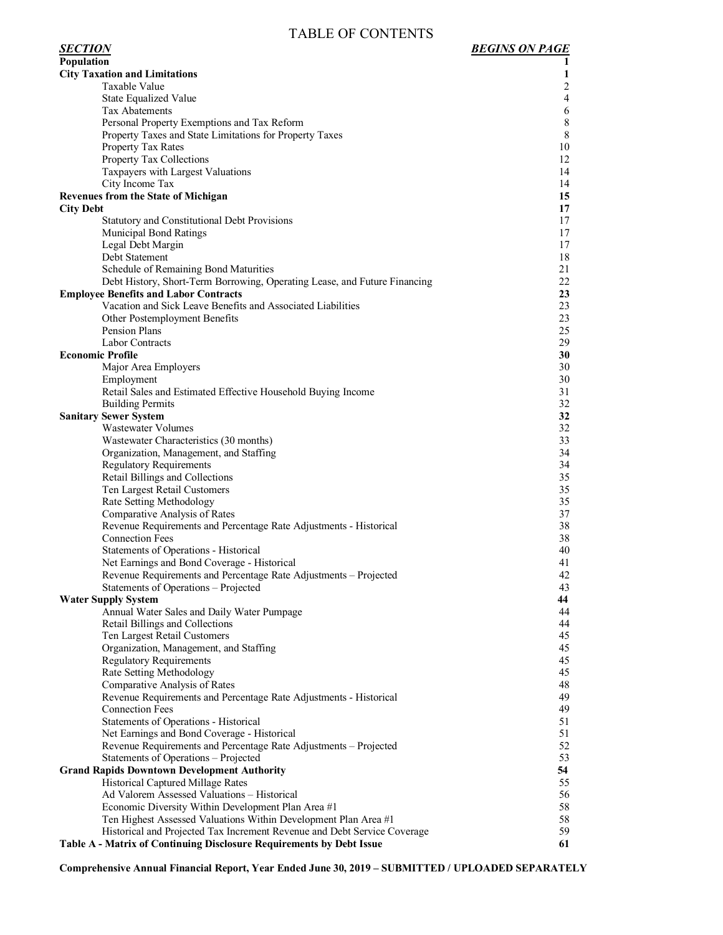# TABLE OF CONTENTS

| <b>Population</b>                                                                                                                           | 1              |
|---------------------------------------------------------------------------------------------------------------------------------------------|----------------|
| <b>City Taxation and Limitations</b>                                                                                                        | 1              |
| Taxable Value                                                                                                                               | $\mathbf{2}$   |
| State Equalized Value                                                                                                                       | $\overline{4}$ |
| Tax Abatements                                                                                                                              | 6              |
|                                                                                                                                             | $\,8\,$        |
| Personal Property Exemptions and Tax Reform                                                                                                 |                |
| Property Taxes and State Limitations for Property Taxes                                                                                     | 8              |
| Property Tax Rates                                                                                                                          | 10             |
| Property Tax Collections                                                                                                                    | 12             |
| Taxpayers with Largest Valuations                                                                                                           | 14             |
| City Income Tax                                                                                                                             | 14             |
| <b>Revenues from the State of Michigan</b>                                                                                                  | 15             |
| <b>City Debt</b>                                                                                                                            | 17             |
| Statutory and Constitutional Debt Provisions                                                                                                | 17             |
| <b>Municipal Bond Ratings</b>                                                                                                               | 17             |
| Legal Debt Margin                                                                                                                           | 17             |
| Debt Statement                                                                                                                              | 18             |
| Schedule of Remaining Bond Maturities                                                                                                       | 21             |
| Debt History, Short-Term Borrowing, Operating Lease, and Future Financing                                                                   | 22             |
| <b>Employee Benefits and Labor Contracts</b>                                                                                                | 23             |
| Vacation and Sick Leave Benefits and Associated Liabilities                                                                                 | 23             |
| Other Postemployment Benefits                                                                                                               | 23             |
| Pension Plans                                                                                                                               | 25             |
| Labor Contracts                                                                                                                             | 29             |
| <b>Economic Profile</b>                                                                                                                     | 30             |
| Major Area Employers                                                                                                                        | 30             |
| Employment                                                                                                                                  | 30             |
| Retail Sales and Estimated Effective Household Buying Income                                                                                | 31             |
| <b>Building Permits</b>                                                                                                                     | 32             |
| <b>Sanitary Sewer System</b>                                                                                                                | 32             |
| <b>Wastewater Volumes</b>                                                                                                                   | 32             |
| Wastewater Characteristics (30 months)                                                                                                      | 33             |
| Organization, Management, and Staffing                                                                                                      | 34             |
| <b>Regulatory Requirements</b>                                                                                                              | 34             |
| Retail Billings and Collections                                                                                                             | 35             |
| Ten Largest Retail Customers                                                                                                                | 35             |
| Rate Setting Methodology                                                                                                                    | 35             |
| Comparative Analysis of Rates                                                                                                               | 37             |
| Revenue Requirements and Percentage Rate Adjustments - Historical                                                                           | 38             |
| <b>Connection Fees</b>                                                                                                                      | 38             |
| Statements of Operations - Historical                                                                                                       | 40             |
| Net Earnings and Bond Coverage - Historical                                                                                                 | 41             |
| Revenue Requirements and Percentage Rate Adjustments - Projected                                                                            | 42             |
| Statements of Operations - Projected                                                                                                        | 43             |
| <b>Water Supply System</b>                                                                                                                  | 44             |
| Annual Water Sales and Daily Water Pumpage                                                                                                  | 44             |
| Retail Billings and Collections                                                                                                             | 44             |
| Ten Largest Retail Customers                                                                                                                | 45             |
| Organization, Management, and Staffing                                                                                                      | 45             |
| <b>Regulatory Requirements</b>                                                                                                              | 45             |
| Rate Setting Methodology                                                                                                                    | 45             |
| Comparative Analysis of Rates                                                                                                               | 48             |
| Revenue Requirements and Percentage Rate Adjustments - Historical                                                                           | 49             |
| <b>Connection Fees</b>                                                                                                                      | 49             |
| Statements of Operations - Historical                                                                                                       | 51             |
| Net Earnings and Bond Coverage - Historical                                                                                                 | 51             |
| Revenue Requirements and Percentage Rate Adjustments - Projected                                                                            | 52             |
| Statements of Operations - Projected                                                                                                        | 53             |
| <b>Grand Rapids Downtown Development Authority</b>                                                                                          | 54             |
| Historical Captured Millage Rates                                                                                                           | 55             |
| Ad Valorem Assessed Valuations - Historical                                                                                                 | 56             |
| Economic Diversity Within Development Plan Area #1                                                                                          | 58             |
|                                                                                                                                             | 58             |
| Ten Highest Assessed Valuations Within Development Plan Area #1<br>Historical and Projected Tax Increment Revenue and Debt Service Coverage | 59             |
| Table A - Matrix of Continuing Disclosure Requirements by Debt Issue                                                                        | 61             |
|                                                                                                                                             |                |

**Comprehensive Annual Financial Report, Year Ended June 30, 2019 – SUBMITTED / UPLOADED SEPARATELY**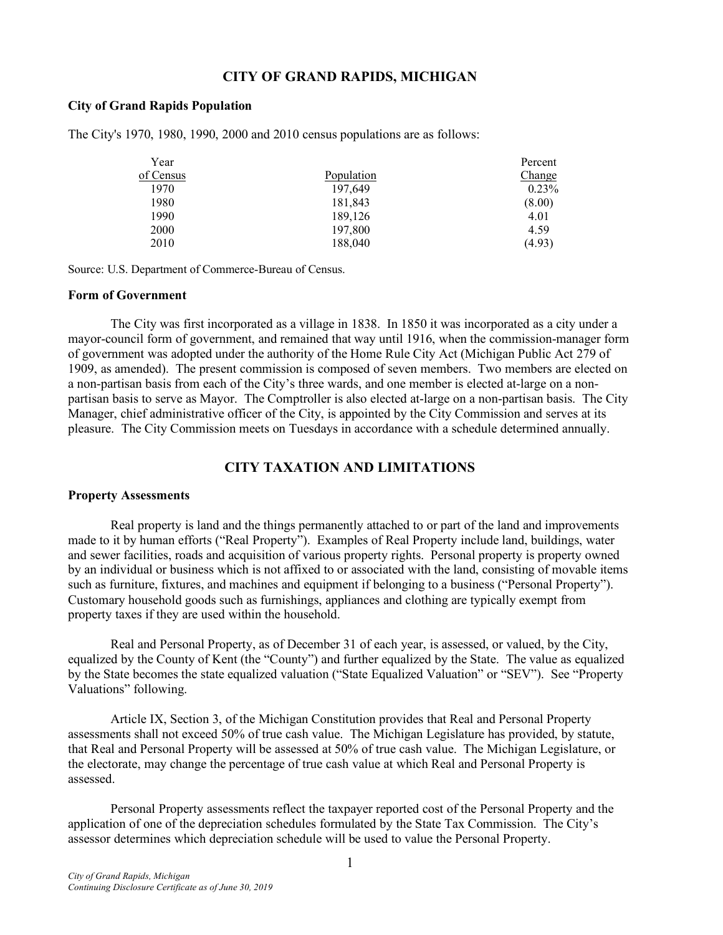### **CITY OF GRAND RAPIDS, MICHIGAN**

#### **City of Grand Rapids Population**

The City's 1970, 1980, 1990, 2000 and 2010 census populations are as follows:

| Year      |            | Percent  |
|-----------|------------|----------|
| of Census | Population | Change   |
| 1970      | 197,649    | $0.23\%$ |
| 1980      | 181,843    | (8.00)   |
| 1990      | 189,126    | 4.01     |
| 2000      | 197,800    | 4.59     |
| 2010      | 188,040    | (4.93)   |

Source: U.S. Department of Commerce-Bureau of Census.

# **Form of Government**

The City was first incorporated as a village in 1838. In 1850 it was incorporated as a city under a mayor-council form of government, and remained that way until 1916, when the commission-manager form of government was adopted under the authority of the Home Rule City Act (Michigan Public Act 279 of 1909, as amended). The present commission is composed of seven members. Two members are elected on a non-partisan basis from each of the City's three wards, and one member is elected at-large on a nonpartisan basis to serve as Mayor. The Comptroller is also elected at-large on a non-partisan basis. The City Manager, chief administrative officer of the City, is appointed by the City Commission and serves at its pleasure. The City Commission meets on Tuesdays in accordance with a schedule determined annually.

# **CITY TAXATION AND LIMITATIONS**

#### **Property Assessments**

Real property is land and the things permanently attached to or part of the land and improvements made to it by human efforts ("Real Property"). Examples of Real Property include land, buildings, water and sewer facilities, roads and acquisition of various property rights. Personal property is property owned by an individual or business which is not affixed to or associated with the land, consisting of movable items such as furniture, fixtures, and machines and equipment if belonging to a business ("Personal Property"). Customary household goods such as furnishings, appliances and clothing are typically exempt from property taxes if they are used within the household.

Real and Personal Property, as of December 31 of each year, is assessed, or valued, by the City, equalized by the County of Kent (the "County") and further equalized by the State. The value as equalized by the State becomes the state equalized valuation ("State Equalized Valuation" or "SEV"). See "Property Valuations" following.

Article IX, Section 3, of the Michigan Constitution provides that Real and Personal Property assessments shall not exceed 50% of true cash value. The Michigan Legislature has provided, by statute, that Real and Personal Property will be assessed at 50% of true cash value. The Michigan Legislature, or the electorate, may change the percentage of true cash value at which Real and Personal Property is assessed.

Personal Property assessments reflect the taxpayer reported cost of the Personal Property and the application of one of the depreciation schedules formulated by the State Tax Commission. The City's assessor determines which depreciation schedule will be used to value the Personal Property.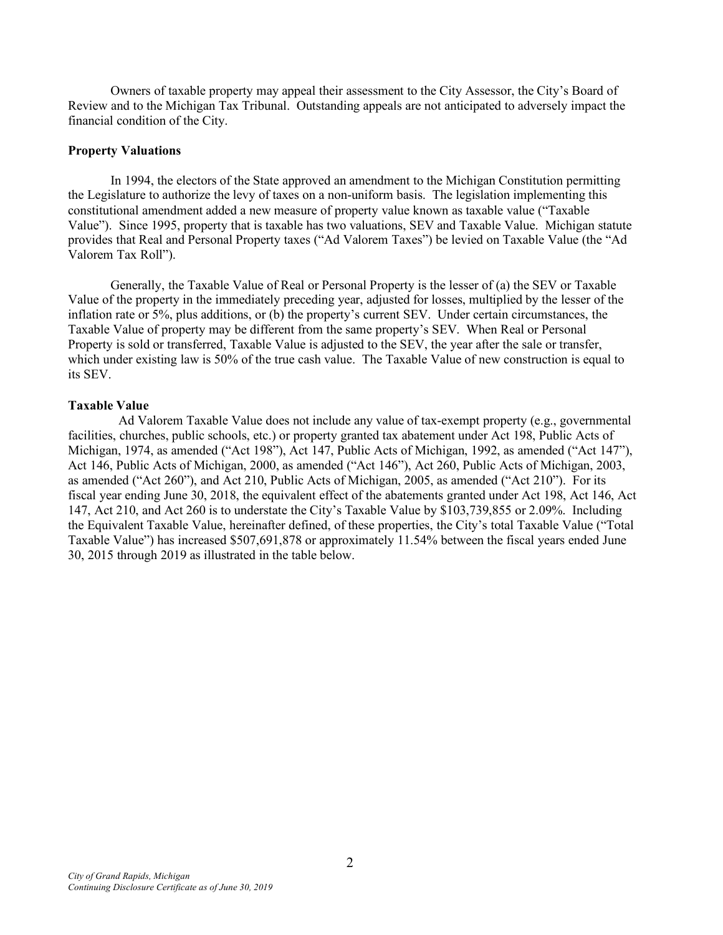Owners of taxable property may appeal their assessment to the City Assessor, the City's Board of Review and to the Michigan Tax Tribunal. Outstanding appeals are not anticipated to adversely impact the financial condition of the City.

### **Property Valuations**

In 1994, the electors of the State approved an amendment to the Michigan Constitution permitting the Legislature to authorize the levy of taxes on a non-uniform basis. The legislation implementing this constitutional amendment added a new measure of property value known as taxable value ("Taxable Value"). Since 1995, property that is taxable has two valuations, SEV and Taxable Value. Michigan statute provides that Real and Personal Property taxes ("Ad Valorem Taxes") be levied on Taxable Value (the "Ad Valorem Tax Roll").

Generally, the Taxable Value of Real or Personal Property is the lesser of (a) the SEV or Taxable Value of the property in the immediately preceding year, adjusted for losses, multiplied by the lesser of the inflation rate or 5%, plus additions, or (b) the property's current SEV. Under certain circumstances, the Taxable Value of property may be different from the same property's SEV. When Real or Personal Property is sold or transferred, Taxable Value is adjusted to the SEV, the year after the sale or transfer, which under existing law is 50% of the true cash value. The Taxable Value of new construction is equal to its SEV.

### **Taxable Value**

Ad Valorem Taxable Value does not include any value of tax-exempt property (e.g., governmental facilities, churches, public schools, etc.) or property granted tax abatement under Act 198, Public Acts of Michigan, 1974, as amended ("Act 198"), Act 147, Public Acts of Michigan, 1992, as amended ("Act 147"), Act 146, Public Acts of Michigan, 2000, as amended ("Act 146"), Act 260, Public Acts of Michigan, 2003, as amended ("Act 260"), and Act 210, Public Acts of Michigan, 2005, as amended ("Act 210"). For its fiscal year ending June 30, 2018, the equivalent effect of the abatements granted under Act 198, Act 146, Act 147, Act 210, and Act 260 is to understate the City's Taxable Value by \$103,739,855 or 2.09%. Including the Equivalent Taxable Value, hereinafter defined, of these properties, the City's total Taxable Value ("Total Taxable Value") has increased \$507,691,878 or approximately 11.54% between the fiscal years ended June 30, 2015 through 2019 as illustrated in the table below.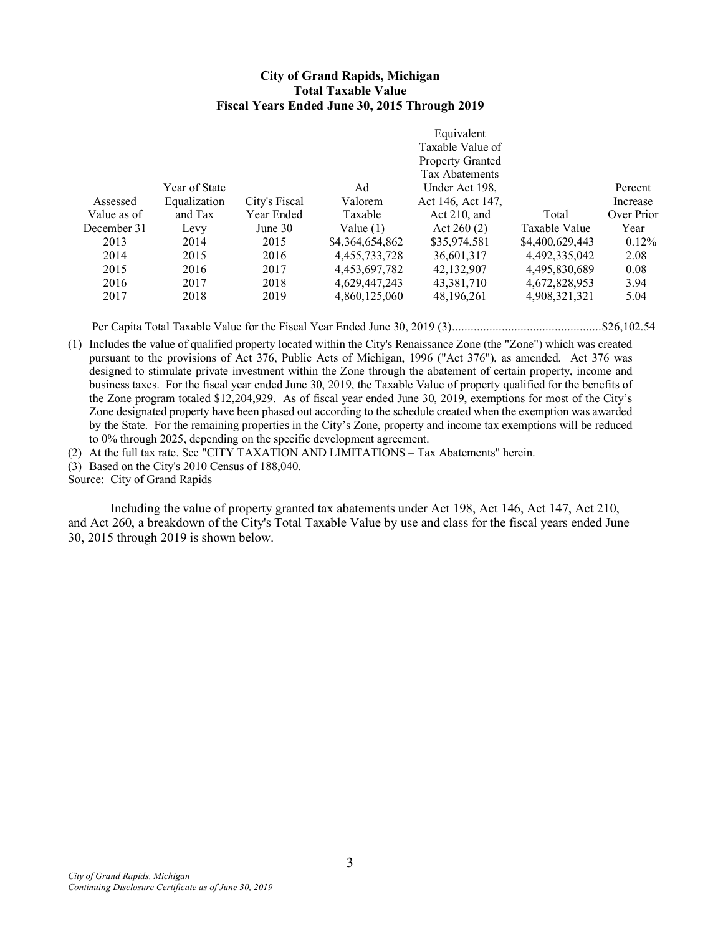#### **City of Grand Rapids, Michigan Total Taxable Value Fiscal Years Ended June 30, 2015 Through 2019**

|             |               |               |                 | Equivalent              |                 |            |
|-------------|---------------|---------------|-----------------|-------------------------|-----------------|------------|
|             |               |               |                 | Taxable Value of        |                 |            |
|             |               |               |                 | <b>Property Granted</b> |                 |            |
|             |               |               |                 | Tax Abatements          |                 |            |
|             | Year of State |               | Ad              | Under Act 198,          |                 | Percent    |
| Assessed    | Equalization  | City's Fiscal | Valorem         | Act 146, Act 147,       |                 | Increase   |
| Value as of | and Tax       | Year Ended    | Taxable         | Act $210$ , and         | Total           | Over Prior |
| December 31 | <u>Levy</u>   | June $30$     | Value $(1)$     | Act $260(2)$            | Taxable Value   | Year       |
| 2013        | 2014          | 2015          | \$4,364,654,862 | \$35,974,581            | \$4,400,629,443 | 0.12%      |
| 2014        | 2015          | 2016          | 4,455,733,728   | 36,601,317              | 4,492,335,042   | 2.08       |
| 2015        | 2016          | 2017          | 4,453,697,782   | 42,132,907              | 4,495,830,689   | 0.08       |
| 2016        | 2017          | 2018          | 4,629,447,243   | 43,381,710              | 4,672,828,953   | 3.94       |
| 2017        | 2018          | 2019          | 4,860,125,060   | 48,196,261              | 4,908,321,321   | 5.04       |
|             |               |               |                 |                         |                 |            |

Per Capita Total Taxable Value for the Fiscal Year Ended June 30, 2019 (3)................................................\$26,102.54

(1) Includes the value of qualified property located within the City's Renaissance Zone (the "Zone") which was created pursuant to the provisions of Act 376, Public Acts of Michigan, 1996 ("Act 376"), as amended. Act 376 was designed to stimulate private investment within the Zone through the abatement of certain property, income and business taxes. For the fiscal year ended June 30, 2019, the Taxable Value of property qualified for the benefits of the Zone program totaled \$12,204,929. As of fiscal year ended June 30, 2019, exemptions for most of the City's Zone designated property have been phased out according to the schedule created when the exemption was awarded by the State. For the remaining properties in the City's Zone, property and income tax exemptions will be reduced to 0% through 2025, depending on the specific development agreement.

(2) At the full tax rate. See "CITY TAXATION AND LIMITATIONS – Tax Abatements" herein.

(3) Based on the City's 2010 Census of 188,040.

Source: City of Grand Rapids

Including the value of property granted tax abatements under Act 198, Act 146, Act 147, Act 210, and Act 260, a breakdown of the City's Total Taxable Value by use and class for the fiscal years ended June 30, 2015 through 2019 is shown below.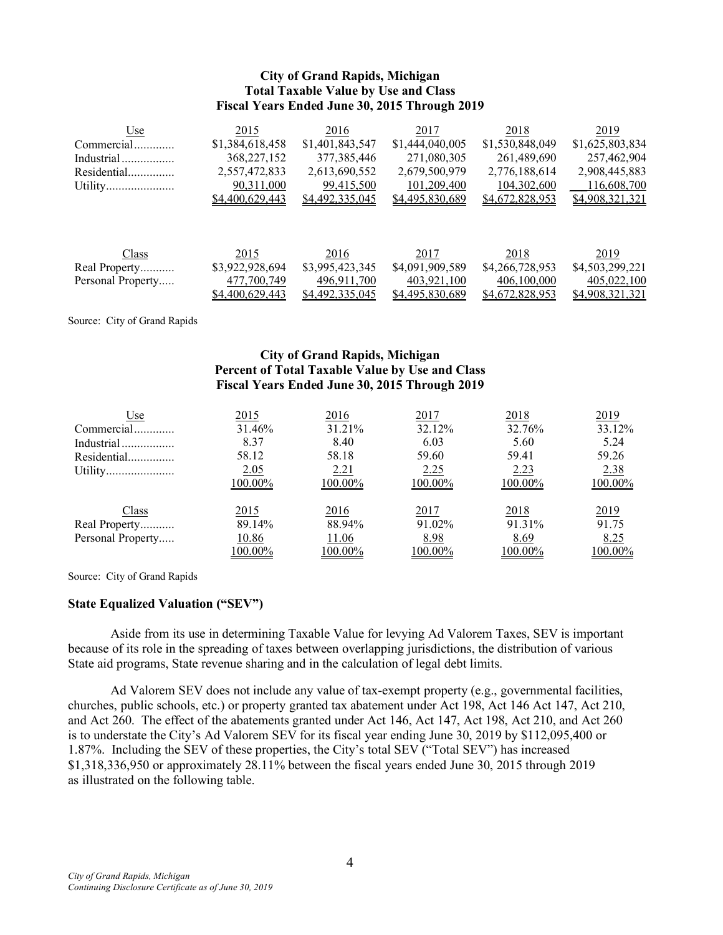### **City of Grand Rapids, Michigan Total Taxable Value by Use and Class Fiscal Years Ended June 30, 2015 Through 2019**

| Use               | 2015            | 2016            | 2017            | 2018            | 2019            |
|-------------------|-----------------|-----------------|-----------------|-----------------|-----------------|
| Commercial        | \$1,384,618,458 | \$1,401,843,547 | \$1,444,040,005 | \$1,530,848,049 | \$1,625,803,834 |
| Industrial        | 368, 227, 152   | 377, 385, 446   | 271,080,305     | 261,489,690     | 257,462,904     |
| Residential       | 2,557,472,833   | 2,613,690,552   | 2,679,500,979   | 2,776,188,614   | 2,908,445,883   |
| Utility           | 90,311,000      | 99,415,500      | 101,209,400     | 104,302,600     | 116,608,700     |
|                   | \$4,400,629,443 | \$4,492,335,045 | \$4,495,830,689 | \$4,672,828,953 | \$4,908,321,321 |
|                   |                 |                 |                 |                 |                 |
|                   |                 |                 |                 |                 |                 |
| Class             | 2015            | 2016            | 2017            | 2018            | 2019            |
| Real Property     | \$3,922,928,694 | \$3,995,423,345 | \$4,091,909,589 | \$4,266,728,953 | \$4,503,299,221 |
| Personal Property | 477,700,749     | 496,911,700     | 403,921,100     | 406,100,000     | 405,022,100     |
|                   | \$4,400,629,443 | \$4,492,335,045 | \$4,495,830,689 | \$4,672,828,953 | \$4,908,321,321 |

Source: City of Grand Rapids

### **City of Grand Rapids, Michigan Percent of Total Taxable Value by Use and Class Fiscal Years Ended June 30, 2015 Through 2019**

| Use               | 2015    | 2016    | 2017    | 2018    | 2019    |
|-------------------|---------|---------|---------|---------|---------|
| Commercial        | 31.46%  | 31.21%  | 32.12%  | 32.76%  | 33.12%  |
| Industrial        | 8.37    | 8.40    | 6.03    | 5.60    | 5.24    |
| Residential       | 58.12   | 58.18   | 59.60   | 59.41   | 59.26   |
| Utility           | 2.05    | 2.21    | 2.25    | 2.23    | 2.38    |
|                   | 100.00% | 100.00% | 100.00% | 100.00% | 100.00% |
| Class             | 2015    | 2016    | 2017    | 2018    | 2019    |
| Real Property     | 89.14%  | 88.94%  | 91.02%  | 91.31%  | 91.75   |
| Personal Property | 10.86   | 11.06   | 8.98    | 8.69    | 8.25    |
|                   | 100.00% | 100.00% | 100.00% | 100.00% | 100.00% |

Source: City of Grand Rapids

### **State Equalized Valuation ("SEV")**

Aside from its use in determining Taxable Value for levying Ad Valorem Taxes, SEV is important because of its role in the spreading of taxes between overlapping jurisdictions, the distribution of various State aid programs, State revenue sharing and in the calculation of legal debt limits.

Ad Valorem SEV does not include any value of tax-exempt property (e.g., governmental facilities, churches, public schools, etc.) or property granted tax abatement under Act 198, Act 146 Act 147, Act 210, and Act 260. The effect of the abatements granted under Act 146, Act 147, Act 198, Act 210, and Act 260 is to understate the City's Ad Valorem SEV for its fiscal year ending June 30, 2019 by \$112,095,400 or 1.87%. Including the SEV of these properties, the City's total SEV ("Total SEV") has increased \$1,318,336,950 or approximately 28.11% between the fiscal years ended June 30, 2015 through 2019 as illustrated on the following table.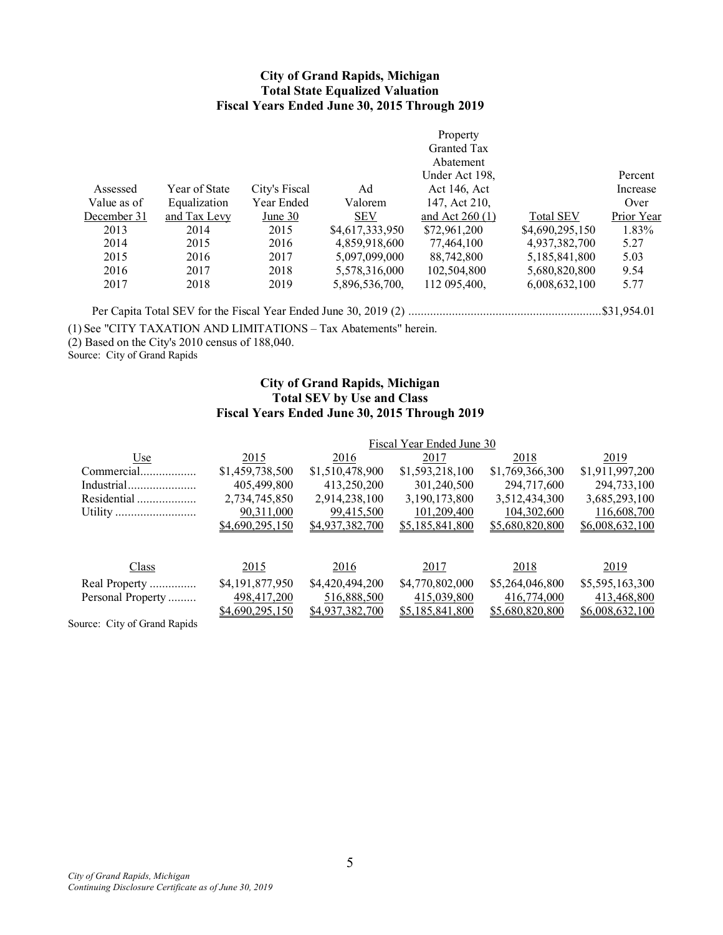### **City of Grand Rapids, Michigan Total State Equalized Valuation Fiscal Years Ended June 30, 2015 Through 2019**

|             |               |               |                 | Property         |                  |            |
|-------------|---------------|---------------|-----------------|------------------|------------------|------------|
|             |               |               |                 | Granted Tax      |                  |            |
|             |               |               |                 | Abatement        |                  |            |
|             |               |               |                 | Under Act 198,   |                  | Percent    |
| Assessed    | Year of State | City's Fiscal | Ad              | Act 146, Act     |                  | Increase   |
| Value as of | Equalization  | Year Ended    | Valorem         | 147, Act 210,    |                  | Over       |
| December 31 | and Tax Levy  | June 30       | <b>SEV</b>      | and Act $260(1)$ | <b>Total SEV</b> | Prior Year |
| 2013        | 2014          | 2015          | \$4,617,333,950 | \$72,961,200     | \$4,690,295,150  | 1.83%      |
| 2014        | 2015          | 2016          | 4,859,918,600   | 77,464,100       | 4,937,382,700    | 5.27       |
| 2015        | 2016          | 2017          | 5,097,099,000   | 88,742,800       | 5,185,841,800    | 5.03       |
| 2016        | 2017          | 2018          | 5,578,316,000   | 102,504,800      | 5,680,820,800    | 9.54       |
| 2017        | 2018          | 2019          | 5,896,536,700,  | 112 095,400,     | 6,008,632,100    | 5.77       |
|             |               |               |                 |                  |                  |            |

Per Capita Total SEV for the Fiscal Year Ended June 30, 2019 (2) ..............................................................\$31,954.01

(1) See "CITY TAXATION AND LIMITATIONS – Tax Abatements" herein.

 $(2)$  Based on the City's 2010 census of 188,040.

Source: City of Grand Rapids

### **City of Grand Rapids, Michigan Total SEV by Use and Class Fiscal Years Ended June 30, 2015 Through 2019**

|                             |                 |                 | Fiscal Year Ended June 30 |                 |                 |
|-----------------------------|-----------------|-----------------|---------------------------|-----------------|-----------------|
| Use                         | 2015            | 2016            | 2017                      | 2018            | 2019            |
| Commercial                  | \$1,459,738,500 | \$1,510,478,900 | \$1,593,218,100           | \$1,769,366,300 | \$1,911,997,200 |
| Industrial                  | 405,499,800     | 413,250,200     | 301,240,500               | 294,717,600     | 294,733,100     |
| Residential                 | 2,734,745,850   | 2,914,238,100   | 3,190,173,800             | 3,512,434,300   | 3,685,293,100   |
|                             | 90,311,000      | 99,415,500      | 101,209,400               | 104,302,600     | 116,608,700     |
|                             | \$4,690,295,150 | \$4,937,382,700 | \$5,185,841,800           | \$5,680,820,800 | \$6,008,632,100 |
|                             |                 |                 |                           |                 |                 |
|                             |                 |                 |                           |                 |                 |
| Class                       | 2015            | 2016            | 2017                      | 2018            | 2019            |
| Real Property               | \$4,191,877,950 | \$4,420,494,200 | \$4,770,802,000           | \$5,264,046,800 | \$5,595,163,300 |
| Personal Property           | 498,417,200     | 516,888,500     | 415,039,800               | 416,774,000     | 413,468,800     |
|                             | \$4,690,295,150 | \$4,937,382,700 | \$5,185,841,800           | \$5,680,820,800 | \$6,008,632,100 |
| surear City of Grand Danide |                 |                 |                           |                 |                 |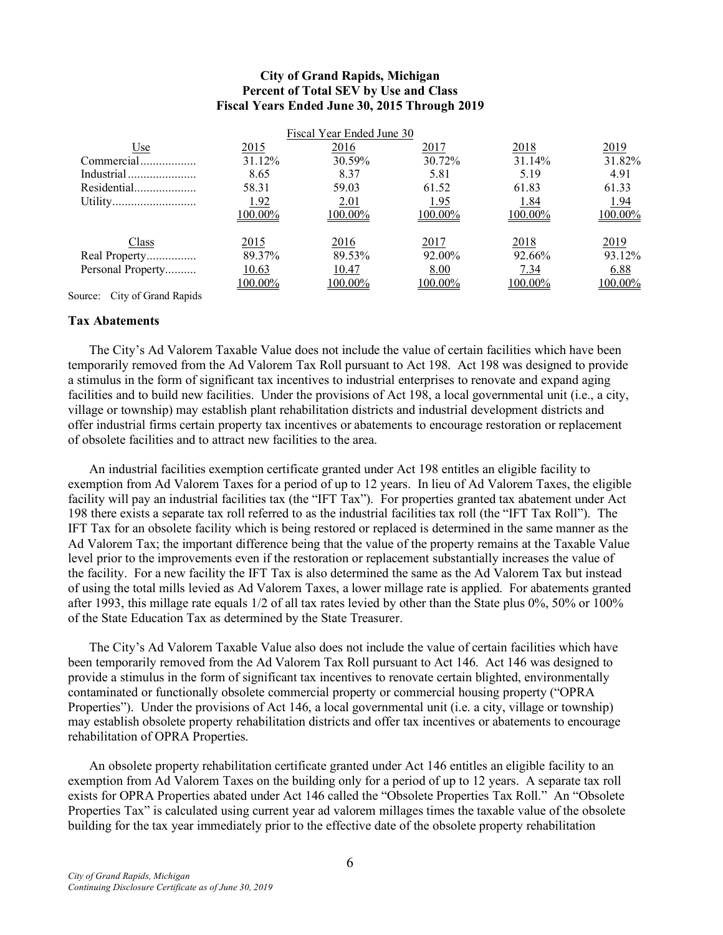### **City of Grand Rapids, Michigan Percent of Total SEV by Use and Class Fiscal Years Ended June 30, 2015 Through 2019**

|                   |                 | Fiscal Year Ended June 30 |         |             |             |
|-------------------|-----------------|---------------------------|---------|-------------|-------------|
| Use               | 2015            | 2016                      | 2017    | 2018        | 2019        |
| Commercial        | 31.12%          | 30.59%                    | 30.72%  | 31.14%      | 31.82%      |
| Industrial        | 8.65            | 8.37                      | 5.81    | 5.19        | 4.91        |
| Residential       | 58.31           | 59.03                     | 61.52   | 61.83       | 61.33       |
|                   | 1.92            | 2.01                      | 1.95    | 1.84        | <u>1.94</u> |
|                   | 100.00%         | 100.00%                   | 100.00% | 100.00%     | 100.00%     |
| Class             | <u>2015</u>     | <u>2016</u>               | 2017    | <u>2018</u> | <u>2019</u> |
| Real Property     | 89.37%          | 89.53%                    | 92.00%  | 92.66%      | 93.12%      |
| Personal Property | 10.63           | 10.47                     | 8.00    | 7.34        | 6.88        |
|                   | <u> 100.00%</u> | <u> 100.00%</u>           | 100.00% | 100.00%     | 100.00%     |

Source: City of Grand Rapids

#### **Tax Abatements**

The City's Ad Valorem Taxable Value does not include the value of certain facilities which have been temporarily removed from the Ad Valorem Tax Roll pursuant to Act 198. Act 198 was designed to provide a stimulus in the form of significant tax incentives to industrial enterprises to renovate and expand aging facilities and to build new facilities. Under the provisions of Act 198, a local governmental unit (i.e., a city, village or township) may establish plant rehabilitation districts and industrial development districts and offer industrial firms certain property tax incentives or abatements to encourage restoration or replacement of obsolete facilities and to attract new facilities to the area.

An industrial facilities exemption certificate granted under Act 198 entitles an eligible facility to exemption from Ad Valorem Taxes for a period of up to 12 years. In lieu of Ad Valorem Taxes, the eligible facility will pay an industrial facilities tax (the "IFT Tax"). For properties granted tax abatement under Act 198 there exists a separate tax roll referred to as the industrial facilities tax roll (the "IFT Tax Roll"). The IFT Tax for an obsolete facility which is being restored or replaced is determined in the same manner as the Ad Valorem Tax; the important difference being that the value of the property remains at the Taxable Value level prior to the improvements even if the restoration or replacement substantially increases the value of the facility. For a new facility the IFT Tax is also determined the same as the Ad Valorem Tax but instead of using the total mills levied as Ad Valorem Taxes, a lower millage rate is applied. For abatements granted after 1993, this millage rate equals 1/2 of all tax rates levied by other than the State plus 0%, 50% or 100% of the State Education Tax as determined by the State Treasurer.

The City's Ad Valorem Taxable Value also does not include the value of certain facilities which have been temporarily removed from the Ad Valorem Tax Roll pursuant to Act 146. Act 146 was designed to provide a stimulus in the form of significant tax incentives to renovate certain blighted, environmentally contaminated or functionally obsolete commercial property or commercial housing property ("OPRA Properties"). Under the provisions of Act 146, a local governmental unit (i.e. a city, village or township) may establish obsolete property rehabilitation districts and offer tax incentives or abatements to encourage rehabilitation of OPRA Properties.

An obsolete property rehabilitation certificate granted under Act 146 entitles an eligible facility to an exemption from Ad Valorem Taxes on the building only for a period of up to 12 years. A separate tax roll exists for OPRA Properties abated under Act 146 called the "Obsolete Properties Tax Roll." An "Obsolete Properties Tax" is calculated using current year ad valorem millages times the taxable value of the obsolete building for the tax year immediately prior to the effective date of the obsolete property rehabilitation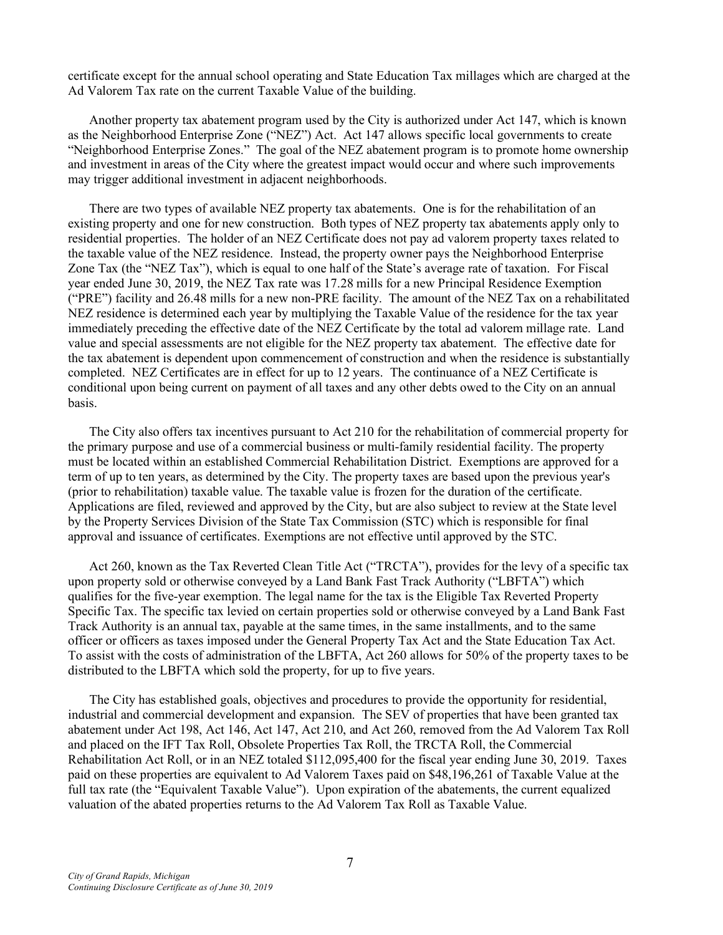certificate except for the annual school operating and State Education Tax millages which are charged at the Ad Valorem Tax rate on the current Taxable Value of the building.

Another property tax abatement program used by the City is authorized under Act 147, which is known as the Neighborhood Enterprise Zone ("NEZ") Act. Act 147 allows specific local governments to create "Neighborhood Enterprise Zones." The goal of the NEZ abatement program is to promote home ownership and investment in areas of the City where the greatest impact would occur and where such improvements may trigger additional investment in adjacent neighborhoods.

There are two types of available NEZ property tax abatements. One is for the rehabilitation of an existing property and one for new construction. Both types of NEZ property tax abatements apply only to residential properties. The holder of an NEZ Certificate does not pay ad valorem property taxes related to the taxable value of the NEZ residence. Instead, the property owner pays the Neighborhood Enterprise Zone Tax (the "NEZ Tax"), which is equal to one half of the State's average rate of taxation. For Fiscal year ended June 30, 2019, the NEZ Tax rate was 17.28 mills for a new Principal Residence Exemption ("PRE") facility and 26.48 mills for a new non-PRE facility. The amount of the NEZ Tax on a rehabilitated NEZ residence is determined each year by multiplying the Taxable Value of the residence for the tax year immediately preceding the effective date of the NEZ Certificate by the total ad valorem millage rate. Land value and special assessments are not eligible for the NEZ property tax abatement. The effective date for the tax abatement is dependent upon commencement of construction and when the residence is substantially completed. NEZ Certificates are in effect for up to 12 years. The continuance of a NEZ Certificate is conditional upon being current on payment of all taxes and any other debts owed to the City on an annual basis.

The City also offers tax incentives pursuant to Act 210 for the rehabilitation of commercial property for the primary purpose and use of a commercial business or multi-family residential facility. The property must be located within an established Commercial Rehabilitation District. Exemptions are approved for a term of up to ten years, as determined by the City. The property taxes are based upon the previous year's (prior to rehabilitation) taxable value. The taxable value is frozen for the duration of the certificate. Applications are filed, reviewed and approved by the City, but are also subject to review at the State level by the Property Services Division of the State Tax Commission (STC) which is responsible for final approval and issuance of certificates. Exemptions are not effective until approved by the STC.

Act 260, known as the Tax Reverted Clean Title Act ("TRCTA"), provides for the levy of a specific tax upon property sold or otherwise conveyed by a Land Bank Fast Track Authority ("LBFTA") which qualifies for the five-year exemption. The legal name for the tax is the Eligible Tax Reverted Property Specific Tax. The specific tax levied on certain properties sold or otherwise conveyed by a Land Bank Fast Track Authority is an annual tax, payable at the same times, in the same installments, and to the same officer or officers as taxes imposed under the General Property Tax Act and the State Education Tax Act. To assist with the costs of administration of the LBFTA, Act 260 allows for 50% of the property taxes to be distributed to the LBFTA which sold the property, for up to five years.

The City has established goals, objectives and procedures to provide the opportunity for residential, industrial and commercial development and expansion. The SEV of properties that have been granted tax abatement under Act 198, Act 146, Act 147, Act 210, and Act 260, removed from the Ad Valorem Tax Roll and placed on the IFT Tax Roll, Obsolete Properties Tax Roll, the TRCTA Roll, the Commercial Rehabilitation Act Roll, or in an NEZ totaled \$112,095,400 for the fiscal year ending June 30, 2019. Taxes paid on these properties are equivalent to Ad Valorem Taxes paid on \$48,196,261 of Taxable Value at the full tax rate (the "Equivalent Taxable Value"). Upon expiration of the abatements, the current equalized valuation of the abated properties returns to the Ad Valorem Tax Roll as Taxable Value.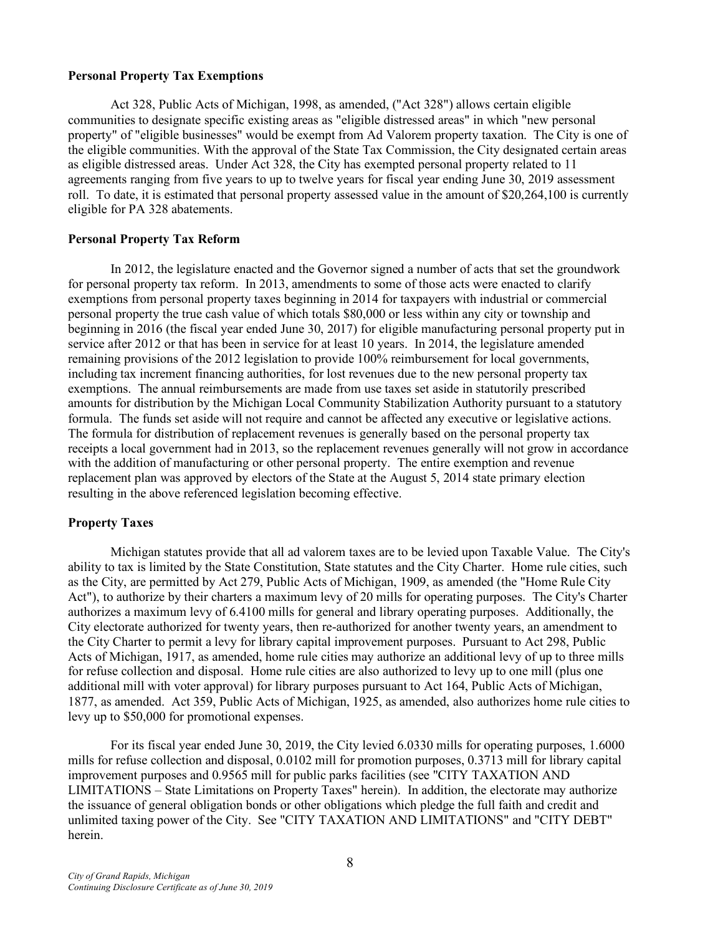#### **Personal Property Tax Exemptions**

Act 328, Public Acts of Michigan, 1998, as amended, ("Act 328") allows certain eligible communities to designate specific existing areas as "eligible distressed areas" in which "new personal property" of "eligible businesses" would be exempt from Ad Valorem property taxation. The City is one of the eligible communities. With the approval of the State Tax Commission, the City designated certain areas as eligible distressed areas. Under Act 328, the City has exempted personal property related to 11 agreements ranging from five years to up to twelve years for fiscal year ending June 30, 2019 assessment roll. To date, it is estimated that personal property assessed value in the amount of \$20,264,100 is currently eligible for PA 328 abatements.

#### **Personal Property Tax Reform**

In 2012, the legislature enacted and the Governor signed a number of acts that set the groundwork for personal property tax reform. In 2013, amendments to some of those acts were enacted to clarify exemptions from personal property taxes beginning in 2014 for taxpayers with industrial or commercial personal property the true cash value of which totals \$80,000 or less within any city or township and beginning in 2016 (the fiscal year ended June 30, 2017) for eligible manufacturing personal property put in service after 2012 or that has been in service for at least 10 years. In 2014, the legislature amended remaining provisions of the 2012 legislation to provide 100% reimbursement for local governments, including tax increment financing authorities, for lost revenues due to the new personal property tax exemptions. The annual reimbursements are made from use taxes set aside in statutorily prescribed amounts for distribution by the Michigan Local Community Stabilization Authority pursuant to a statutory formula. The funds set aside will not require and cannot be affected any executive or legislative actions. The formula for distribution of replacement revenues is generally based on the personal property tax receipts a local government had in 2013, so the replacement revenues generally will not grow in accordance with the addition of manufacturing or other personal property. The entire exemption and revenue replacement plan was approved by electors of the State at the August 5, 2014 state primary election resulting in the above referenced legislation becoming effective.

### **Property Taxes**

Michigan statutes provide that all ad valorem taxes are to be levied upon Taxable Value. The City's ability to tax is limited by the State Constitution, State statutes and the City Charter. Home rule cities, such as the City, are permitted by Act 279, Public Acts of Michigan, 1909, as amended (the "Home Rule City Act"), to authorize by their charters a maximum levy of 20 mills for operating purposes. The City's Charter authorizes a maximum levy of 6.4100 mills for general and library operating purposes. Additionally, the City electorate authorized for twenty years, then re-authorized for another twenty years, an amendment to the City Charter to permit a levy for library capital improvement purposes. Pursuant to Act 298, Public Acts of Michigan, 1917, as amended, home rule cities may authorize an additional levy of up to three mills for refuse collection and disposal. Home rule cities are also authorized to levy up to one mill (plus one additional mill with voter approval) for library purposes pursuant to Act 164, Public Acts of Michigan, 1877, as amended. Act 359, Public Acts of Michigan, 1925, as amended, also authorizes home rule cities to levy up to \$50,000 for promotional expenses.

For its fiscal year ended June 30, 2019, the City levied 6.0330 mills for operating purposes, 1.6000 mills for refuse collection and disposal, 0.0102 mill for promotion purposes, 0.3713 mill for library capital improvement purposes and 0.9565 mill for public parks facilities (see "CITY TAXATION AND LIMITATIONS – State Limitations on Property Taxes" herein). In addition, the electorate may authorize the issuance of general obligation bonds or other obligations which pledge the full faith and credit and unlimited taxing power of the City. See "CITY TAXATION AND LIMITATIONS" and "CITY DEBT" herein.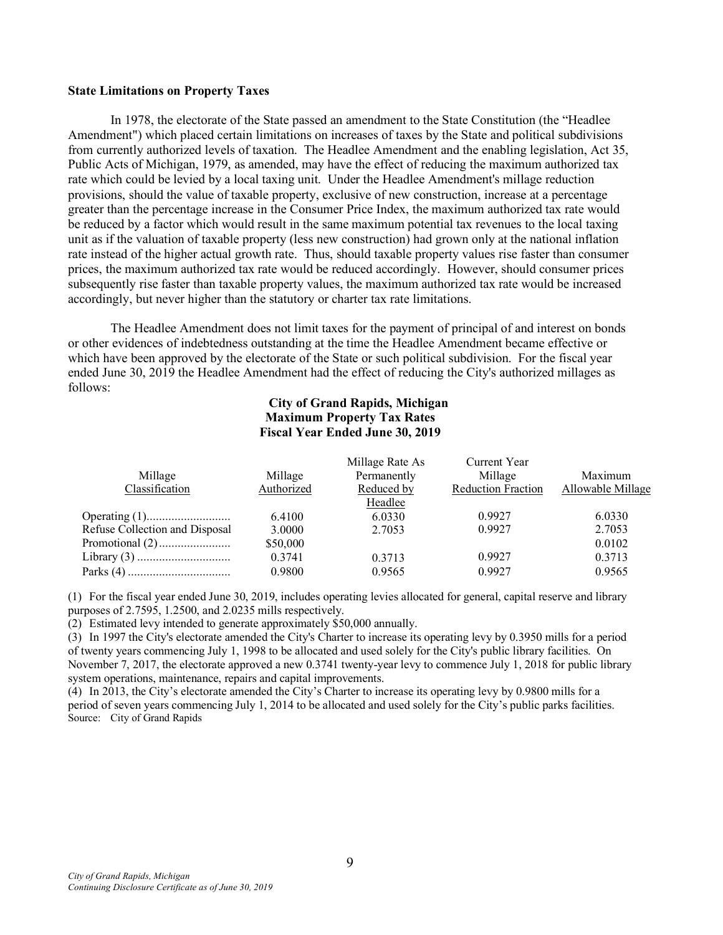#### **State Limitations on Property Taxes**

In 1978, the electorate of the State passed an amendment to the State Constitution (the "Headlee Amendment") which placed certain limitations on increases of taxes by the State and political subdivisions from currently authorized levels of taxation. The Headlee Amendment and the enabling legislation, Act 35, Public Acts of Michigan, 1979, as amended, may have the effect of reducing the maximum authorized tax rate which could be levied by a local taxing unit. Under the Headlee Amendment's millage reduction provisions, should the value of taxable property, exclusive of new construction, increase at a percentage greater than the percentage increase in the Consumer Price Index, the maximum authorized tax rate would be reduced by a factor which would result in the same maximum potential tax revenues to the local taxing unit as if the valuation of taxable property (less new construction) had grown only at the national inflation rate instead of the higher actual growth rate. Thus, should taxable property values rise faster than consumer prices, the maximum authorized tax rate would be reduced accordingly. However, should consumer prices subsequently rise faster than taxable property values, the maximum authorized tax rate would be increased accordingly, but never higher than the statutory or charter tax rate limitations.

The Headlee Amendment does not limit taxes for the payment of principal of and interest on bonds or other evidences of indebtedness outstanding at the time the Headlee Amendment became effective or which have been approved by the electorate of the State or such political subdivision. For the fiscal year ended June 30, 2019 the Headlee Amendment had the effect of reducing the City's authorized millages as follows:

### **City of Grand Rapids, Michigan Maximum Property Tax Rates Fiscal Year Ended June 30, 2019**

| Current Year<br>Millage Rate As                                         |                   |
|-------------------------------------------------------------------------|-------------------|
| Permanently<br>Millage<br>Millage<br>Millage                            | Maximum           |
| Classification<br>Authorized<br><b>Reduction Fraction</b><br>Reduced by | Allowable Millage |
| Headlee                                                                 |                   |
| 0.9927<br>6.4100<br>6.0330                                              | 6.0330            |
| Refuse Collection and Disposal<br>0.9927<br>3.0000<br>2.7053            | 2.7053            |
| \$50,000                                                                | 0.0102            |
| 0.9927<br>0.3741<br>0.3713                                              | 0.3713            |
| 0.9927<br>0.9800<br>0.9565                                              | 0.9565            |

(1) For the fiscal year ended June 30, 2019, includes operating levies allocated for general, capital reserve and library purposes of 2.7595, 1.2500, and 2.0235 mills respectively.

(2) Estimated levy intended to generate approximately \$50,000 annually.

(3) In 1997 the City's electorate amended the City's Charter to increase its operating levy by 0.3950 mills for a period of twenty years commencing July 1, 1998 to be allocated and used solely for the City's public library facilities. On November 7, 2017, the electorate approved a new 0.3741 twenty-year levy to commence July 1, 2018 for public library system operations, maintenance, repairs and capital improvements.

(4) In 2013, the City's electorate amended the City's Charter to increase its operating levy by 0.9800 mills for a period of seven years commencing July 1, 2014 to be allocated and used solely for the City's public parks facilities. Source: City of Grand Rapids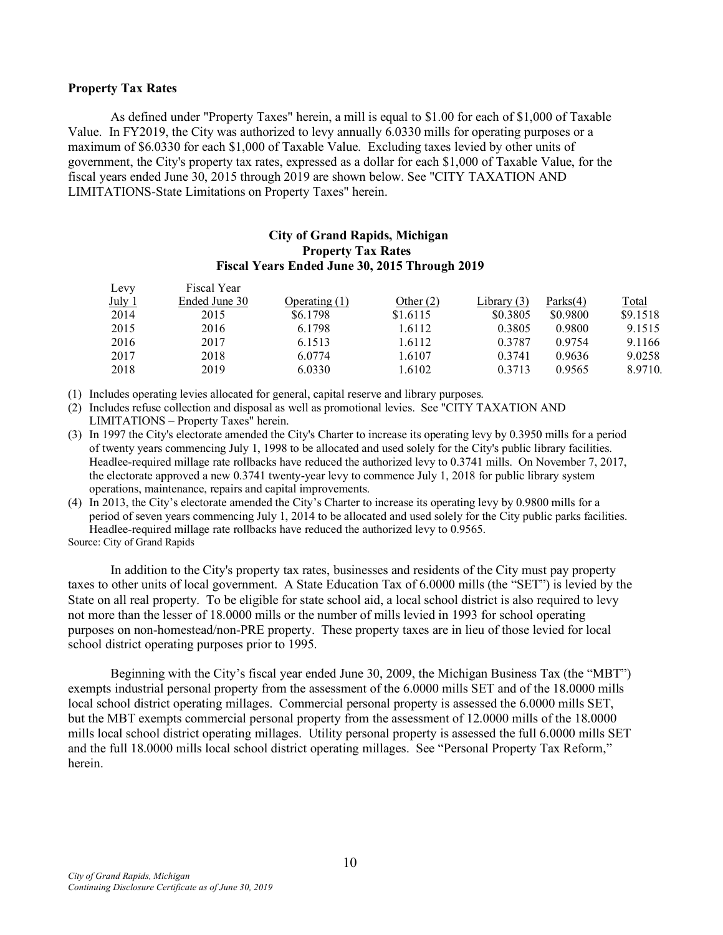#### **Property Tax Rates**

As defined under "Property Taxes" herein, a mill is equal to \$1.00 for each of \$1,000 of Taxable Value. In FY2019, the City was authorized to levy annually 6.0330 mills for operating purposes or a maximum of \$6.0330 for each \$1,000 of Taxable Value. Excluding taxes levied by other units of government, the City's property tax rates, expressed as a dollar for each \$1,000 of Taxable Value, for the fiscal years ended June 30, 2015 through 2019 are shown below. See "CITY TAXATION AND LIMITATIONS-State Limitations on Property Taxes" herein.

### **City of Grand Rapids, Michigan Property Tax Rates Fiscal Years Ended June 30, 2015 Through 2019**

| Levy     | Fiscal Year   |                 |             |               |             |              |
|----------|---------------|-----------------|-------------|---------------|-------------|--------------|
| July $1$ | Ended June 30 | Operating $(1)$ | Other $(2)$ | Library $(3)$ | Parks $(4)$ | <b>Total</b> |
| 2014     | 2015          | \$6.1798        | \$1.6115    | \$0.3805      | \$0.9800    | \$9.1518     |
| 2015     | 2016          | 6.1798          | 1.6112      | 0.3805        | 0.9800      | 9.1515       |
| 2016     | 2017          | 6.1513          | 1.6112      | 0.3787        | 0.9754      | 9.1166       |
| 2017     | 2018          | 6.0774          | 1.6107      | 0.3741        | 0.9636      | 9.0258       |
| 2018     | 2019          | 6.0330          | 1.6102      | 0.3713        | 0.9565      | 8.9710.      |

(1) Includes operating levies allocated for general, capital reserve and library purposes.

(2) Includes refuse collection and disposal as well as promotional levies. See "CITY TAXATION AND LIMITATIONS – Property Taxes" herein.

- (3) In 1997 the City's electorate amended the City's Charter to increase its operating levy by 0.3950 mills for a period of twenty years commencing July 1, 1998 to be allocated and used solely for the City's public library facilities. Headlee-required millage rate rollbacks have reduced the authorized levy to 0.3741 mills. On November 7, 2017, the electorate approved a new 0.3741 twenty-year levy to commence July 1, 2018 for public library system operations, maintenance, repairs and capital improvements.
- (4) In 2013, the City's electorate amended the City's Charter to increase its operating levy by 0.9800 mills for a period of seven years commencing July 1, 2014 to be allocated and used solely for the City public parks facilities. Headlee-required millage rate rollbacks have reduced the authorized levy to 0.9565.

Source: City of Grand Rapids

In addition to the City's property tax rates, businesses and residents of the City must pay property taxes to other units of local government. A State Education Tax of 6.0000 mills (the "SET") is levied by the State on all real property. To be eligible for state school aid, a local school district is also required to levy not more than the lesser of 18.0000 mills or the number of mills levied in 1993 for school operating purposes on non-homestead/non-PRE property. These property taxes are in lieu of those levied for local school district operating purposes prior to 1995.

Beginning with the City's fiscal year ended June 30, 2009, the Michigan Business Tax (the "MBT") exempts industrial personal property from the assessment of the 6.0000 mills SET and of the 18.0000 mills local school district operating millages. Commercial personal property is assessed the 6.0000 mills SET, but the MBT exempts commercial personal property from the assessment of 12.0000 mills of the 18.0000 mills local school district operating millages. Utility personal property is assessed the full 6.0000 mills SET and the full 18.0000 mills local school district operating millages. See "Personal Property Tax Reform," herein.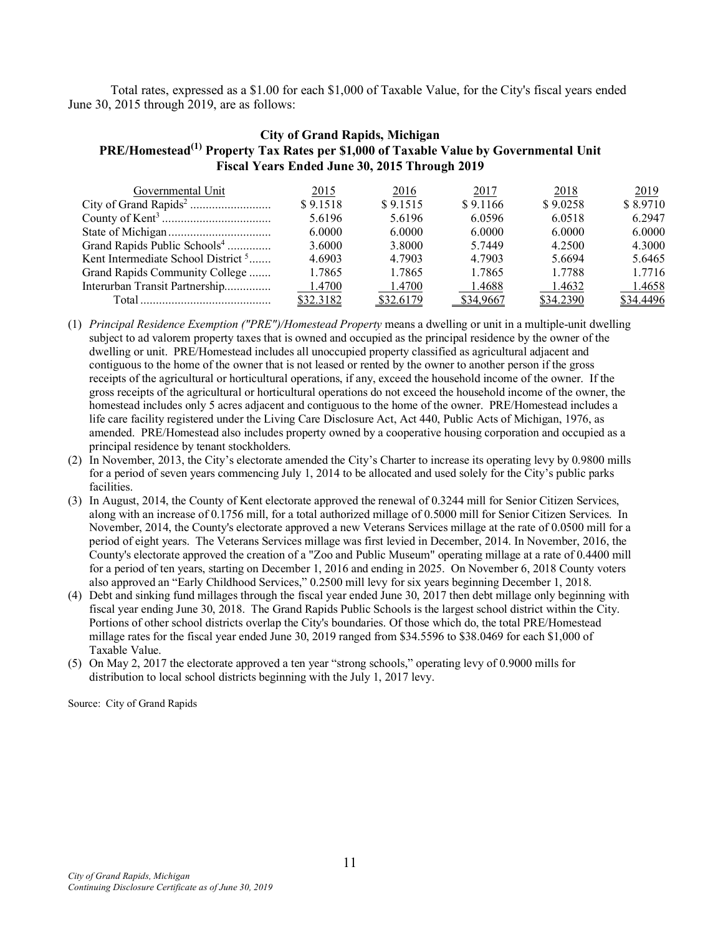Total rates, expressed as a \$1.00 for each \$1,000 of Taxable Value, for the City's fiscal years ended June 30, 2015 through 2019, are as follows:

### **City of Grand Rapids, Michigan PRE/Homestead(1) Property Tax Rates per \$1,000 of Taxable Value by Governmental Unit Fiscal Years Ended June 30, 2015 Through 2019**

| Governmental Unit                              | 2015      | 2016      | 2017      | 2018      | 2019      |
|------------------------------------------------|-----------|-----------|-----------|-----------|-----------|
|                                                | \$9.1518  | \$9.1515  | \$9.1166  | \$9.0258  | \$8.9710  |
|                                                | 5.6196    | 5.6196    | 6.0596    | 6.0518    | 6.2947    |
|                                                | 6.0000    | 6.0000    | 6.0000    | 6.0000    | 6.0000    |
| Grand Rapids Public Schools <sup>4</sup>       | 3.6000    | 3.8000    | 5.7449    | 4.2500    | 4.3000    |
| Kent Intermediate School District <sup>5</sup> | 4.6903    | 4.7903    | 4.7903    | 5.6694    | 5.6465    |
| Grand Rapids Community College                 | 1.7865    | 1.7865    | 1.7865    | 1.7788    | 1.7716    |
| Interurban Transit Partnership                 | 1.4700    | 1.4700    | 1.4688    | 1.4632    | 1.4658    |
|                                                | \$32.3182 | \$32.6179 | \$34,9667 | \$34.2390 | \$34.4496 |

(1) *Principal Residence Exemption ("PRE")/Homestead Property* means a dwelling or unit in a multiple-unit dwelling subject to ad valorem property taxes that is owned and occupied as the principal residence by the owner of the dwelling or unit. PRE/Homestead includes all unoccupied property classified as agricultural adjacent and contiguous to the home of the owner that is not leased or rented by the owner to another person if the gross receipts of the agricultural or horticultural operations, if any, exceed the household income of the owner. If the gross receipts of the agricultural or horticultural operations do not exceed the household income of the owner, the homestead includes only 5 acres adjacent and contiguous to the home of the owner. PRE/Homestead includes a life care facility registered under the Living Care Disclosure Act, Act 440, Public Acts of Michigan, 1976, as amended. PRE/Homestead also includes property owned by a cooperative housing corporation and occupied as a principal residence by tenant stockholders.

- (2) In November, 2013, the City's electorate amended the City's Charter to increase its operating levy by 0.9800 mills for a period of seven years commencing July 1, 2014 to be allocated and used solely for the City's public parks facilities.
- (3) In August, 2014, the County of Kent electorate approved the renewal of 0.3244 mill for Senior Citizen Services, along with an increase of 0.1756 mill, for a total authorized millage of 0.5000 mill for Senior Citizen Services. In November, 2014, the County's electorate approved a new Veterans Services millage at the rate of 0.0500 mill for a period of eight years. The Veterans Services millage was first levied in December, 2014. In November, 2016, the County's electorate approved the creation of a "Zoo and Public Museum" operating millage at a rate of 0.4400 mill for a period of ten years, starting on December 1, 2016 and ending in 2025. On November 6, 2018 County voters also approved an "Early Childhood Services," 0.2500 mill levy for six years beginning December 1, 2018.
- (4) Debt and sinking fund millages through the fiscal year ended June 30, 2017 then debt millage only beginning with fiscal year ending June 30, 2018. The Grand Rapids Public Schools is the largest school district within the City. Portions of other school districts overlap the City's boundaries. Of those which do, the total PRE/Homestead millage rates for the fiscal year ended June 30, 2019 ranged from \$34.5596 to \$38.0469 for each \$1,000 of Taxable Value.
- (5) On May 2, 2017 the electorate approved a ten year "strong schools," operating levy of 0.9000 mills for distribution to local school districts beginning with the July 1, 2017 levy.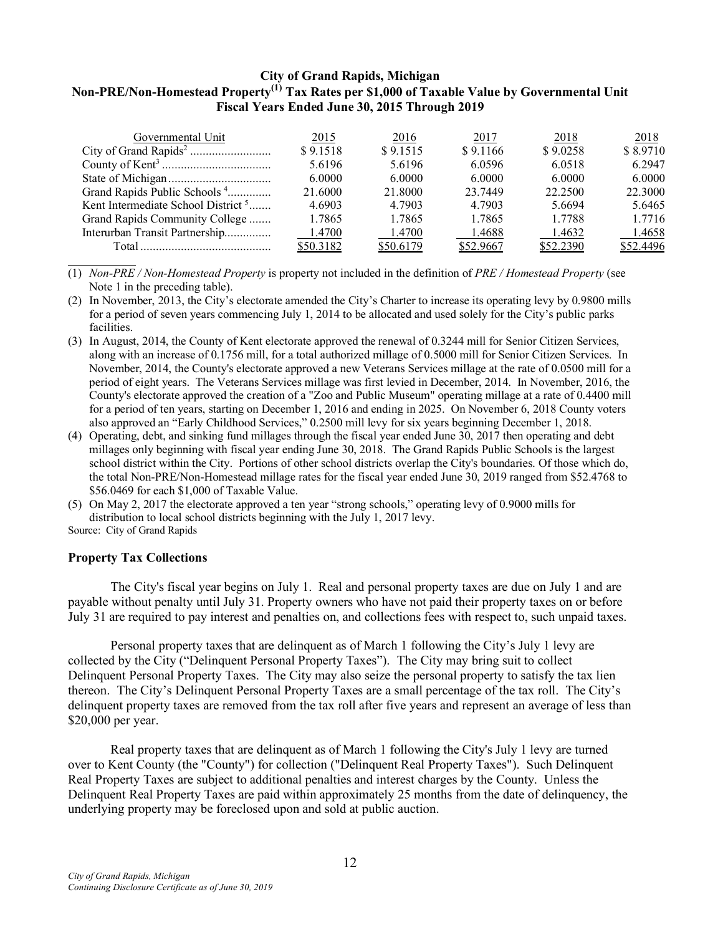# **City of Grand Rapids, Michigan Non-PRE/Non-Homestead Property(1) Tax Rates per \$1,000 of Taxable Value by Governmental Unit Fiscal Years Ended June 30, 2015 Through 2019**

| Governmental Unit                              | 2015      | 2016      | 2017      | 2018      | 2018      |
|------------------------------------------------|-----------|-----------|-----------|-----------|-----------|
|                                                | \$9.1518  | \$9.1515  | \$9.1166  | \$9.0258  | \$8.9710  |
|                                                | 5.6196    | 5.6196    | 6.0596    | 6.0518    | 6.2947    |
|                                                | 6.0000    | 6.0000    | 6.0000    | 6.0000    | 6.0000    |
| Grand Rapids Public Schools <sup>4</sup>       | 21.6000   | 21.8000   | 23.7449   | 22.2500   | 22.3000   |
| Kent Intermediate School District <sup>5</sup> | 4.6903    | 4.7903    | 4.7903    | 5.6694    | 5.6465    |
| Grand Rapids Community College                 | 1.7865    | 1.7865    | 1.7865    | 1.7788    | 1.7716    |
| Interurban Transit Partnership                 | 1.4700    | 1.4700    | 1.4688    | 1.4632    | 1.4658    |
|                                                | \$50.3182 | \$50.6179 | \$52.9667 | \$52.2390 | \$52.4496 |

(1) *Non-PRE / Non-Homestead Property* is property not included in the definition of *PRE / Homestead Property* (see Note 1 in the preceding table).

(2) In November, 2013, the City's electorate amended the City's Charter to increase its operating levy by 0.9800 mills for a period of seven years commencing July 1, 2014 to be allocated and used solely for the City's public parks facilities.

- (3) In August, 2014, the County of Kent electorate approved the renewal of 0.3244 mill for Senior Citizen Services, along with an increase of 0.1756 mill, for a total authorized millage of 0.5000 mill for Senior Citizen Services. In November, 2014, the County's electorate approved a new Veterans Services millage at the rate of 0.0500 mill for a period of eight years. The Veterans Services millage was first levied in December, 2014. In November, 2016, the County's electorate approved the creation of a "Zoo and Public Museum" operating millage at a rate of 0.4400 mill for a period of ten years, starting on December 1, 2016 and ending in 2025. On November 6, 2018 County voters also approved an "Early Childhood Services," 0.2500 mill levy for six years beginning December 1, 2018.
- (4) Operating, debt, and sinking fund millages through the fiscal year ended June 30, 2017 then operating and debt millages only beginning with fiscal year ending June 30, 2018. The Grand Rapids Public Schools is the largest school district within the City. Portions of other school districts overlap the City's boundaries. Of those which do, the total Non-PRE/Non-Homestead millage rates for the fiscal year ended June 30, 2019 ranged from \$52.4768 to \$56.0469 for each \$1,000 of Taxable Value.

(5) On May 2, 2017 the electorate approved a ten year "strong schools," operating levy of 0.9000 mills for distribution to local school districts beginning with the July 1, 2017 levy. Source: City of Grand Rapids

#### **Property Tax Collections**

The City's fiscal year begins on July 1. Real and personal property taxes are due on July 1 and are payable without penalty until July 31. Property owners who have not paid their property taxes on or before July 31 are required to pay interest and penalties on, and collections fees with respect to, such unpaid taxes.

Personal property taxes that are delinquent as of March 1 following the City's July 1 levy are collected by the City ("Delinquent Personal Property Taxes"). The City may bring suit to collect Delinquent Personal Property Taxes. The City may also seize the personal property to satisfy the tax lien thereon. The City's Delinquent Personal Property Taxes are a small percentage of the tax roll. The City's delinquent property taxes are removed from the tax roll after five years and represent an average of less than \$20,000 per year.

Real property taxes that are delinquent as of March 1 following the City's July 1 levy are turned over to Kent County (the "County") for collection ("Delinquent Real Property Taxes"). Such Delinquent Real Property Taxes are subject to additional penalties and interest charges by the County. Unless the Delinquent Real Property Taxes are paid within approximately 25 months from the date of delinquency, the underlying property may be foreclosed upon and sold at public auction.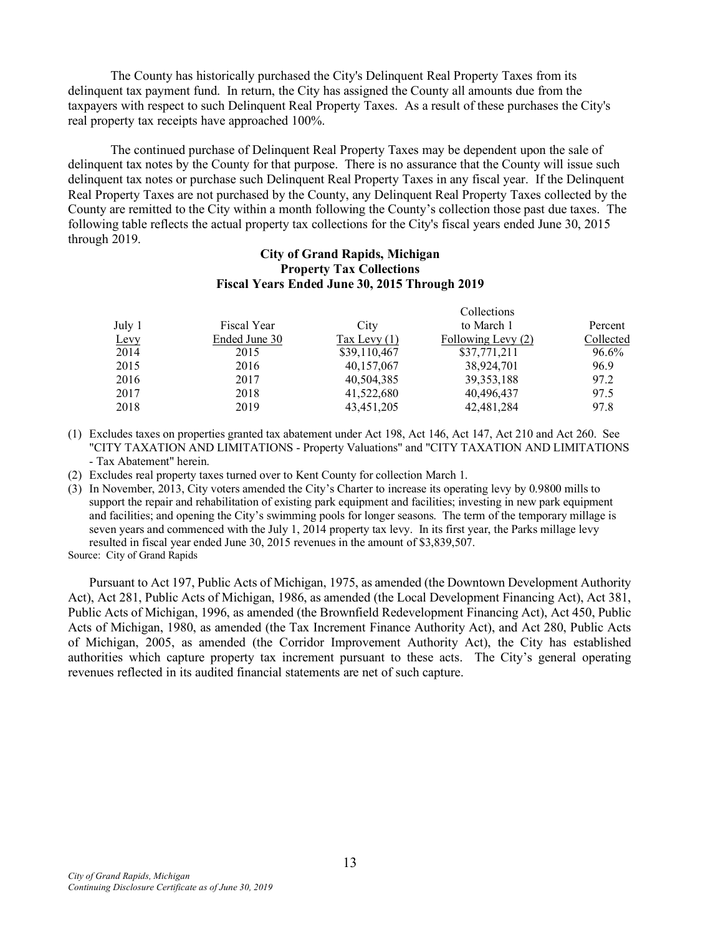The County has historically purchased the City's Delinquent Real Property Taxes from its delinquent tax payment fund. In return, the City has assigned the County all amounts due from the taxpayers with respect to such Delinquent Real Property Taxes. As a result of these purchases the City's real property tax receipts have approached 100%.

The continued purchase of Delinquent Real Property Taxes may be dependent upon the sale of delinquent tax notes by the County for that purpose. There is no assurance that the County will issue such delinquent tax notes or purchase such Delinquent Real Property Taxes in any fiscal year. If the Delinquent Real Property Taxes are not purchased by the County, any Delinquent Real Property Taxes collected by the County are remitted to the City within a month following the County's collection those past due taxes. The following table reflects the actual property tax collections for the City's fiscal years ended June 30, 2015 through 2019.

### **City of Grand Rapids, Michigan Property Tax Collections Fiscal Years Ended June 30, 2015 Through 2019**

| July 1 | Fiscal Year   | City           | to March 1         | Percent   |
|--------|---------------|----------------|--------------------|-----------|
| Levy   | Ended June 30 | Tax Levy $(1)$ | Following Levy (2) | Collected |
| 2014   | 2015          | \$39,110,467   | \$37,771,211       | 96.6%     |
| 2015   | 2016          | 40,157,067     | 38,924,701         | 96.9      |
| 2016   | 2017          | 40,504,385     | 39, 353, 188       | 97.2      |
| 2017   | 2018          | 41,522,680     | 40,496,437         | 97.5      |
| 2018   | 2019          | 43, 451, 205   | 42,481,284         | 97.8      |

(1) Excludes taxes on properties granted tax abatement under Act 198, Act 146, Act 147, Act 210 and Act 260. See "CITY TAXATION AND LIMITATIONS - Property Valuations" and "CITY TAXATION AND LIMITATIONS - Tax Abatement" herein.

(2) Excludes real property taxes turned over to Kent County for collection March 1.

(3) In November, 2013, City voters amended the City's Charter to increase its operating levy by 0.9800 mills to support the repair and rehabilitation of existing park equipment and facilities; investing in new park equipment and facilities; and opening the City's swimming pools for longer seasons. The term of the temporary millage is seven years and commenced with the July 1, 2014 property tax levy. In its first year, the Parks millage levy resulted in fiscal year ended June 30, 2015 revenues in the amount of \$3,839,507.

Source: City of Grand Rapids

Pursuant to Act 197, Public Acts of Michigan, 1975, as amended (the Downtown Development Authority Act), Act 281, Public Acts of Michigan, 1986, as amended (the Local Development Financing Act), Act 381, Public Acts of Michigan, 1996, as amended (the Brownfield Redevelopment Financing Act), Act 450, Public Acts of Michigan, 1980, as amended (the Tax Increment Finance Authority Act), and Act 280, Public Acts of Michigan, 2005, as amended (the Corridor Improvement Authority Act), the City has established authorities which capture property tax increment pursuant to these acts. The City's general operating revenues reflected in its audited financial statements are net of such capture.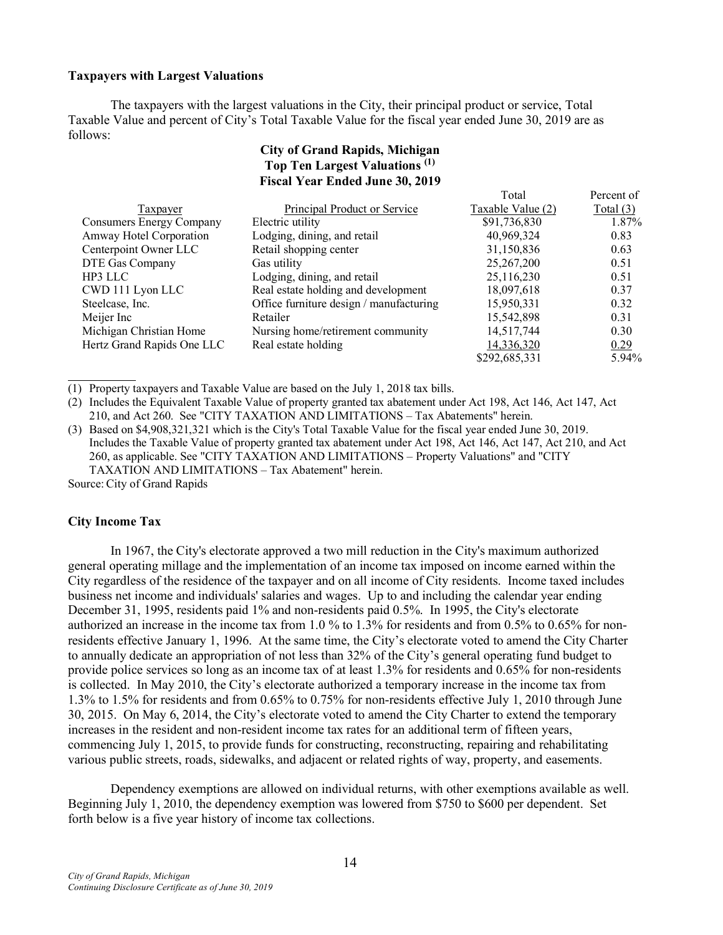#### **Taxpayers with Largest Valuations**

The taxpayers with the largest valuations in the City, their principal product or service, Total Taxable Value and percent of City's Total Taxable Value for the fiscal year ended June 30, 2019 are as follows:

# **City of Grand Rapids, Michigan Top Ten Largest Valuations (1) Fiscal Year Ended June 30, 2019**

|                                 |                                         | Total             | Percent of |
|---------------------------------|-----------------------------------------|-------------------|------------|
| Taxpayer                        | Principal Product or Service            | Taxable Value (2) | Total (3)  |
| <b>Consumers Energy Company</b> | Electric utility                        | \$91,736,830      | 1.87%      |
| Amway Hotel Corporation         | Lodging, dining, and retail             | 40,969,324        | 0.83       |
| Centerpoint Owner LLC           | Retail shopping center                  | 31,150,836        | 0.63       |
| DTE Gas Company                 | Gas utility                             | 25,267,200        | 0.51       |
| HP3 LLC                         | Lodging, dining, and retail             | 25,116,230        | 0.51       |
| CWD 111 Lyon LLC                | Real estate holding and development     | 18,097,618        | 0.37       |
| Steelcase, Inc.                 | Office furniture design / manufacturing | 15,950,331        | 0.32       |
| Meijer Inc                      | Retailer                                | 15,542,898        | 0.31       |
| Michigan Christian Home         | Nursing home/retirement community       | 14,517,744        | 0.30       |
| Hertz Grand Rapids One LLC      | Real estate holding                     | 14,336,320        | 0.29       |
|                                 |                                         | \$292,685,331     | 5.94%      |

(1) Property taxpayers and Taxable Value are based on the July 1, 2018 tax bills.

(2) Includes the Equivalent Taxable Value of property granted tax abatement under Act 198, Act 146, Act 147, Act 210, and Act 260. See "CITY TAXATION AND LIMITATIONS – Tax Abatements" herein.

(3) Based on \$4,908,321,321 which is the City's Total Taxable Value for the fiscal year ended June 30, 2019. Includes the Taxable Value of property granted tax abatement under Act 198, Act 146, Act 147, Act 210, and Act 260, as applicable. See "CITY TAXATION AND LIMITATIONS – Property Valuations" and "CITY TAXATION AND LIMITATIONS – Tax Abatement" herein.

Source: City of Grand Rapids

#### **City Income Tax**

In 1967, the City's electorate approved a two mill reduction in the City's maximum authorized general operating millage and the implementation of an income tax imposed on income earned within the City regardless of the residence of the taxpayer and on all income of City residents. Income taxed includes business net income and individuals' salaries and wages. Up to and including the calendar year ending December 31, 1995, residents paid 1% and non-residents paid 0.5%. In 1995, the City's electorate authorized an increase in the income tax from 1.0 % to 1.3% for residents and from 0.5% to 0.65% for nonresidents effective January 1, 1996. At the same time, the City's electorate voted to amend the City Charter to annually dedicate an appropriation of not less than 32% of the City's general operating fund budget to provide police services so long as an income tax of at least 1.3% for residents and 0.65% for non-residents is collected. In May 2010, the City's electorate authorized a temporary increase in the income tax from 1.3% to 1.5% for residents and from 0.65% to 0.75% for non-residents effective July 1, 2010 through June 30, 2015. On May 6, 2014, the City's electorate voted to amend the City Charter to extend the temporary increases in the resident and non-resident income tax rates for an additional term of fifteen years, commencing July 1, 2015, to provide funds for constructing, reconstructing, repairing and rehabilitating various public streets, roads, sidewalks, and adjacent or related rights of way, property, and easements.

Dependency exemptions are allowed on individual returns, with other exemptions available as well. Beginning July 1, 2010, the dependency exemption was lowered from \$750 to \$600 per dependent. Set forth below is a five year history of income tax collections.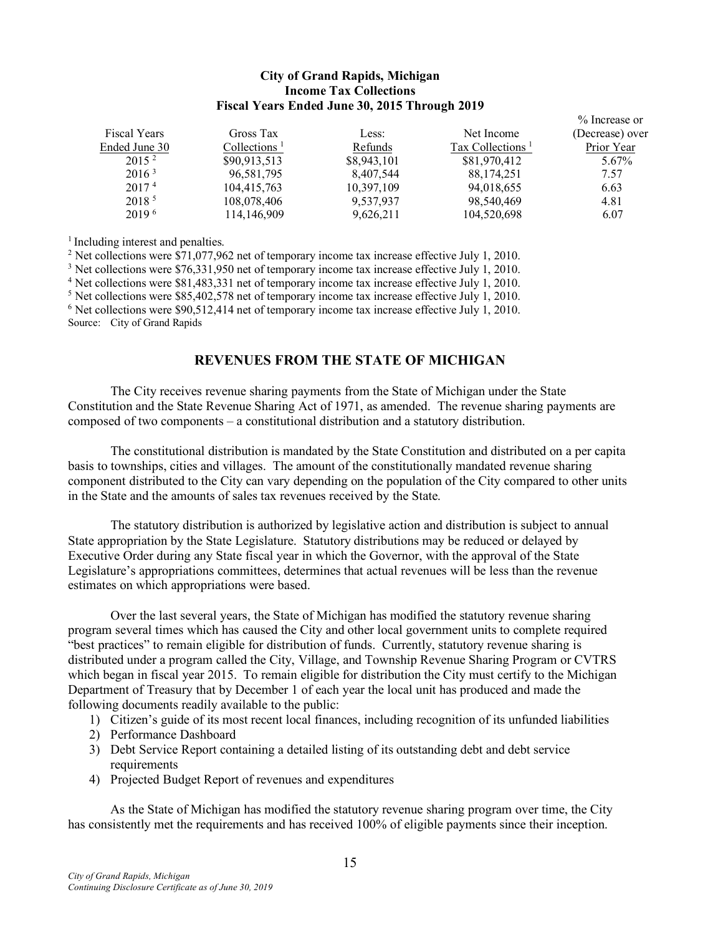### **City of Grand Rapids, Michigan Income Tax Collections Fiscal Years Ended June 30, 2015 Through 2019**

| <b>Fiscal Years</b> | Gross Tax       | Less:       | Net Income                                | % Increase or<br>(Decrease) over |
|---------------------|-----------------|-------------|-------------------------------------------|----------------------------------|
| Ended June 30       | Collections $1$ | Refunds     | Tax Collections <sup><math>1</math></sup> | Prior Year                       |
| 2015 <sup>2</sup>   | \$90,913,513    | \$8,943,101 | \$81,970,412                              | 5.67%                            |
| 2016 <sup>3</sup>   | 96,581,795      | 8,407,544   | 88, 174, 251                              | 7.57                             |
| 2017 <sup>4</sup>   | 104,415,763     | 10,397,109  | 94,018,655                                | 6.63                             |
| 2018 <sup>5</sup>   | 108,078,406     | 9,537,937   | 98,540,469                                | 4.81                             |
| $2019^{6}$          | 114,146,909     | 9,626,211   | 104,520,698                               | 6.07                             |

<sup>1</sup> Including interest and penalties.

 Net collections were \$71,077,962 net of temporary income tax increase effective July 1, 2010. Net collections were \$76,331,950 net of temporary income tax increase effective July 1, 2010. Net collections were \$81,483,331 net of temporary income tax increase effective July 1, 2010. <sup>5</sup> Net collections were \$85,402,578 net of temporary income tax increase effective July 1, 2010. Net collections were \$90,512,414 net of temporary income tax increase effective July 1, 2010. Source: City of Grand Rapids

# **REVENUES FROM THE STATE OF MICHIGAN**

The City receives revenue sharing payments from the State of Michigan under the State Constitution and the State Revenue Sharing Act of 1971, as amended. The revenue sharing payments are composed of two components – a constitutional distribution and a statutory distribution.

The constitutional distribution is mandated by the State Constitution and distributed on a per capita basis to townships, cities and villages. The amount of the constitutionally mandated revenue sharing component distributed to the City can vary depending on the population of the City compared to other units in the State and the amounts of sales tax revenues received by the State.

The statutory distribution is authorized by legislative action and distribution is subject to annual State appropriation by the State Legislature. Statutory distributions may be reduced or delayed by Executive Order during any State fiscal year in which the Governor, with the approval of the State Legislature's appropriations committees, determines that actual revenues will be less than the revenue estimates on which appropriations were based.

Over the last several years, the State of Michigan has modified the statutory revenue sharing program several times which has caused the City and other local government units to complete required "best practices" to remain eligible for distribution of funds. Currently, statutory revenue sharing is distributed under a program called the City, Village, and Township Revenue Sharing Program or CVTRS which began in fiscal year 2015. To remain eligible for distribution the City must certify to the Michigan Department of Treasury that by December 1 of each year the local unit has produced and made the following documents readily available to the public:

- 1) Citizen's guide of its most recent local finances, including recognition of its unfunded liabilities
- 2) Performance Dashboard
- 3) Debt Service Report containing a detailed listing of its outstanding debt and debt service requirements
- 4) Projected Budget Report of revenues and expenditures

As the State of Michigan has modified the statutory revenue sharing program over time, the City has consistently met the requirements and has received 100% of eligible payments since their inception.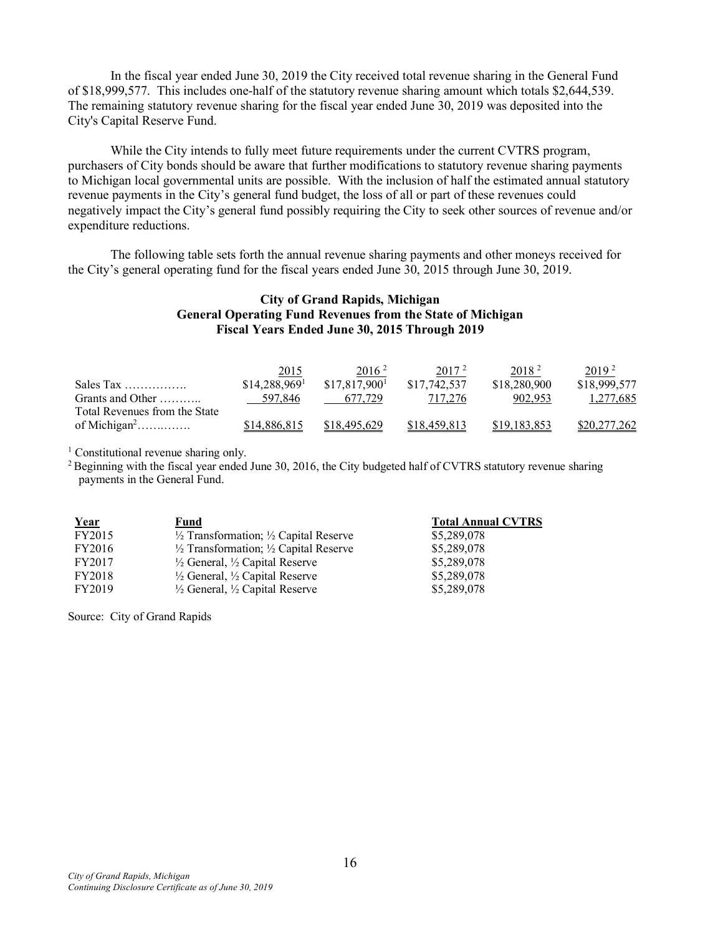In the fiscal year ended June 30, 2019 the City received total revenue sharing in the General Fund of \$18,999,577. This includes one-half of the statutory revenue sharing amount which totals \$2,644,539. The remaining statutory revenue sharing for the fiscal year ended June 30, 2019 was deposited into the City's Capital Reserve Fund.

While the City intends to fully meet future requirements under the current CVTRS program, purchasers of City bonds should be aware that further modifications to statutory revenue sharing payments to Michigan local governmental units are possible. With the inclusion of half the estimated annual statutory revenue payments in the City's general fund budget, the loss of all or part of these revenues could negatively impact the City's general fund possibly requiring the City to seek other sources of revenue and/or expenditure reductions.

The following table sets forth the annual revenue sharing payments and other moneys received for the City's general operating fund for the fiscal years ended June 30, 2015 through June 30, 2019.

### **City of Grand Rapids, Michigan General Operating Fund Revenues from the State of Michigan Fiscal Years Ended June 30, 2015 Through 2019**

|                                       | 2015                       | 2016 <sup>2</sup> | 2017 <sup>2</sup> | 2018 <sup>2</sup> | 2019 <sup>2</sup> |
|---------------------------------------|----------------------------|-------------------|-------------------|-------------------|-------------------|
| Sales Tax $\dots\dots\dots\dots\dots$ | $$14,288,969$ <sup>1</sup> | \$17,817,900      | \$17,742,537      | \$18,280,900      | \$18,999,577      |
| Grants and Other                      | 597,846                    | 677.729           | 717,276           | 902.953           | 1,277,685         |
| Total Revenues from the State         |                            |                   |                   |                   |                   |
| of Michigan <sup>2</sup>              | \$14,886,815               | \$18,495,629      | \$18,459,813      | \$19,183,853      | \$20,277,262      |

<sup>1</sup> Constitutional revenue sharing only.

<sup>2</sup> Beginning with the fiscal year ended June 30, 2016, the City budgeted half of CVTRS statutory revenue sharing payments in the General Fund.

| Year   | Fund                                                        | <b>Total Annual CVTRS</b> |
|--------|-------------------------------------------------------------|---------------------------|
| FY2015 | $\frac{1}{2}$ Transformation; $\frac{1}{2}$ Capital Reserve | \$5,289,078               |
| FY2016 | $\frac{1}{2}$ Transformation; $\frac{1}{2}$ Capital Reserve | \$5,289,078               |
| FY2017 | $\frac{1}{2}$ General, $\frac{1}{2}$ Capital Reserve        | \$5,289,078               |
| FY2018 | $\frac{1}{2}$ General, $\frac{1}{2}$ Capital Reserve        | \$5,289,078               |
| FY2019 | $\frac{1}{2}$ General, $\frac{1}{2}$ Capital Reserve        | \$5,289,078               |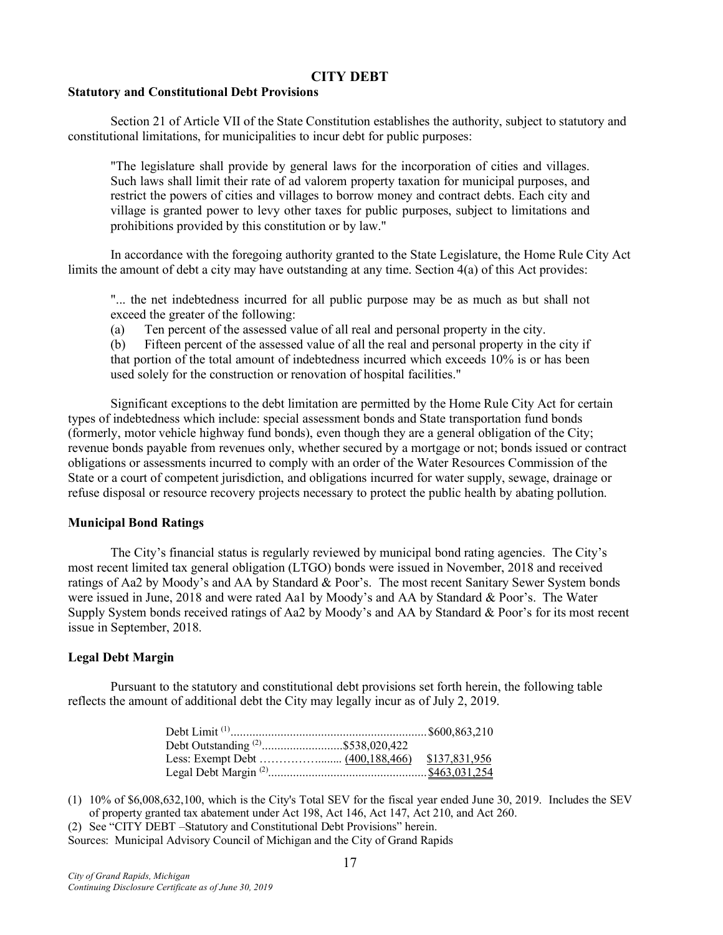### **CITY DEBT**

### **Statutory and Constitutional Debt Provisions**

Section 21 of Article VII of the State Constitution establishes the authority, subject to statutory and constitutional limitations, for municipalities to incur debt for public purposes:

"The legislature shall provide by general laws for the incorporation of cities and villages. Such laws shall limit their rate of ad valorem property taxation for municipal purposes, and restrict the powers of cities and villages to borrow money and contract debts. Each city and village is granted power to levy other taxes for public purposes, subject to limitations and prohibitions provided by this constitution or by law."

In accordance with the foregoing authority granted to the State Legislature, the Home Rule City Act limits the amount of debt a city may have outstanding at any time. Section 4(a) of this Act provides:

"... the net indebtedness incurred for all public purpose may be as much as but shall not exceed the greater of the following:

(a) Ten percent of the assessed value of all real and personal property in the city.

(b) Fifteen percent of the assessed value of all the real and personal property in the city if that portion of the total amount of indebtedness incurred which exceeds 10% is or has been used solely for the construction or renovation of hospital facilities."

Significant exceptions to the debt limitation are permitted by the Home Rule City Act for certain types of indebtedness which include: special assessment bonds and State transportation fund bonds (formerly, motor vehicle highway fund bonds), even though they are a general obligation of the City; revenue bonds payable from revenues only, whether secured by a mortgage or not; bonds issued or contract obligations or assessments incurred to comply with an order of the Water Resources Commission of the State or a court of competent jurisdiction, and obligations incurred for water supply, sewage, drainage or refuse disposal or resource recovery projects necessary to protect the public health by abating pollution.

#### **Municipal Bond Ratings**

The City's financial status is regularly reviewed by municipal bond rating agencies. The City's most recent limited tax general obligation (LTGO) bonds were issued in November, 2018 and received ratings of Aa2 by Moody's and AA by Standard & Poor's. The most recent Sanitary Sewer System bonds were issued in June, 2018 and were rated Aa1 by Moody's and AA by Standard & Poor's. The Water Supply System bonds received ratings of Aa2 by Moody's and AA by Standard & Poor's for its most recent issue in September, 2018.

#### **Legal Debt Margin**

Pursuant to the statutory and constitutional debt provisions set forth herein, the following table reflects the amount of additional debt the City may legally incur as of July 2, 2019.

| Debt Outstanding <sup>(2)</sup> \$538,020,422 |  |
|-----------------------------------------------|--|
|                                               |  |
|                                               |  |

- (1) 10% of \$6,008,632,100, which is the City's Total SEV for the fiscal year ended June 30, 2019. Includes the SEV of property granted tax abatement under Act 198, Act 146, Act 147, Act 210, and Act 260.
- (2) See "CITY DEBT –Statutory and Constitutional Debt Provisions" herein.

Sources: Municipal Advisory Council of Michigan and the City of Grand Rapids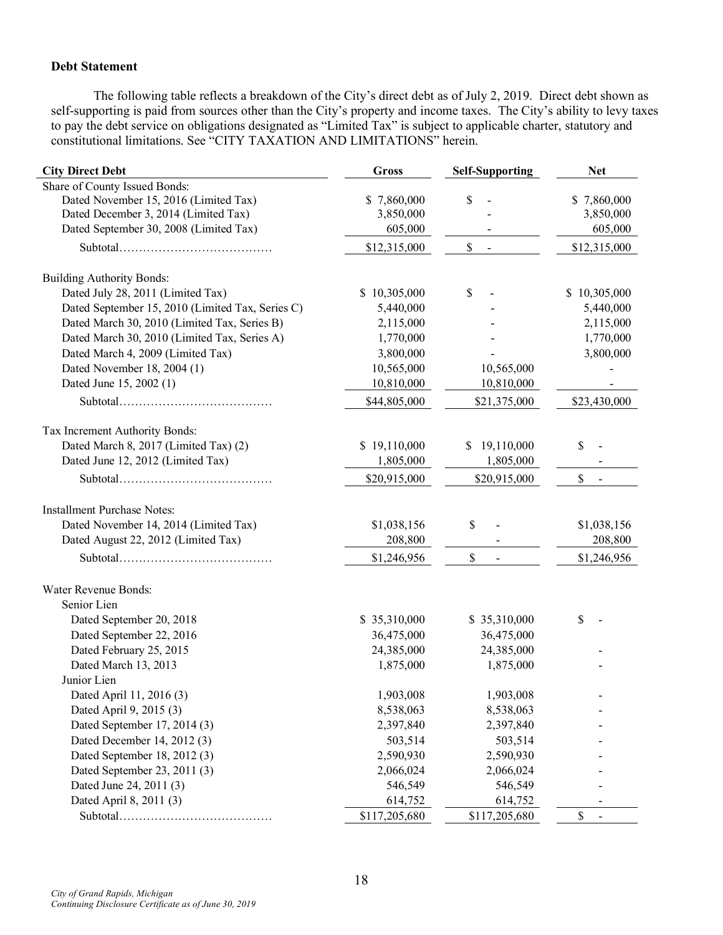# **Debt Statement**

The following table reflects a breakdown of the City's direct debt as of July 2, 2019. Direct debt shown as self-supporting is paid from sources other than the City's property and income taxes. The City's ability to levy taxes to pay the debt service on obligations designated as "Limited Tax" is subject to applicable charter, statutory and constitutional limitations. See "CITY TAXATION AND LIMITATIONS" herein.

| <b>City Direct Debt</b>                          | <b>Gross</b>  | <b>Self-Supporting</b> | <b>Net</b>   |  |  |  |
|--------------------------------------------------|---------------|------------------------|--------------|--|--|--|
| Share of County Issued Bonds:                    |               |                        |              |  |  |  |
| Dated November 15, 2016 (Limited Tax)            | \$7,860,000   | \$                     | \$7,860,000  |  |  |  |
| Dated December 3, 2014 (Limited Tax)             | 3,850,000     |                        | 3,850,000    |  |  |  |
| Dated September 30, 2008 (Limited Tax)           | 605,000       |                        | 605,000      |  |  |  |
|                                                  | \$12,315,000  | \$                     | \$12,315,000 |  |  |  |
| <b>Building Authority Bonds:</b>                 |               |                        |              |  |  |  |
| Dated July 28, 2011 (Limited Tax)                | \$10,305,000  | \$                     | \$10,305,000 |  |  |  |
| Dated September 15, 2010 (Limited Tax, Series C) | 5,440,000     |                        | 5,440,000    |  |  |  |
| Dated March 30, 2010 (Limited Tax, Series B)     | 2,115,000     |                        | 2,115,000    |  |  |  |
| Dated March 30, 2010 (Limited Tax, Series A)     | 1,770,000     |                        | 1,770,000    |  |  |  |
| Dated March 4, 2009 (Limited Tax)                | 3,800,000     |                        | 3,800,000    |  |  |  |
| Dated November 18, 2004 (1)                      | 10,565,000    | 10,565,000             |              |  |  |  |
| Dated June 15, 2002 (1)                          | 10,810,000    | 10,810,000             |              |  |  |  |
|                                                  | \$44,805,000  | \$21,375,000           | \$23,430,000 |  |  |  |
| Tax Increment Authority Bonds:                   |               |                        |              |  |  |  |
| Dated March 8, 2017 (Limited Tax) (2)            | \$19,110,000  | 19,110,000<br>S        | \$           |  |  |  |
| Dated June 12, 2012 (Limited Tax)                | 1,805,000     | 1,805,000              |              |  |  |  |
|                                                  | \$20,915,000  | \$20,915,000           | \$           |  |  |  |
| <b>Installment Purchase Notes:</b>               |               |                        |              |  |  |  |
| Dated November 14, 2014 (Limited Tax)            | \$1,038,156   | \$                     | \$1,038,156  |  |  |  |
| Dated August 22, 2012 (Limited Tax)              | 208,800       |                        | 208,800      |  |  |  |
|                                                  | \$1,246,956   | \$                     | \$1,246,956  |  |  |  |
| Water Revenue Bonds:                             |               |                        |              |  |  |  |
| Senior Lien                                      |               |                        |              |  |  |  |
| Dated September 20, 2018                         | \$35,310,000  | \$35,310,000           | \$           |  |  |  |
| Dated September 22, 2016                         | 36,475,000    | 36,475,000             |              |  |  |  |
| Dated February 25, 2015                          | 24,385,000    | 24,385,000             |              |  |  |  |
| Dated March 13, 2013                             | 1,875,000     | 1,875,000              |              |  |  |  |
| Junior Lien                                      |               |                        |              |  |  |  |
| Dated April 11, 2016 (3)                         | 1,903,008     | 1,903,008              |              |  |  |  |
| Dated April 9, 2015 (3)                          | 8,538,063     | 8,538,063              |              |  |  |  |
| Dated September 17, 2014 (3)                     | 2,397,840     | 2,397,840              |              |  |  |  |
| Dated December 14, 2012 (3)                      | 503,514       | 503,514                |              |  |  |  |
| Dated September 18, 2012 (3)                     | 2,590,930     | 2,590,930              |              |  |  |  |
| Dated September 23, 2011 (3)                     | 2,066,024     | 2,066,024              |              |  |  |  |
| Dated June 24, 2011 (3)                          | 546,549       | 546,549                |              |  |  |  |
| Dated April 8, 2011 (3)                          | 614,752       | 614,752                |              |  |  |  |
|                                                  | \$117,205,680 | \$117,205,680          | \$           |  |  |  |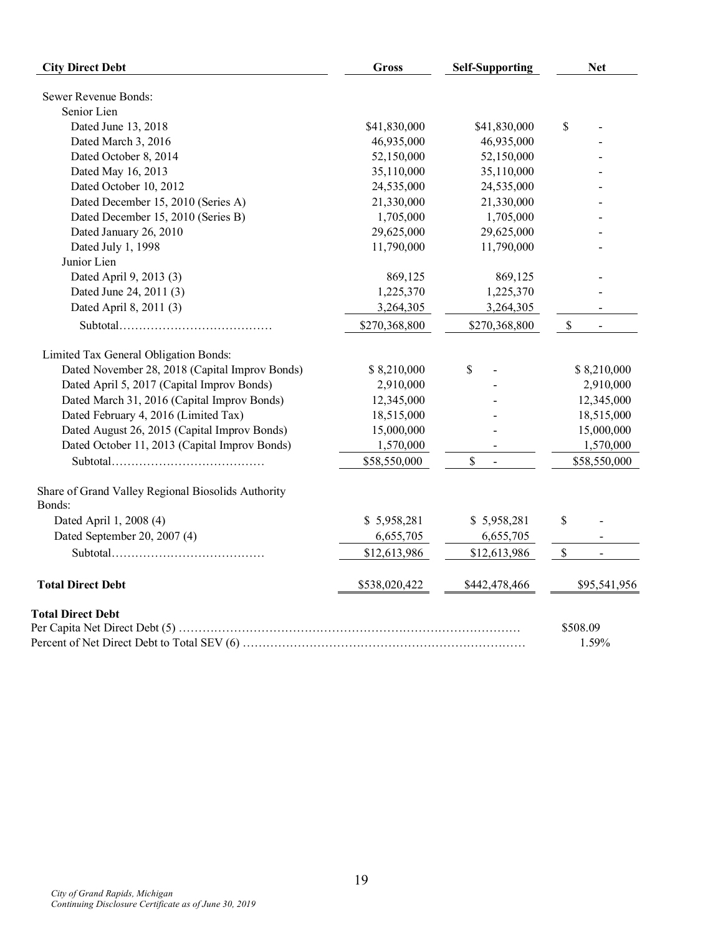| <b>City Direct Debt</b>                                      | <b>Gross</b>  | <b>Self-Supporting</b> | <b>Net</b>                     |  |  |  |
|--------------------------------------------------------------|---------------|------------------------|--------------------------------|--|--|--|
| Sewer Revenue Bonds:                                         |               |                        |                                |  |  |  |
| Senior Lien                                                  |               |                        |                                |  |  |  |
| Dated June 13, 2018                                          | \$41,830,000  | \$41,830,000           | \$                             |  |  |  |
| Dated March 3, 2016                                          | 46,935,000    | 46,935,000             |                                |  |  |  |
| Dated October 8, 2014                                        | 52,150,000    | 52,150,000             |                                |  |  |  |
| Dated May 16, 2013                                           | 35,110,000    | 35,110,000             |                                |  |  |  |
| Dated October 10, 2012                                       | 24,535,000    | 24,535,000             |                                |  |  |  |
| Dated December 15, 2010 (Series A)                           | 21,330,000    | 21,330,000             |                                |  |  |  |
| Dated December 15, 2010 (Series B)                           | 1,705,000     | 1,705,000              |                                |  |  |  |
| Dated January 26, 2010                                       | 29,625,000    | 29,625,000             |                                |  |  |  |
| Dated July 1, 1998                                           | 11,790,000    | 11,790,000             |                                |  |  |  |
| Junior Lien                                                  |               |                        |                                |  |  |  |
| Dated April 9, 2013 (3)                                      | 869,125       | 869,125                |                                |  |  |  |
| Dated June 24, 2011 (3)                                      | 1,225,370     | 1,225,370              |                                |  |  |  |
| Dated April 8, 2011 (3)                                      | 3,264,305     | 3,264,305              | $\blacksquare$                 |  |  |  |
|                                                              | \$270,368,800 | \$270,368,800          | $\mathbb{S}$<br>$\blacksquare$ |  |  |  |
| Limited Tax General Obligation Bonds:                        |               |                        |                                |  |  |  |
| Dated November 28, 2018 (Capital Improv Bonds)               | \$8,210,000   | \$                     | \$8,210,000                    |  |  |  |
| Dated April 5, 2017 (Capital Improv Bonds)                   | 2,910,000     |                        | 2,910,000                      |  |  |  |
| Dated March 31, 2016 (Capital Improv Bonds)                  | 12,345,000    |                        | 12,345,000                     |  |  |  |
| Dated February 4, 2016 (Limited Tax)                         | 18,515,000    |                        | 18,515,000                     |  |  |  |
| Dated August 26, 2015 (Capital Improv Bonds)                 | 15,000,000    |                        | 15,000,000                     |  |  |  |
| Dated October 11, 2013 (Capital Improv Bonds)                | 1,570,000     |                        | 1,570,000                      |  |  |  |
|                                                              | \$58,550,000  | \$                     | \$58,550,000                   |  |  |  |
| Share of Grand Valley Regional Biosolids Authority<br>Bonds: |               |                        |                                |  |  |  |
| Dated April 1, 2008 (4)                                      | \$5,958,281   | \$5,958,281            | \$                             |  |  |  |
| Dated September 20, 2007 (4)                                 | 6,655,705     | 6,655,705              | $\blacksquare$                 |  |  |  |
|                                                              | \$12,613,986  | \$12,613,986           | $\mathbb{S}$<br>$\sim$         |  |  |  |
| <b>Total Direct Debt</b>                                     | \$538,020,422 | \$442,478,466          | \$95,541,956                   |  |  |  |
| <b>Total Direct Debt</b>                                     |               |                        | \$508.09<br>1.59%              |  |  |  |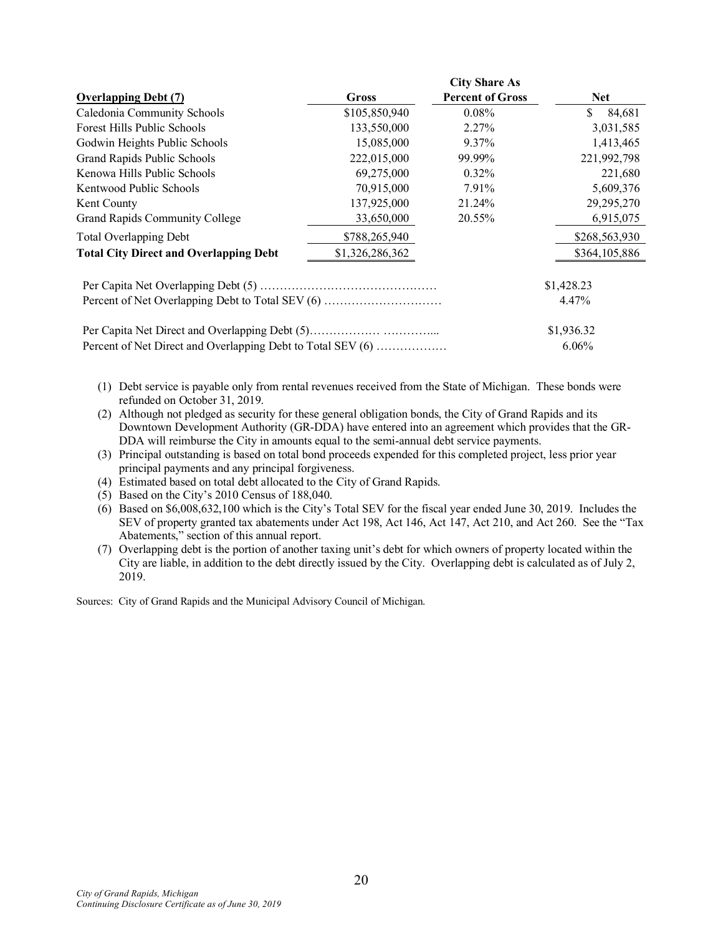|                                                             |                 | <b>City Share As</b>    |               |  |  |
|-------------------------------------------------------------|-----------------|-------------------------|---------------|--|--|
| <b>Overlapping Debt (7)</b>                                 | Gross           | <b>Percent of Gross</b> | <b>Net</b>    |  |  |
| Caledonia Community Schools                                 | \$105,850,940   | $0.08\%$                | \$<br>84,681  |  |  |
| Forest Hills Public Schools                                 | 133,550,000     | 2.27%                   | 3,031,585     |  |  |
| Godwin Heights Public Schools                               | 15,085,000      | 9.37%                   | 1,413,465     |  |  |
| Grand Rapids Public Schools                                 | 222,015,000     | 99.99%                  | 221,992,798   |  |  |
| Kenowa Hills Public Schools                                 | 69,275,000      | $0.32\%$                | 221,680       |  |  |
| Kentwood Public Schools                                     | 70,915,000      | 7.91%                   | 5,609,376     |  |  |
| Kent County                                                 | 137,925,000     | 21.24%                  | 29, 295, 270  |  |  |
| <b>Grand Rapids Community College</b>                       | 33,650,000      | 20.55%                  | 6,915,075     |  |  |
| <b>Total Overlapping Debt</b>                               | \$788,265,940   |                         | \$268,563,930 |  |  |
| <b>Total City Direct and Overlapping Debt</b>               | \$1,326,286,362 |                         | \$364,105,886 |  |  |
|                                                             |                 |                         | \$1,428.23    |  |  |
| Percent of Net Overlapping Debt to Total SEV (6)            |                 | 4.47%                   |               |  |  |
|                                                             |                 |                         | \$1,936.32    |  |  |
| Percent of Net Direct and Overlapping Debt to Total SEV (6) |                 |                         | $6.06\%$      |  |  |

- (1) Debt service is payable only from rental revenues received from the State of Michigan. These bonds were refunded on October 31, 2019.
- (2) Although not pledged as security for these general obligation bonds, the City of Grand Rapids and its Downtown Development Authority (GR-DDA) have entered into an agreement which provides that the GR-DDA will reimburse the City in amounts equal to the semi-annual debt service payments.
- (3) Principal outstanding is based on total bond proceeds expended for this completed project, less prior year principal payments and any principal forgiveness.
- (4) Estimated based on total debt allocated to the City of Grand Rapids.
- (5) Based on the City's 2010 Census of 188,040.
- (6) Based on \$6,008,632,100 which is the City's Total SEV for the fiscal year ended June 30, 2019. Includes the SEV of property granted tax abatements under Act 198, Act 146, Act 147, Act 210, and Act 260. See the "Tax Abatements," section of this annual report.
- (7) Overlapping debt is the portion of another taxing unit's debt for which owners of property located within the City are liable, in addition to the debt directly issued by the City. Overlapping debt is calculated as of July 2, 2019.

Sources: City of Grand Rapids and the Municipal Advisory Council of Michigan.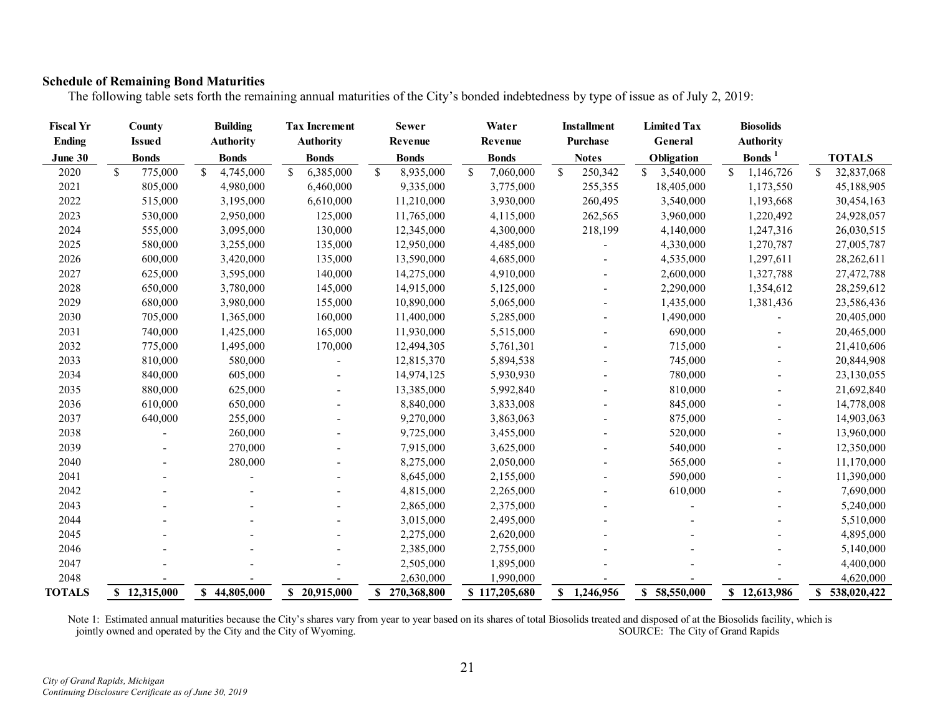# **Schedule of Remaining Bond Maturities**

The following table sets forth the remaining annual maturities of the City's bonded indebtedness by type of issue as of July 2, 2019:

| <b>Fiscal Yr</b> |              | County        | <b>Building</b>  |               | <b>Tax Increment</b> | <b>Sewer</b>    |               | Water         | <b>Installment</b><br><b>Purchase</b> |             | <b>Limited Tax</b> |               | <b>Biosolids</b> |                  |            |  |                    |               |
|------------------|--------------|---------------|------------------|---------------|----------------------|-----------------|---------------|---------------|---------------------------------------|-------------|--------------------|---------------|------------------|------------------|------------|--|--------------------|---------------|
| <b>Ending</b>    |              | <b>Issued</b> | <b>Authority</b> |               | <b>Authority</b>     | Revenue         |               | Revenue       |                                       |             | General            |               | <b>Authority</b> |                  |            |  |                    |               |
| June 30          |              | <b>Bonds</b>  | <b>Bonds</b>     |               | <b>Bonds</b>         | <b>Bonds</b>    |               | <b>Bonds</b>  | <b>Notes</b>                          |             |                    |               |                  |                  | Obligation |  | Bonds <sup>1</sup> | <b>TOTALS</b> |
| 2020             | $\mathbb{S}$ | 775,000       | \$<br>4,745,000  | <sup>\$</sup> | 6,385,000            | \$<br>8,935,000 | <sup>\$</sup> | 7,060,000     | \$                                    | 250,342     | \$<br>3,540,000    | $\mathcal{S}$ | 1,146,726        | \$<br>32,837,068 |            |  |                    |               |
| 2021             |              | 805,000       | 4,980,000        |               | 6,460,000            | 9,335,000       |               | 3,775,000     |                                       | 255,355     | 18,405,000         |               | 1,173,550        | 45,188,905       |            |  |                    |               |
| 2022             |              | 515,000       | 3,195,000        |               | 6,610,000            | 11,210,000      |               | 3,930,000     |                                       | 260,495     | 3,540,000          |               | 1,193,668        | 30,454,163       |            |  |                    |               |
| 2023             |              | 530,000       | 2,950,000        |               | 125,000              | 11,765,000      |               | 4,115,000     |                                       | 262,565     | 3,960,000          |               | 1,220,492        | 24,928,057       |            |  |                    |               |
| 2024             |              | 555,000       | 3,095,000        |               | 130,000              | 12,345,000      |               | 4,300,000     |                                       | 218,199     | 4,140,000          |               | 1,247,316        | 26,030,515       |            |  |                    |               |
| 2025             |              | 580,000       | 3,255,000        |               | 135,000              | 12,950,000      |               | 4,485,000     |                                       |             | 4,330,000          |               | 1,270,787        | 27,005,787       |            |  |                    |               |
| 2026             |              | 600,000       | 3,420,000        |               | 135,000              | 13,590,000      |               | 4,685,000     |                                       |             | 4,535,000          |               | 1,297,611        | 28,262,611       |            |  |                    |               |
| 2027             |              | 625,000       | 3,595,000        |               | 140,000              | 14,275,000      |               | 4,910,000     |                                       |             | 2,600,000          |               | 1,327,788        | 27,472,788       |            |  |                    |               |
| 2028             |              | 650,000       | 3,780,000        |               | 145,000              | 14,915,000      |               | 5,125,000     |                                       |             | 2,290,000          |               | 1,354,612        | 28,259,612       |            |  |                    |               |
| 2029             |              | 680,000       | 3,980,000        |               | 155,000              | 10,890,000      |               | 5,065,000     |                                       |             | 1,435,000          |               | 1,381,436        | 23,586,436       |            |  |                    |               |
| 2030             |              | 705,000       | 1,365,000        |               | 160,000              | 11,400,000      |               | 5,285,000     |                                       |             | 1,490,000          |               |                  | 20,405,000       |            |  |                    |               |
| 2031             |              | 740,000       | 1,425,000        |               | 165,000              | 11,930,000      |               | 5,515,000     |                                       |             | 690,000            |               |                  | 20,465,000       |            |  |                    |               |
| 2032             |              | 775,000       | 1,495,000        |               | 170,000              | 12,494,305      |               | 5,761,301     |                                       |             | 715,000            |               |                  | 21,410,606       |            |  |                    |               |
| 2033             |              | 810,000       | 580,000          |               |                      | 12,815,370      |               | 5,894,538     |                                       |             | 745,000            |               |                  | 20,844,908       |            |  |                    |               |
| 2034             |              | 840,000       | 605,000          |               |                      | 14,974,125      |               | 5,930,930     |                                       |             | 780,000            |               |                  | 23,130,055       |            |  |                    |               |
| 2035             |              | 880,000       | 625,000          |               |                      | 13,385,000      |               | 5,992,840     |                                       |             | 810,000            |               |                  | 21,692,840       |            |  |                    |               |
| 2036             |              | 610,000       | 650,000          |               |                      | 8,840,000       |               | 3,833,008     |                                       |             | 845,000            |               |                  | 14,778,008       |            |  |                    |               |
| 2037             |              | 640,000       | 255,000          |               |                      | 9,270,000       |               | 3,863,063     |                                       |             | 875,000            |               |                  | 14,903,063       |            |  |                    |               |
| 2038             |              |               | 260,000          |               |                      | 9,725,000       |               | 3,455,000     |                                       |             | 520,000            |               |                  | 13,960,000       |            |  |                    |               |
| 2039             |              |               | 270,000          |               |                      | 7,915,000       |               | 3,625,000     |                                       |             | 540,000            |               |                  | 12,350,000       |            |  |                    |               |
| 2040             |              |               | 280,000          |               |                      | 8,275,000       |               | 2,050,000     |                                       |             | 565,000            |               |                  | 11,170,000       |            |  |                    |               |
| 2041             |              |               |                  |               |                      | 8,645,000       |               | 2,155,000     |                                       |             | 590,000            |               |                  | 11,390,000       |            |  |                    |               |
| 2042             |              |               |                  |               |                      | 4,815,000       |               | 2,265,000     |                                       |             | 610,000            |               |                  | 7,690,000        |            |  |                    |               |
| 2043             |              |               |                  |               |                      | 2,865,000       |               | 2,375,000     |                                       |             |                    |               |                  | 5,240,000        |            |  |                    |               |
| 2044             |              |               |                  |               |                      | 3,015,000       |               | 2,495,000     |                                       |             |                    |               |                  | 5,510,000        |            |  |                    |               |
| 2045             |              |               |                  |               |                      | 2,275,000       |               | 2,620,000     |                                       |             |                    |               |                  | 4,895,000        |            |  |                    |               |
| 2046             |              |               |                  |               |                      | 2,385,000       |               | 2,755,000     |                                       |             |                    |               |                  | 5,140,000        |            |  |                    |               |
| 2047             |              |               |                  |               |                      | 2,505,000       |               | 1,895,000     |                                       |             |                    |               |                  | 4,400,000        |            |  |                    |               |
| 2048             |              |               |                  |               |                      | 2,630,000       |               | 1,990,000     |                                       |             |                    |               |                  | 4,620,000        |            |  |                    |               |
| <b>TOTALS</b>    |              | \$12,315,000  | \$44,805,000     |               | \$20,915,000         | \$270,368,800   |               | \$117,205,680 |                                       | \$1,246,956 | \$58,550,000       |               | \$12,613,986     | \$538,020,422    |            |  |                    |               |

Note 1: Estimated annual maturities because the City's shares vary from year to year based on its shares of total Biosolids treated and disposed of at the Biosolids facility, which is jointly owned and operated by the City and the City of Wyoming. SOURCE: The City of Grand Rapids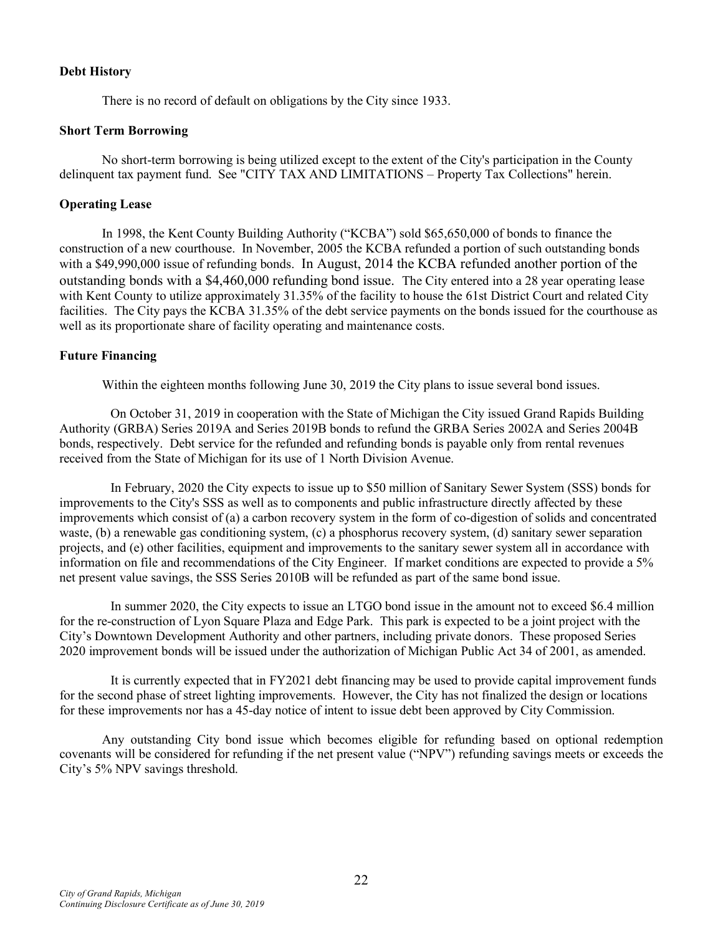# **Debt History**

There is no record of default on obligations by the City since 1933.

## **Short Term Borrowing**

No short-term borrowing is being utilized except to the extent of the City's participation in the County delinquent tax payment fund. See "CITY TAX AND LIMITATIONS – Property Tax Collections" herein.

# **Operating Lease**

In 1998, the Kent County Building Authority ("KCBA") sold \$65,650,000 of bonds to finance the construction of a new courthouse. In November, 2005 the KCBA refunded a portion of such outstanding bonds with a \$49,990,000 issue of refunding bonds. In August, 2014 the KCBA refunded another portion of the outstanding bonds with a \$4,460,000 refunding bond issue. The City entered into a 28 year operating lease with Kent County to utilize approximately 31.35% of the facility to house the 61st District Court and related City facilities. The City pays the KCBA 31.35% of the debt service payments on the bonds issued for the courthouse as well as its proportionate share of facility operating and maintenance costs.

# **Future Financing**

Within the eighteen months following June 30, 2019 the City plans to issue several bond issues.

On October 31, 2019 in cooperation with the State of Michigan the City issued Grand Rapids Building Authority (GRBA) Series 2019A and Series 2019B bonds to refund the GRBA Series 2002A and Series 2004B bonds, respectively. Debt service for the refunded and refunding bonds is payable only from rental revenues received from the State of Michigan for its use of 1 North Division Avenue.

In February, 2020 the City expects to issue up to \$50 million of Sanitary Sewer System (SSS) bonds for improvements to the City's SSS as well as to components and public infrastructure directly affected by these improvements which consist of (a) a carbon recovery system in the form of co-digestion of solids and concentrated waste, (b) a renewable gas conditioning system, (c) a phosphorus recovery system, (d) sanitary sewer separation projects, and (e) other facilities, equipment and improvements to the sanitary sewer system all in accordance with information on file and recommendations of the City Engineer. If market conditions are expected to provide a 5% net present value savings, the SSS Series 2010B will be refunded as part of the same bond issue.

In summer 2020, the City expects to issue an LTGO bond issue in the amount not to exceed \$6.4 million for the re-construction of Lyon Square Plaza and Edge Park. This park is expected to be a joint project with the City's Downtown Development Authority and other partners, including private donors. These proposed Series 2020 improvement bonds will be issued under the authorization of Michigan Public Act 34 of 2001, as amended.

It is currently expected that in FY2021 debt financing may be used to provide capital improvement funds for the second phase of street lighting improvements. However, the City has not finalized the design or locations for these improvements nor has a 45-day notice of intent to issue debt been approved by City Commission.

Any outstanding City bond issue which becomes eligible for refunding based on optional redemption covenants will be considered for refunding if the net present value ("NPV") refunding savings meets or exceeds the City's 5% NPV savings threshold.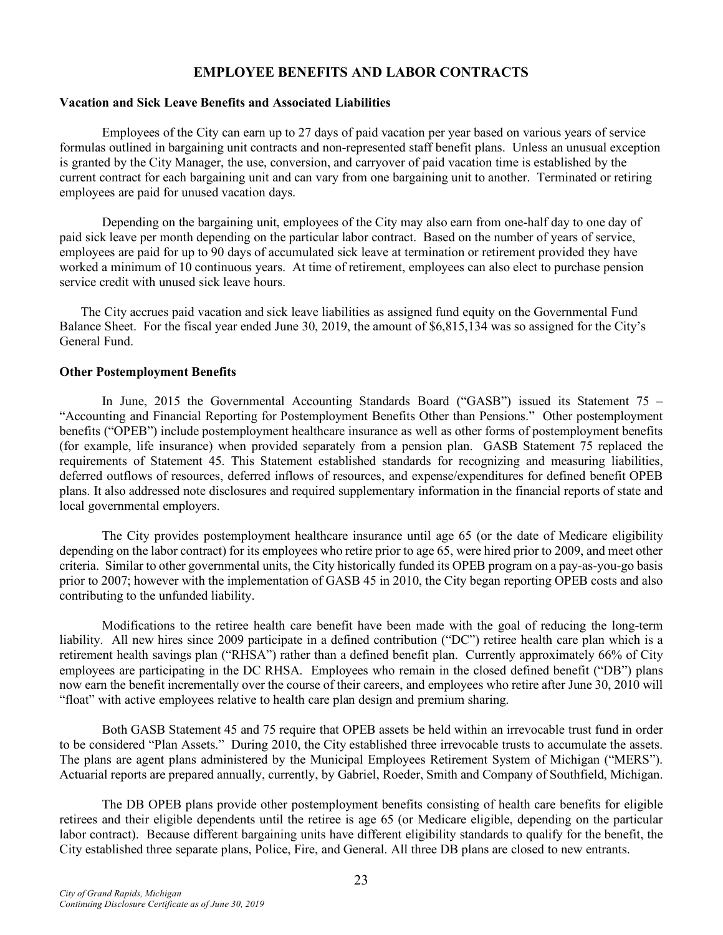# **EMPLOYEE BENEFITS AND LABOR CONTRACTS**

### **Vacation and Sick Leave Benefits and Associated Liabilities**

Employees of the City can earn up to 27 days of paid vacation per year based on various years of service formulas outlined in bargaining unit contracts and non-represented staff benefit plans. Unless an unusual exception is granted by the City Manager, the use, conversion, and carryover of paid vacation time is established by the current contract for each bargaining unit and can vary from one bargaining unit to another. Terminated or retiring employees are paid for unused vacation days.

Depending on the bargaining unit, employees of the City may also earn from one-half day to one day of paid sick leave per month depending on the particular labor contract. Based on the number of years of service, employees are paid for up to 90 days of accumulated sick leave at termination or retirement provided they have worked a minimum of 10 continuous years. At time of retirement, employees can also elect to purchase pension service credit with unused sick leave hours.

The City accrues paid vacation and sick leave liabilities as assigned fund equity on the Governmental Fund Balance Sheet. For the fiscal year ended June 30, 2019, the amount of \$6,815,134 was so assigned for the City's General Fund.

### **Other Postemployment Benefits**

In June, 2015 the Governmental Accounting Standards Board ("GASB") issued its Statement 75 – "Accounting and Financial Reporting for Postemployment Benefits Other than Pensions." Other postemployment benefits ("OPEB") include postemployment healthcare insurance as well as other forms of postemployment benefits (for example, life insurance) when provided separately from a pension plan. GASB Statement 75 replaced the requirements of Statement 45. This Statement established standards for recognizing and measuring liabilities, deferred outflows of resources, deferred inflows of resources, and expense/expenditures for defined benefit OPEB plans. It also addressed note disclosures and required supplementary information in the financial reports of state and local governmental employers.

The City provides postemployment healthcare insurance until age 65 (or the date of Medicare eligibility depending on the labor contract) for its employees who retire prior to age 65, were hired prior to 2009, and meet other criteria. Similar to other governmental units, the City historically funded its OPEB program on a pay-as-you-go basis prior to 2007; however with the implementation of GASB 45 in 2010, the City began reporting OPEB costs and also contributing to the unfunded liability.

Modifications to the retiree health care benefit have been made with the goal of reducing the long-term liability. All new hires since 2009 participate in a defined contribution ("DC") retiree health care plan which is a retirement health savings plan ("RHSA") rather than a defined benefit plan. Currently approximately 66% of City employees are participating in the DC RHSA. Employees who remain in the closed defined benefit ("DB") plans now earn the benefit incrementally over the course of their careers, and employees who retire after June 30, 2010 will "float" with active employees relative to health care plan design and premium sharing.

Both GASB Statement 45 and 75 require that OPEB assets be held within an irrevocable trust fund in order to be considered "Plan Assets." During 2010, the City established three irrevocable trusts to accumulate the assets. The plans are agent plans administered by the Municipal Employees Retirement System of Michigan ("MERS"). Actuarial reports are prepared annually, currently, by Gabriel, Roeder, Smith and Company of Southfield, Michigan.

The DB OPEB plans provide other postemployment benefits consisting of health care benefits for eligible retirees and their eligible dependents until the retiree is age 65 (or Medicare eligible, depending on the particular labor contract). Because different bargaining units have different eligibility standards to qualify for the benefit, the City established three separate plans, Police, Fire, and General. All three DB plans are closed to new entrants.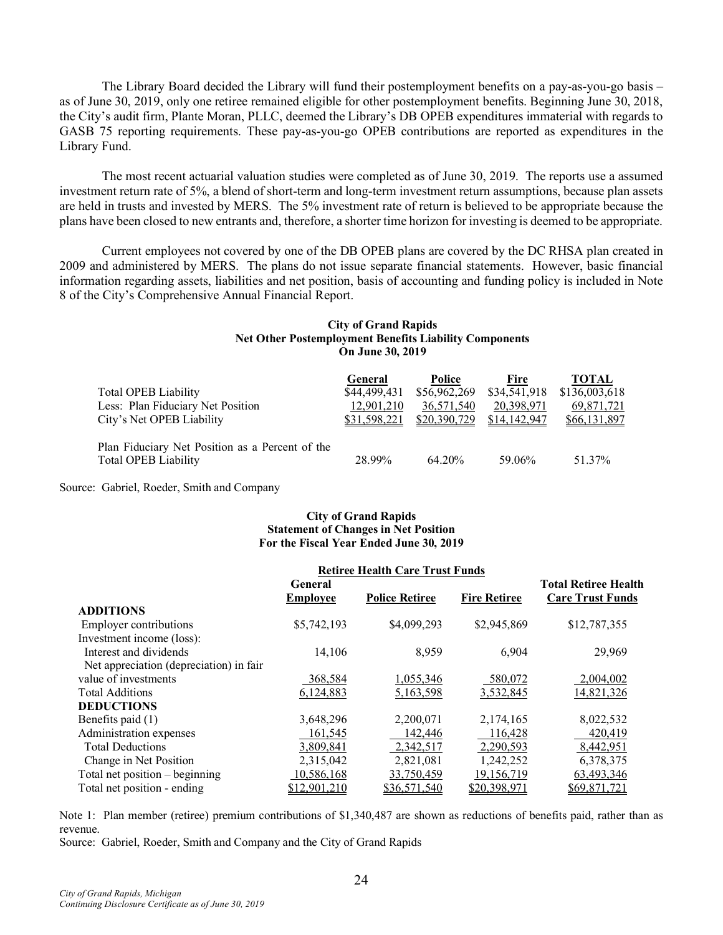The Library Board decided the Library will fund their postemployment benefits on a pay-as-you-go basis – as of June 30, 2019, only one retiree remained eligible for other postemployment benefits. Beginning June 30, 2018, the City's audit firm, Plante Moran, PLLC, deemed the Library's DB OPEB expenditures immaterial with regards to GASB 75 reporting requirements. These pay-as-you-go OPEB contributions are reported as expenditures in the Library Fund.

The most recent actuarial valuation studies were completed as of June 30, 2019. The reports use a assumed investment return rate of 5%, a blend of short-term and long-term investment return assumptions, because plan assets are held in trusts and invested by MERS. The 5% investment rate of return is believed to be appropriate because the plans have been closed to new entrants and, therefore, a shorter time horizon for investing is deemed to be appropriate.

Current employees not covered by one of the DB OPEB plans are covered by the DC RHSA plan created in 2009 and administered by MERS. The plans do not issue separate financial statements. However, basic financial information regarding assets, liabilities and net position, basis of accounting and funding policy is included in Note 8 of the City's Comprehensive Annual Financial Report.

#### **City of Grand Rapids Net Other Postemployment Benefits Liability Components On June 30, 2019**

|                                                 | <b>General</b> | Police       | Fire         | <b>TOTAL</b>  |
|-------------------------------------------------|----------------|--------------|--------------|---------------|
| <b>Total OPEB Liability</b>                     | \$44,499,431   | \$56,962,269 | \$34,541,918 | \$136,003,618 |
| Less: Plan Fiduciary Net Position               | 12,901,210     | 36,571,540   | 20,398,971   | 69,871,721    |
| City's Net OPEB Liability                       | \$31,598,221   | \$20,390,729 | \$14,142,947 | \$66,131,897  |
| Plan Fiduciary Net Position as a Percent of the |                |              |              |               |
| <b>Total OPEB Liability</b>                     | 28.99%         | 64.20%       | 59.06%       | 51.37%        |

Source: Gabriel, Roeder, Smith and Company

### **City of Grand Rapids Statement of Changes in Net Position For the Fiscal Year Ended June 30, 2019**

|                                         | <b>Retiree Health Care Trust Funds</b> |                       |                     |                             |
|-----------------------------------------|----------------------------------------|-----------------------|---------------------|-----------------------------|
|                                         | General                                |                       |                     | <b>Total Retiree Health</b> |
|                                         | <b>Employee</b>                        | <b>Police Retiree</b> | <b>Fire Retiree</b> | <b>Care Trust Funds</b>     |
| <b>ADDITIONS</b>                        |                                        |                       |                     |                             |
| <b>Employer contributions</b>           | \$5,742,193                            | \$4,099,293           | \$2,945,869         | \$12,787,355                |
| Investment income (loss):               |                                        |                       |                     |                             |
| Interest and dividends                  | 14,106                                 | 8,959                 | 6,904               | 29,969                      |
| Net appreciation (depreciation) in fair |                                        |                       |                     |                             |
| value of investments                    | 368,584                                | 1,055,346             | 580,072             | 2,004,002                   |
| <b>Total Additions</b>                  | 6,124,883                              | 5,163,598             | 3,532,845           | 14,821,326                  |
| <b>DEDUCTIONS</b>                       |                                        |                       |                     |                             |
| Benefits paid (1)                       | 3,648,296                              | 2,200,071             | 2,174,165           | 8,022,532                   |
| Administration expenses                 | 161,545                                | 142,446               | 116,428             | 420,419                     |
| <b>Total Deductions</b>                 | 3,809,841                              | 2,342,517             | 2,290,593           | 8,442,951                   |
| Change in Net Position                  | 2,315,042                              | 2,821,081             | 1,242,252           | 6,378,375                   |
| Total net position $-$ beginning        | 10,586,168                             | 33,750,459            | 19,156,719          | 63,493,346                  |
| Total net position - ending             | \$12,901,210                           | \$36,571,540          | \$20,398,971        | \$69,871,721                |

Note 1: Plan member (retiree) premium contributions of \$1,340,487 are shown as reductions of benefits paid, rather than as revenue.

Source: Gabriel, Roeder, Smith and Company and the City of Grand Rapids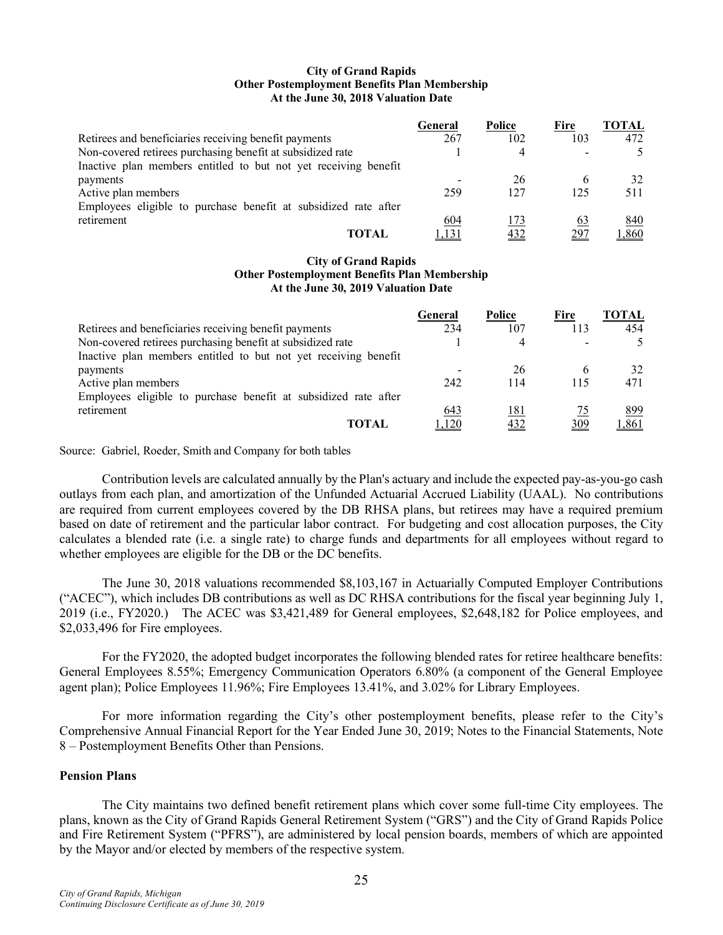#### **City of Grand Rapids Other Postemployment Benefits Plan Membership At the June 30, 2018 Valuation Date**

|                                                                 | General | Police | Fire        | <b>TOTAL</b> |
|-----------------------------------------------------------------|---------|--------|-------------|--------------|
| Retirees and beneficiaries receiving benefit payments           | 267     | 102    | 103         | 472          |
| Non-covered retirees purchasing benefit at subsidized rate      |         |        |             |              |
| Inactive plan members entitled to but not yet receiving benefit |         |        |             |              |
| payments                                                        |         | 26     |             | 32           |
| Active plan members                                             | 259     | 127    | 125         | 511          |
| Employees eligible to purchase benefit at subsidized rate after |         |        |             |              |
| retirement                                                      | 604     | 173    | 63          | 840          |
| <b>TOTAL</b>                                                    |         | 432    | <u> 297</u> | ,860         |

#### **City of Grand Rapids Other Postemployment Benefits Plan Membership At the June 30, 2019 Valuation Date**

|                                                                 | General | Police | Fire | TOTAL |
|-----------------------------------------------------------------|---------|--------|------|-------|
| Retirees and beneficiaries receiving benefit payments           | 234     | 107    | 113  | 454   |
| Non-covered retirees purchasing benefit at subsidized rate      |         |        |      |       |
| Inactive plan members entitled to but not yet receiving benefit |         |        |      |       |
| payments                                                        |         | 26     | 6    | 32    |
| Active plan members                                             | 242     | 114    | 115  | 471   |
| Employees eligible to purchase benefit at subsidized rate after |         |        |      |       |
| retirement                                                      | 643     | 181    | 75   | 899   |
| <b>TOTAL</b>                                                    | ,120    | 432    | 309  | ,861  |

Source: Gabriel, Roeder, Smith and Company for both tables

Contribution levels are calculated annually by the Plan's actuary and include the expected pay-as-you-go cash outlays from each plan, and amortization of the Unfunded Actuarial Accrued Liability (UAAL). No contributions are required from current employees covered by the DB RHSA plans, but retirees may have a required premium based on date of retirement and the particular labor contract. For budgeting and cost allocation purposes, the City calculates a blended rate (i.e. a single rate) to charge funds and departments for all employees without regard to whether employees are eligible for the DB or the DC benefits.

The June 30, 2018 valuations recommended \$8,103,167 in Actuarially Computed Employer Contributions ("ACEC"), which includes DB contributions as well as DC RHSA contributions for the fiscal year beginning July 1, 2019 (i.e., FY2020.) The ACEC was \$3,421,489 for General employees, \$2,648,182 for Police employees, and \$2,033,496 for Fire employees.

For the FY2020, the adopted budget incorporates the following blended rates for retiree healthcare benefits: General Employees 8.55%; Emergency Communication Operators 6.80% (a component of the General Employee agent plan); Police Employees 11.96%; Fire Employees 13.41%, and 3.02% for Library Employees.

For more information regarding the City's other postemployment benefits, please refer to the City's Comprehensive Annual Financial Report for the Year Ended June 30, 2019; Notes to the Financial Statements, Note 8 – Postemployment Benefits Other than Pensions.

### **Pension Plans**

The City maintains two defined benefit retirement plans which cover some full-time City employees. The plans, known as the City of Grand Rapids General Retirement System ("GRS") and the City of Grand Rapids Police and Fire Retirement System ("PFRS"), are administered by local pension boards, members of which are appointed by the Mayor and/or elected by members of the respective system.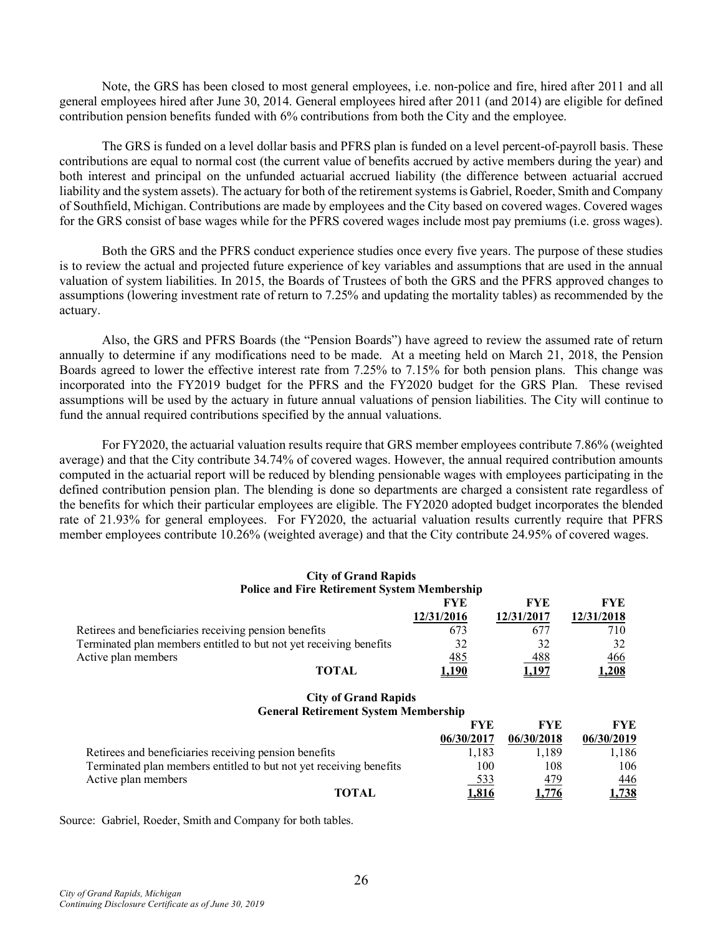Note, the GRS has been closed to most general employees, i.e. non-police and fire, hired after 2011 and all general employees hired after June 30, 2014. General employees hired after 2011 (and 2014) are eligible for defined contribution pension benefits funded with 6% contributions from both the City and the employee.

The GRS is funded on a level dollar basis and PFRS plan is funded on a level percent-of-payroll basis. These contributions are equal to normal cost (the current value of benefits accrued by active members during the year) and both interest and principal on the unfunded actuarial accrued liability (the difference between actuarial accrued liability and the system assets). The actuary for both of the retirement systems is Gabriel, Roeder, Smith and Company of Southfield, Michigan. Contributions are made by employees and the City based on covered wages. Covered wages for the GRS consist of base wages while for the PFRS covered wages include most pay premiums (i.e. gross wages).

Both the GRS and the PFRS conduct experience studies once every five years. The purpose of these studies is to review the actual and projected future experience of key variables and assumptions that are used in the annual valuation of system liabilities. In 2015, the Boards of Trustees of both the GRS and the PFRS approved changes to assumptions (lowering investment rate of return to 7.25% and updating the mortality tables) as recommended by the actuary.

Also, the GRS and PFRS Boards (the "Pension Boards") have agreed to review the assumed rate of return annually to determine if any modifications need to be made. At a meeting held on March 21, 2018, the Pension Boards agreed to lower the effective interest rate from 7.25% to 7.15% for both pension plans. This change was incorporated into the FY2019 budget for the PFRS and the FY2020 budget for the GRS Plan. These revised assumptions will be used by the actuary in future annual valuations of pension liabilities. The City will continue to fund the annual required contributions specified by the annual valuations.

For FY2020, the actuarial valuation results require that GRS member employees contribute 7.86% (weighted average) and that the City contribute 34.74% of covered wages. However, the annual required contribution amounts computed in the actuarial report will be reduced by blending pensionable wages with employees participating in the defined contribution pension plan. The blending is done so departments are charged a consistent rate regardless of the benefits for which their particular employees are eligible. The FY2020 adopted budget incorporates the blended rate of 21.93% for general employees. For FY2020, the actuarial valuation results currently require that PFRS member employees contribute 10.26% (weighted average) and that the City contribute 24.95% of covered wages.

#### **City of Grand Rapids Police and Fire Retirement System Membership**

|                                                                    | FYF        | FYE          | FYE        |
|--------------------------------------------------------------------|------------|--------------|------------|
|                                                                    | 12/31/2016 | 12/31/2017   | 12/31/2018 |
| Retirees and beneficiaries receiving pension benefits              | 673        |              | 710        |
| Terminated plan members entitled to but not yet receiving benefits | 32         | 32           | 32         |
| Active plan members                                                | 485        | <u>488</u>   | 466        |
| <b>TOTAL</b>                                                       |            | <u>1,197</u> | .208       |

### **City of Grand Rapids General Retirement System Membership**

|                                                                    | FYF.         | FYE        | FYE        |
|--------------------------------------------------------------------|--------------|------------|------------|
|                                                                    | 06/30/2017   | 06/30/2018 | 06/30/2019 |
| Retirees and beneficiaries receiving pension benefits              | 1.183        | 1.189      | 1,186      |
| Terminated plan members entitled to but not yet receiving benefits | 100          | 108        | 106        |
| Active plan members                                                | 533          | 479        | 446        |
| <b>TOTAL</b>                                                       | <u>1,816</u> | 1.776      | 1,738      |

Source: Gabriel, Roeder, Smith and Company for both tables.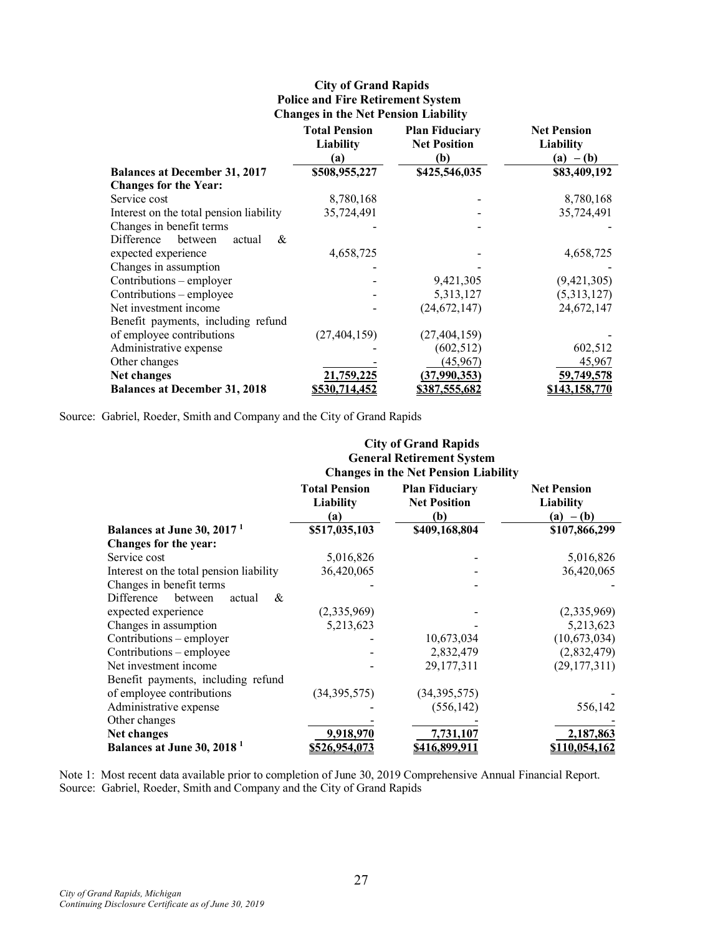# **City of Grand Rapids Police and Fire Retirement System Changes in the Net Pension Liability**

|                                         | <b>Total Pension</b><br>Liability<br>(a) | <b>Plan Fiduciary</b><br><b>Net Position</b><br>(b) | <b>Net Pension</b><br>Liability<br>$-(b)$<br>(a) |
|-----------------------------------------|------------------------------------------|-----------------------------------------------------|--------------------------------------------------|
| <b>Balances at December 31, 2017</b>    | \$508,955,227                            | \$425,546,035                                       | \$83,409,192                                     |
| <b>Changes for the Year:</b>            |                                          |                                                     |                                                  |
| Service cost                            | 8,780,168                                |                                                     | 8,780,168                                        |
| Interest on the total pension liability | 35,724,491                               |                                                     | 35,724,491                                       |
| Changes in benefit terms                |                                          |                                                     |                                                  |
| Difference<br>between<br>&<br>actual    |                                          |                                                     |                                                  |
| expected experience                     | 4,658,725                                |                                                     | 4,658,725                                        |
| Changes in assumption                   |                                          |                                                     |                                                  |
| Contributions – employer                |                                          | 9,421,305                                           | (9,421,305)                                      |
| Contributions – employee                |                                          | 5,313,127                                           | (5,313,127)                                      |
| Net investment income                   |                                          | (24, 672, 147)                                      | 24,672,147                                       |
| Benefit payments, including refund      |                                          |                                                     |                                                  |
| of employee contributions               | (27, 404, 159)                           | (27, 404, 159)                                      |                                                  |
| Administrative expense                  |                                          | (602, 512)                                          | 602,512                                          |
| Other changes                           |                                          | (45,967)                                            | 45,967                                           |
| Net changes                             | 21,759,225                               | (37,990,353)                                        | 59,749,578                                       |
| <b>Balances at December 31, 2018</b>    | <u>\$530.714.452</u>                     | \$387,555,682                                       | \$143,158,770                                    |

Source: Gabriel, Roeder, Smith and Company and the City of Grand Rapids

|                                         | <b>City of Grand Rapids</b><br><b>General Retirement System</b> |                                                                                                    |                                                       |  |  |
|-----------------------------------------|-----------------------------------------------------------------|----------------------------------------------------------------------------------------------------|-------------------------------------------------------|--|--|
|                                         | <b>Total Pension</b><br><b>Liability</b><br>(a)                 | <b>Changes in the Net Pension Liability</b><br><b>Plan Fiduciary</b><br><b>Net Position</b><br>(b) | <b>Net Pension</b><br><b>Liability</b><br>$(a) - (b)$ |  |  |
| Balances at June 30, 2017 <sup>1</sup>  | \$517,035,103                                                   | \$409,168,804                                                                                      | \$107,866,299                                         |  |  |
| Changes for the year:                   |                                                                 |                                                                                                    |                                                       |  |  |
| Service cost                            | 5,016,826                                                       |                                                                                                    | 5,016,826                                             |  |  |
| Interest on the total pension liability | 36,420,065                                                      |                                                                                                    | 36,420,065                                            |  |  |
| Changes in benefit terms                |                                                                 |                                                                                                    |                                                       |  |  |
| Difference<br>between<br>&<br>actual    |                                                                 |                                                                                                    |                                                       |  |  |
| expected experience                     | (2,335,969)                                                     |                                                                                                    | (2,335,969)                                           |  |  |
| Changes in assumption                   | 5,213,623                                                       |                                                                                                    | 5,213,623                                             |  |  |
| Contributions – employer                |                                                                 | 10,673,034                                                                                         | (10,673,034)                                          |  |  |
| Contributions – employee                |                                                                 | 2,832,479                                                                                          | (2,832,479)                                           |  |  |
| Net investment income                   |                                                                 | 29, 177, 311                                                                                       | (29, 177, 311)                                        |  |  |
| Benefit payments, including refund      |                                                                 |                                                                                                    |                                                       |  |  |
| of employee contributions               | (34, 395, 575)                                                  | (34, 395, 575)                                                                                     |                                                       |  |  |
| Administrative expense                  |                                                                 | (556, 142)                                                                                         | 556,142                                               |  |  |
| Other changes                           |                                                                 |                                                                                                    |                                                       |  |  |
| Net changes                             | 9,918,970                                                       | 7,731,107                                                                                          | 2,187,863                                             |  |  |
| Balances at June 30, 2018 <sup>1</sup>  | <u>\$526,954,073</u>                                            | <u>\$416,899,911</u>                                                                               | 10,054,162                                            |  |  |

Note 1: Most recent data available prior to completion of June 30, 2019 Comprehensive Annual Financial Report. Source: Gabriel, Roeder, Smith and Company and the City of Grand Rapids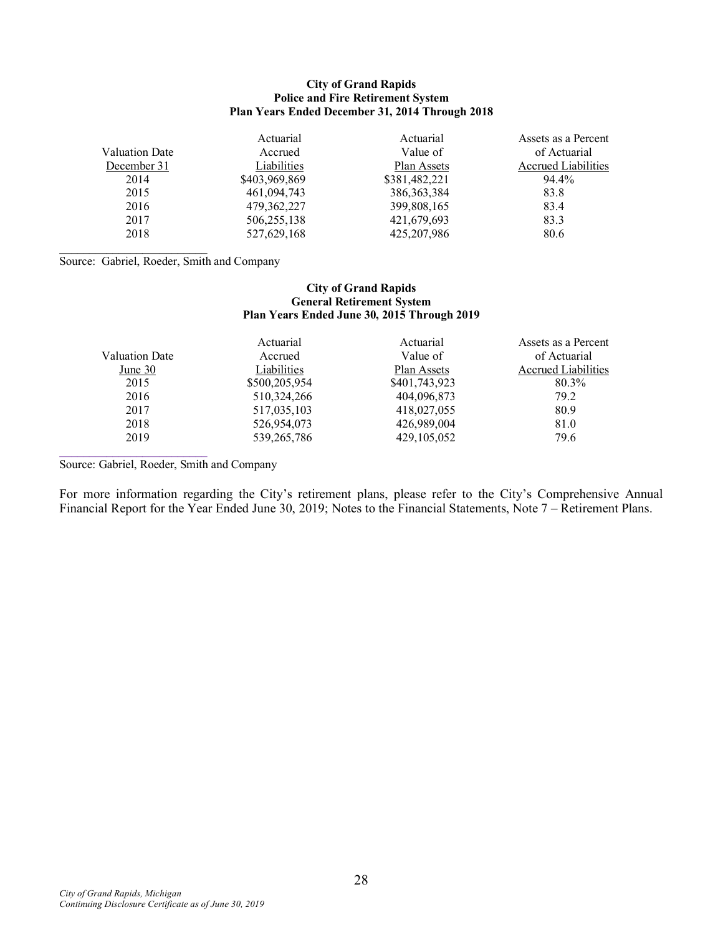#### **City of Grand Rapids Police and Fire Retirement System Plan Years Ended December 31, 2014 Through 2018**

|                | Actuarial     | Actuarial     | Assets as a Percent        |
|----------------|---------------|---------------|----------------------------|
| Valuation Date | Accrued       | Value of      | of Actuarial               |
| December 31    | Liabilities   | Plan Assets   | <b>Accrued Liabilities</b> |
| 2014           | \$403,969,869 | \$381,482,221 | 94.4%                      |
| 2015           | 461,094,743   | 386, 363, 384 | 83.8                       |
| 2016           | 479, 362, 227 | 399,808,165   | 83.4                       |
| 2017           | 506,255,138   | 421,679,693   | 83.3                       |
| 2018           | 527,629,168   | 425, 207, 986 | 80.6                       |

Source: Gabriel, Roeder, Smith and Company

 $\mathcal{L}=\mathcal{L}=\mathcal{L}=\mathcal{L}=\mathcal{L}=\mathcal{L}=\mathcal{L}=\mathcal{L}=\mathcal{L}=\mathcal{L}=\mathcal{L}=\mathcal{L}=\mathcal{L}=\mathcal{L}=\mathcal{L}=\mathcal{L}=\mathcal{L}=\mathcal{L}=\mathcal{L}=\mathcal{L}=\mathcal{L}=\mathcal{L}=\mathcal{L}=\mathcal{L}=\mathcal{L}=\mathcal{L}=\mathcal{L}=\mathcal{L}=\mathcal{L}=\mathcal{L}=\mathcal{L}=\mathcal{L}=\mathcal{L}=\mathcal{L}=\mathcal{L}=\mathcal{L}=\mathcal{$ 

#### **City of Grand Rapids General Retirement System Plan Years Ended June 30, 2015 Through 2019**

|                | Actuarial     | Actuarial     | Assets as a Percent |
|----------------|---------------|---------------|---------------------|
| Valuation Date | Accrued       | Value of      | of Actuarial        |
| June 30        | Liabilities   | Plan Assets   | Accrued Liabilities |
| 2015           | \$500,205,954 | \$401,743,923 | 80.3%               |
| 2016           | 510, 324, 266 | 404,096,873   | 79.2                |
| 2017           | 517,035,103   | 418,027,055   | 80.9                |
| 2018           | 526,954,073   | 426,989,004   | 81.0                |
| 2019           | 539, 265, 786 | 429, 105, 052 | 79.6                |

Source: Gabriel, Roeder, Smith and Company

 $\mathcal{L}_\mathcal{L}$  , where  $\mathcal{L}_\mathcal{L}$  , we have the set of the set of the set of the set of the set of the set of the set of the set of the set of the set of the set of the set of the set of the set of the set of the set

For more information regarding the City's retirement plans, please refer to the City's Comprehensive Annual Financial Report for the Year Ended June 30, 2019; Notes to the Financial Statements, Note 7 – Retirement Plans.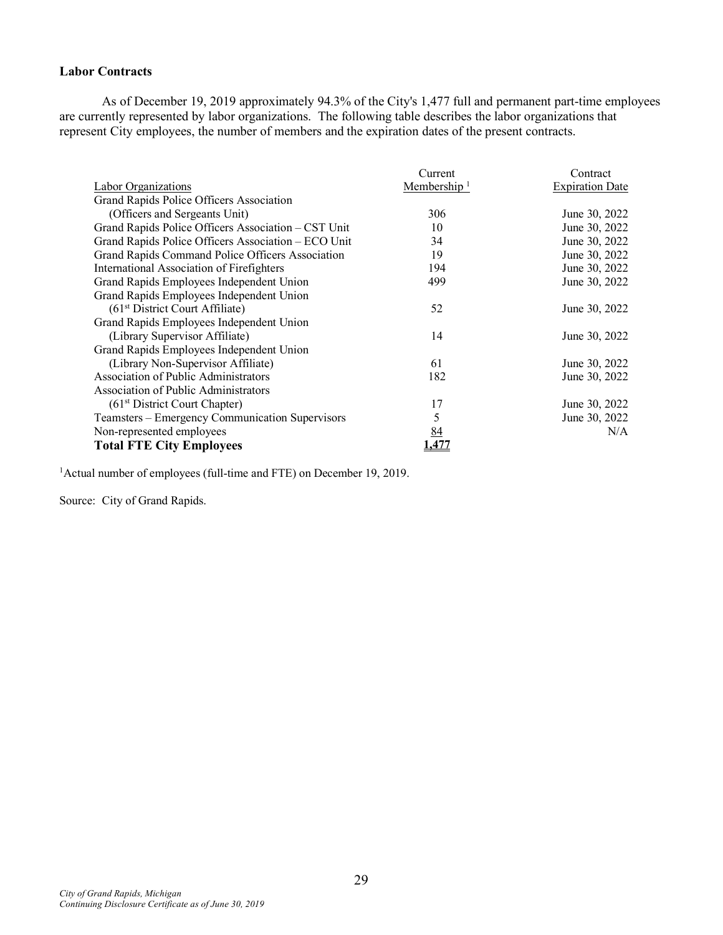# **Labor Contracts**

As of December 19, 2019 approximately 94.3% of the City's 1,477 full and permanent part-time employees are currently represented by labor organizations. The following table describes the labor organizations that represent City employees, the number of members and the expiration dates of the present contracts.

|                                                     | Current        | Contract               |
|-----------------------------------------------------|----------------|------------------------|
| Labor Organizations                                 | Membership $1$ | <b>Expiration Date</b> |
| Grand Rapids Police Officers Association            |                |                        |
| (Officers and Sergeants Unit)                       | 306            | June 30, 2022          |
| Grand Rapids Police Officers Association - CST Unit | 10             | June 30, 2022          |
| Grand Rapids Police Officers Association - ECO Unit | 34             | June 30, 2022          |
| Grand Rapids Command Police Officers Association    | 19             | June 30, 2022          |
| International Association of Firefighters           | 194            | June 30, 2022          |
| Grand Rapids Employees Independent Union            | 499            | June 30, 2022          |
| Grand Rapids Employees Independent Union            |                |                        |
| $(61st District Court Affiliate)$                   | 52             | June 30, 2022          |
| Grand Rapids Employees Independent Union            |                |                        |
| (Library Supervisor Affiliate)                      | 14             | June 30, 2022          |
| Grand Rapids Employees Independent Union            |                |                        |
| (Library Non-Supervisor Affiliate)                  | 61             | June 30, 2022          |
| Association of Public Administrators                | 182            | June 30, 2022          |
| Association of Public Administrators                |                |                        |
| (61 <sup>st</sup> District Court Chapter)           | 17             | June 30, 2022          |
| Teamsters – Emergency Communication Supervisors     | 5              | June 30, 2022          |
| Non-represented employees                           | 84             | N/A                    |
| <b>Total FTE City Employees</b>                     |                |                        |

<sup>1</sup> Actual number of employees (full-time and FTE) on December 19, 2019.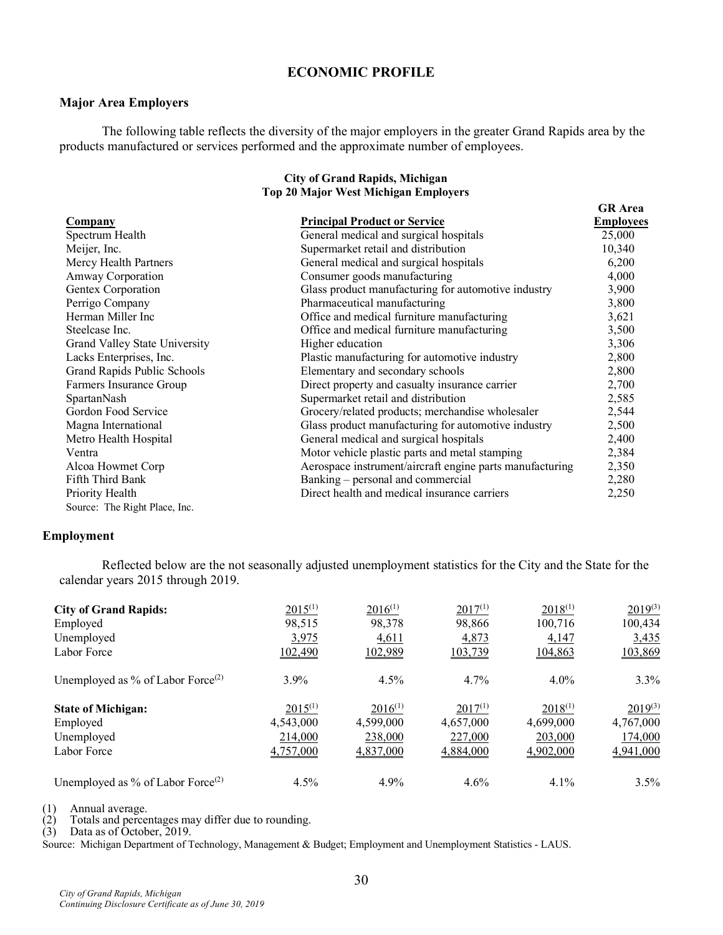# **ECONOMIC PROFILE**

#### **Major Area Employers**

The following table reflects the diversity of the major employers in the greater Grand Rapids area by the products manufactured or services performed and the approximate number of employees.

#### **City of Grand Rapids, Michigan Top 20 Major West Michigan Employers**

**GR Area**

| <b>Company</b>                | <b>Principal Product or Service</b>                      | <b>Employees</b> |
|-------------------------------|----------------------------------------------------------|------------------|
| Spectrum Health               | General medical and surgical hospitals                   | 25,000           |
| Meijer, Inc.                  | Supermarket retail and distribution                      | 10,340           |
| Mercy Health Partners         | General medical and surgical hospitals                   | 6,200            |
| <b>Amway Corporation</b>      | Consumer goods manufacturing                             | 4,000            |
| Gentex Corporation            | Glass product manufacturing for automotive industry      | 3,900            |
| Perrigo Company               | Pharmaceutical manufacturing                             | 3,800            |
| Herman Miller Inc             | Office and medical furniture manufacturing               | 3,621            |
| Steelcase Inc.                | Office and medical furniture manufacturing               | 3,500            |
| Grand Valley State University | Higher education                                         | 3,306            |
| Lacks Enterprises, Inc.       | Plastic manufacturing for automotive industry            | 2,800            |
| Grand Rapids Public Schools   | Elementary and secondary schools                         | 2,800            |
| Farmers Insurance Group       | Direct property and casualty insurance carrier           | 2,700            |
| SpartanNash                   | Supermarket retail and distribution                      | 2,585            |
| Gordon Food Service           | Grocery/related products; merchandise wholesaler         | 2,544            |
| Magna International           | Glass product manufacturing for automotive industry      | 2,500            |
| Metro Health Hospital         | General medical and surgical hospitals                   | 2,400            |
| Ventra                        | Motor vehicle plastic parts and metal stamping           | 2,384            |
| Alcoa Howmet Corp             | Aerospace instrument/aircraft engine parts manufacturing | 2,350            |
| Fifth Third Bank              | Banking – personal and commercial                        | 2,280            |
| Priority Health               | Direct health and medical insurance carriers             | 2,250            |
| Source: The Right Place, Inc. |                                                          |                  |

### **Employment**

Reflected below are the not seasonally adjusted unemployment statistics for the City and the State for the calendar years 2015 through 2019.

| <b>City of Grand Rapids:</b>                  | $2015^{(1)}$ | $2016^{(1)}$ | $2017^{(1)}$ | $2018^{(1)}$ | $2019^{(3)}$ |
|-----------------------------------------------|--------------|--------------|--------------|--------------|--------------|
| Employed                                      | 98,515       | 98,378       | 98,866       | 100,716      | 100,434      |
| Unemployed                                    | 3,975        | 4,611        | 4,873        | 4,147        | 3,435        |
| Labor Force                                   | 102,490      | 102,989      | 103,739      | 104,863      | 103,869      |
| Unemployed as % of Labor Force <sup>(2)</sup> | 3.9%         | 4.5%         | 4.7%         | 4.0%         | 3.3%         |
| <b>State of Michigan:</b>                     | $2015^{(1)}$ | $2016^{(1)}$ | $2017^{(1)}$ | $2018^{(1)}$ | $2019^{(3)}$ |
| Employed                                      | 4,543,000    | 4,599,000    | 4,657,000    | 4,699,000    | 4,767,000    |
| Unemployed                                    | 214,000      | 238,000      | 227,000      | 203,000      | 174,000      |
| Labor Force                                   | 4,757,000    | 4,837,000    | 4,884,000    | 4,902,000    | 4,941,000    |
| Unemployed as % of Labor Force <sup>(2)</sup> | 4.5%         | 4.9%         | 4.6%         | $4.1\%$      | 3.5%         |

(1) Annual average.<br>(2) Totals and percent

Totals and percentages may differ due to rounding.

 $(3)$  Data as of October, 2019.

Source: Michigan Department of Technology, Management & Budget; Employment and Unemployment Statistics - LAUS.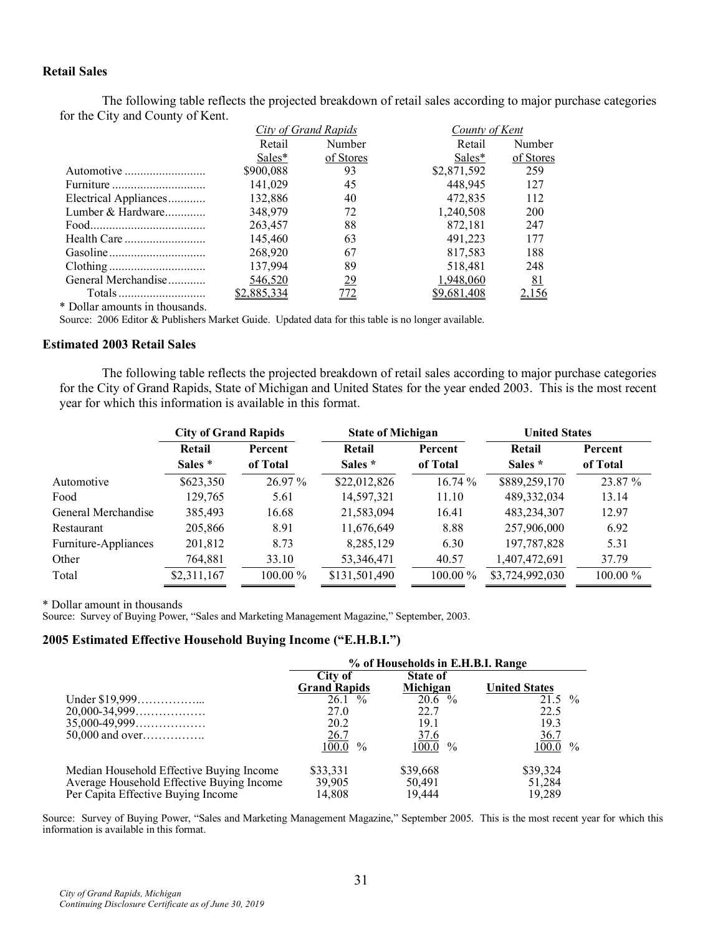### **Retail Sales**

The following table reflects the projected breakdown of retail sales according to major purchase categories for the City and County of Kent.

|                                |             | City of Grand Rapids | County of Kent |           |  |
|--------------------------------|-------------|----------------------|----------------|-----------|--|
|                                | Retail      | Number               | Retail         | Number    |  |
|                                | Sales*      | of Stores            | Sales*         | of Stores |  |
| Automotive                     | \$900,088   | 93                   | \$2,871,592    | 259       |  |
| Furniture                      | 141,029     | 45                   | 448.945        | 127       |  |
| Electrical Appliances          | 132,886     | 40                   | 472,835        | 112       |  |
| Lumber & Hardware              | 348,979     | 72                   | 1,240,508      | 200       |  |
|                                | 263,457     | 88                   | 872.181        | 247       |  |
|                                | 145,460     | 63                   | 491.223        | 177       |  |
|                                | 268,920     | 67                   | 817,583        | 188       |  |
|                                | 137,994     | 89                   | 518.481        | 248       |  |
| General Merchandise            | 546,520     | <u>29</u>            | 1,948,060      | <u>81</u> |  |
|                                | \$2,885,334 | <u>772</u>           | \$9,681,408    |           |  |
| * Dollar amounts in thousands. |             |                      |                |           |  |

Source: 2006 Editor & Publishers Market Guide. Updated data for this table is no longer available.

#### **Estimated 2003 Retail Sales**

The following table reflects the projected breakdown of retail sales according to major purchase categories for the City of Grand Rapids, State of Michigan and United States for the year ended 2003. This is the most recent year for which this information is available in this format.

|                      | <b>City of Grand Rapids</b> |          | <b>State of Michigan</b> |          | <b>United States</b> |          |
|----------------------|-----------------------------|----------|--------------------------|----------|----------------------|----------|
|                      | Retail                      | Percent  | Retail                   | Percent  | Retail               | Percent  |
|                      | Sales *                     | of Total | Sales *                  | of Total | Sales *              | of Total |
| Automotive           | \$623,350                   | 26.97 %  | \$22,012,826             | 16.74%   | \$889,259,170        | 23.87 %  |
| Food                 | 129.765                     | 5.61     | 14,597,321               | 11.10    | 489,332,034          | 13.14    |
| General Merchandise  | 385,493                     | 16.68    | 21,583,094               | 16.41    | 483,234,307          | 12.97    |
| Restaurant           | 205,866                     | 8.91     | 11,676,649               | 8.88     | 257,906,000          | 6.92     |
| Furniture-Appliances | 201,812                     | 8.73     | 8,285,129                | 6.30     | 197,787,828          | 5.31     |
| Other                | 764,881                     | 33.10    | 53,346,471               | 40.57    | 1,407,472,691        | 37.79    |
| Total                | \$2,311,167                 | 100.00 % | \$131,501,490            | 100.00 % | \$3,724,992,030      | 100.00 % |

\* Dollar amount in thousands

Source: Survey of Buying Power, "Sales and Marketing Management Magazine," September, 2003.

#### **2005 Estimated Effective Household Buying Income ("E.H.B.I.")**

|                                           | % of Households in E.H.B.I. Range |                             |                                     |  |  |
|-------------------------------------------|-----------------------------------|-----------------------------|-------------------------------------|--|--|
|                                           | City of<br><b>Grand Rapids</b>    | <b>State of</b><br>Michigan | <b>United States</b>                |  |  |
|                                           | $26.1\%$                          | $20.6\%$                    | $21.5\%$                            |  |  |
| $20,000 - 34,999$                         | 27.0                              | 22.7                        | 22.5                                |  |  |
| $35,000-49,999$                           | 20.2                              | 19.1                        | 19.3                                |  |  |
| $50,000$ and over                         | $\frac{26.7}{100.0}$              | <u>37.6</u>                 | <u>36.7</u>                         |  |  |
|                                           | $\%$                              | $100.0\%$                   | $1\overline{00.0}$<br>$\frac{0}{0}$ |  |  |
| Median Household Effective Buying Income  | \$33,331                          | \$39,668                    | \$39,324                            |  |  |
| Average Household Effective Buying Income | 39,905                            | 50,491                      | 51,284                              |  |  |
| Per Capita Effective Buying Income        | 14,808                            | 19.444                      | 19.289                              |  |  |

Source: Survey of Buying Power, "Sales and Marketing Management Magazine," September 2005. This is the most recent year for which this information is available in this format.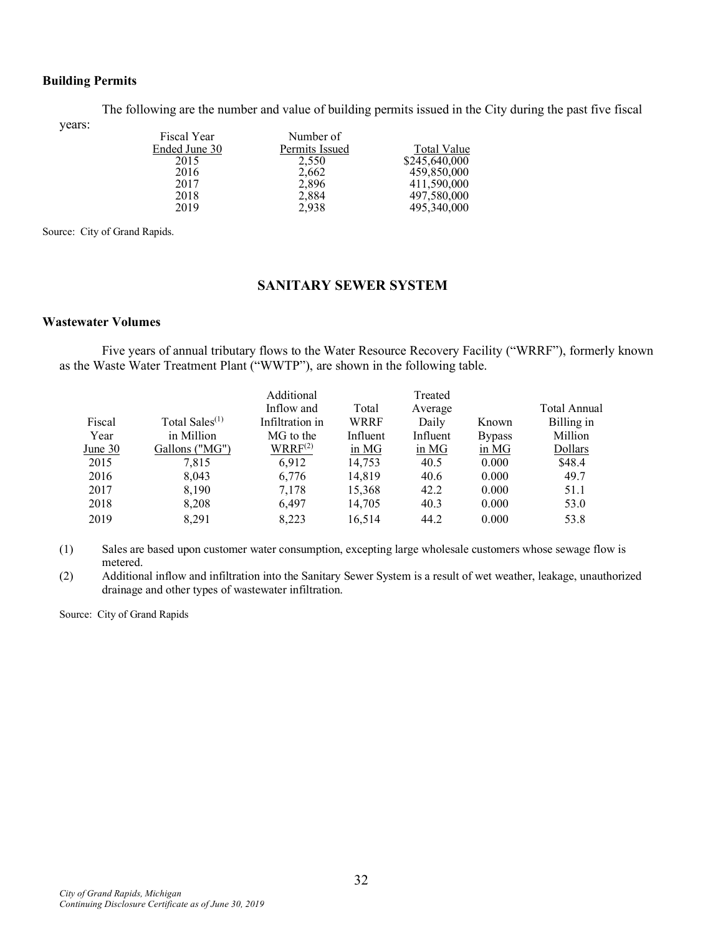### **Building Permits**

The following are the number and value of building permits issued in the City during the past five fiscal

years:

| Number of      |               |
|----------------|---------------|
| Permits Issued | Total Value   |
| 2.550          | \$245,640,000 |
| 2,662          | 459,850,000   |
| 2,896          | 411,590,000   |
| 2,884          | 497,580,000   |
| 2.938          | 495,340,000   |
|                |               |

Source: City of Grand Rapids.

### **SANITARY SEWER SYSTEM**

#### **Wastewater Volumes**

Five years of annual tributary flows to the Water Resource Recovery Facility ("WRRF"), formerly known as the Waste Water Treatment Plant ("WWTP"), are shown in the following table.

|         |                            | Additional          |          | Treated  |               |              |
|---------|----------------------------|---------------------|----------|----------|---------------|--------------|
|         |                            | Inflow and          | Total    | Average  |               | Total Annual |
| Fiscal  | Total Sales <sup>(1)</sup> | Infiltration in     | WRRF     | Daily    | Known         | Billing in   |
| Year    | in Million                 | MG to the           | Influent | Influent | <b>Bypass</b> | Million      |
| June 30 | Gallons ("MG")             | WRRF <sup>(2)</sup> | in MG    | in MG    | in MG         | Dollars      |
| 2015    | 7.815                      | 6.912               | 14,753   | 40.5     | 0.000         | \$48.4       |
| 2016    | 8,043                      | 6.776               | 14.819   | 40.6     | 0.000         | 49.7         |
| 2017    | 8,190                      | 7,178               | 15,368   | 42.2     | 0.000         | 51.1         |
| 2018    | 8,208                      | 6.497               | 14,705   | 40.3     | 0.000         | 53.0         |
| 2019    | 8.291                      | 8.223               | 16.514   | 44.2     | 0.000         | 53.8         |

(1) Sales are based upon customer water consumption, excepting large wholesale customers whose sewage flow is metered.

(2) Additional inflow and infiltration into the Sanitary Sewer System is a result of wet weather, leakage, unauthorized drainage and other types of wastewater infiltration.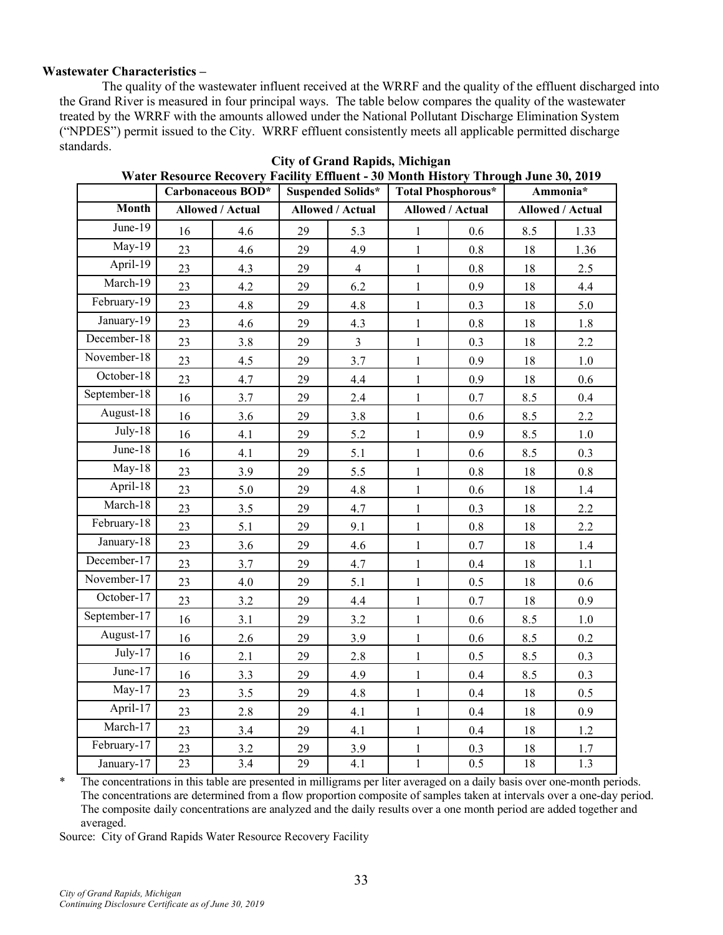### **Wastewater Characteristics –**

The quality of the wastewater influent received at the WRRF and the quality of the effluent discharged into the Grand River is measured in four principal ways. The table below compares the quality of the wastewater treated by the WRRF with the amounts allowed under the National Pollutant Discharge Elimination System ("NPDES") permit issued to the City. WRRF effluent consistently meets all applicable permitted discharge standards.

|              |    | Carbonaceous BOD* | <b>Suspended Solids*</b> |                         | <b>Total Phosphorous*</b> |         | Ammonia*                |         |
|--------------|----|-------------------|--------------------------|-------------------------|---------------------------|---------|-------------------------|---------|
| <b>Month</b> |    | Allowed / Actual  |                          | <b>Allowed / Actual</b> | <b>Allowed / Actual</b>   |         | <b>Allowed / Actual</b> |         |
| June-19      | 16 | 4.6               | 29                       | 5.3                     | $\mathbf{1}$              | 0.6     | 8.5                     | 1.33    |
| $May-19$     | 23 | 4.6               | 29                       | 4.9                     | $\mathbf{1}$              | 0.8     | 18                      | 1.36    |
| April-19     | 23 | 4.3               | 29                       | $\overline{4}$          | $\mathbf{1}$              | 0.8     | 18                      | 2.5     |
| March-19     | 23 | 4.2               | 29                       | 6.2                     | $\mathbf{1}$              | 0.9     | 18                      | 4.4     |
| February-19  | 23 | 4.8               | 29                       | 4.8                     | $\mathbf{1}$              | 0.3     | 18                      | 5.0     |
| January-19   | 23 | 4.6               | 29                       | 4.3                     | $\mathbf{1}$              | $0.8\,$ | 18                      | 1.8     |
| December-18  | 23 | 3.8               | 29                       | $\overline{3}$          | $\,1$                     | 0.3     | 18                      | 2.2     |
| November-18  | 23 | 4.5               | 29                       | 3.7                     | $\mathbf{1}$              | 0.9     | 18                      | $1.0\,$ |
| October-18   | 23 | 4.7               | 29                       | 4.4                     | $\mathbf{1}$              | 0.9     | 18                      | 0.6     |
| September-18 | 16 | 3.7               | 29                       | 2.4                     | $\mathbf{1}$              | 0.7     | 8.5                     | 0.4     |
| August-18    | 16 | 3.6               | 29                       | 3.8                     | $\mathbf{1}$              | 0.6     | 8.5                     | 2.2     |
| $July-18$    | 16 | 4.1               | 29                       | 5.2                     | $\mathbf{1}$              | 0.9     | 8.5                     | $1.0\,$ |
| June- $18$   | 16 | 4.1               | 29                       | 5.1                     | $\mathbf{1}$              | 0.6     | 8.5                     | 0.3     |
| $May-18$     | 23 | 3.9               | 29                       | 5.5                     | $\mathbf{1}$              | 0.8     | $18\,$                  | $0.8\,$ |
| April-18     | 23 | 5.0               | 29                       | 4.8                     | $\mathbf{1}$              | $0.6\,$ | 18                      | 1.4     |
| March-18     | 23 | 3.5               | 29                       | 4.7                     | $\mathbf{1}$              | 0.3     | $18\,$                  | 2.2     |
| February-18  | 23 | 5.1               | 29                       | 9.1                     | $\mathbf{1}$              | $0.8\,$ | 18                      | 2.2     |
| January-18   | 23 | 3.6               | 29                       | 4.6                     | $\mathbf{1}$              | 0.7     | 18                      | 1.4     |
| December-17  | 23 | 3.7               | 29                       | 4.7                     | $\,1$                     | 0.4     | 18                      | $1.1\,$ |
| November-17  | 23 | 4.0               | 29                       | 5.1                     | $\mathbf{1}$              | 0.5     | $18\,$                  | 0.6     |
| October-17   | 23 | 3.2               | 29                       | 4.4                     | $\mathbf{1}$              | 0.7     | 18                      | 0.9     |
| September-17 | 16 | 3.1               | 29                       | 3.2                     | $\,1$                     | 0.6     | 8.5                     | $1.0\,$ |
| August-17    | 16 | 2.6               | 29                       | 3.9                     | $\mathbf{1}$              | 0.6     | 8.5                     | 0.2     |
| $July-17$    | 16 | 2.1               | 29                       | 2.8                     | $\mathbf{1}$              | 0.5     | 8.5                     | 0.3     |
| June- $17$   | 16 | 3.3               | 29                       | 4.9                     | $\mathbf{1}$              | 0.4     | 8.5                     | 0.3     |
| $May-17$     | 23 | 3.5               | 29                       | 4.8                     | $\mathbf{1}$              | 0.4     | $18\,$                  | 0.5     |
| April-17     | 23 | 2.8               | 29                       | 4.1                     | $\mathbf{1}$              | 0.4     | 18                      | 0.9     |
| March-17     | 23 | 3.4               | 29                       | 4.1                     | $\mathbf{1}$              | 0.4     | 18                      | 1.2     |
| February-17  | 23 | 3.2               | 29                       | 3.9                     | $\,1$                     | $0.3\,$ | $18\,$                  | $1.7\,$ |
| January-17   | 23 | 3.4               | 29                       | 4.1                     | $\mathbf{1}$              | 0.5     | $18\,$                  | 1.3     |

| <b>City of Grand Rapids, Michigan</b> |  |                                                                                    |  |  |  |  |
|---------------------------------------|--|------------------------------------------------------------------------------------|--|--|--|--|
|                                       |  | Water Resource Recovery Facility Effluent - 30 Month History Through June 30, 2019 |  |  |  |  |

\* The concentrations in this table are presented in milligrams per liter averaged on a daily basis over one-month periods. The concentrations are determined from a flow proportion composite of samples taken at intervals over a one-day period. The composite daily concentrations are analyzed and the daily results over a one month period are added together and averaged.

Source: City of Grand Rapids Water Resource Recovery Facility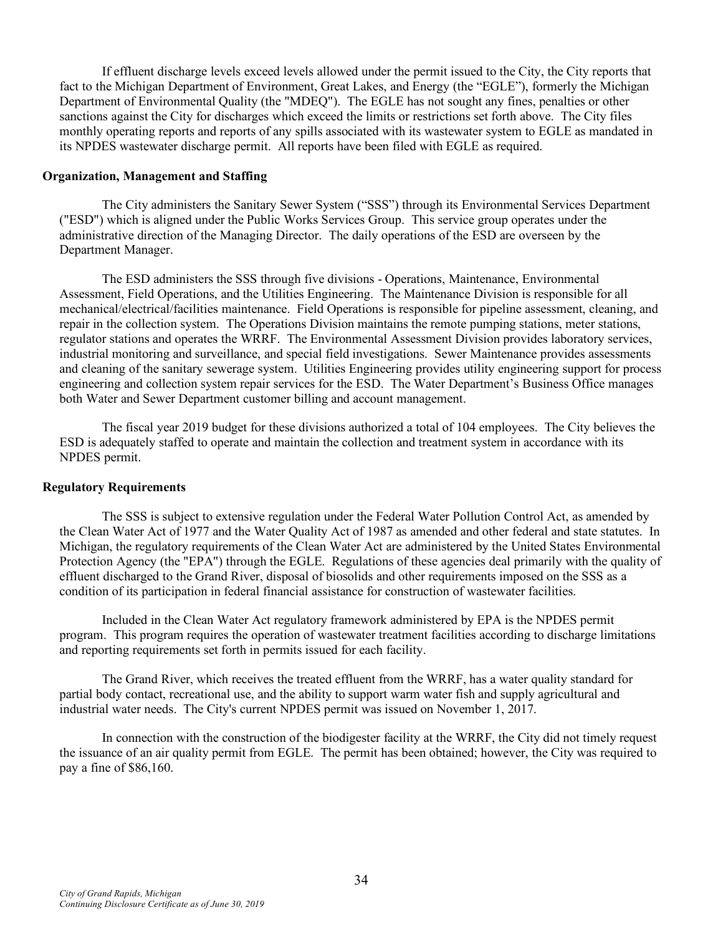If effluent discharge levels exceed levels allowed under the permit issued to the City, the City reports that fact to the Michigan Department of Environment, Great Lakes, and Energy (the "EGLE"), formerly the Michigan Department of Environmental Quality (the "MDEQ"). The EGLE has not sought any fines, penalties or other sanctions against the City for discharges which exceed the limits or restrictions set forth above. The City files monthly operating reports and reports of any spills associated with its wastewater system to EGLE as mandated in its NPDES wastewater discharge permit. All reports have been filed with EGLE as required.

#### **Organization, Management and Staffing**

The City administers the Sanitary Sewer System ("SSS") through its Environmental Services Department ("ESD") which is aligned under the Public Works Services Group. This service group operates under the administrative direction of the Managing Director. The daily operations of the ESD are overseen by the Department Manager.

The ESD administers the SSS through five divisions - Operations, Maintenance, Environmental Assessment, Field Operations, and the Utilities Engineering. The Maintenance Division is responsible for all mechanical/electrical/facilities maintenance. Field Operations is responsible for pipeline assessment, cleaning, and repair in the collection system. The Operations Division maintains the remote pumping stations, meter stations, regulator stations and operates the WRRF. The Environmental Assessment Division provides laboratory services, industrial monitoring and surveillance, and special field investigations. Sewer Maintenance provides assessments and cleaning of the sanitary sewerage system. Utilities Engineering provides utility engineering support for process engineering and collection system repair services for the ESD. The Water Department's Business Office manages both Water and Sewer Department customer billing and account management.

The fiscal year 2019 budget for these divisions authorized a total of 104 employees. The City believes the ESD is adequately staffed to operate and maintain the collection and treatment system in accordance with its NPDES permit.

### **Regulatory Requirements**

The SSS is subject to extensive regulation under the Federal Water Pollution Control Act, as amended by the Clean Water Act of 1977 and the Water Quality Act of 1987 as amended and other federal and state statutes. In Michigan, the regulatory requirements of the Clean Water Act are administered by the United States Environmental Protection Agency (the "EPA") through the EGLE. Regulations of these agencies deal primarily with the quality of effluent discharged to the Grand River, disposal of biosolids and other requirements imposed on the SSS as a condition of its participation in federal financial assistance for construction of wastewater facilities.

Included in the Clean Water Act regulatory framework administered by EPA is the NPDES permit program. This program requires the operation of wastewater treatment facilities according to discharge limitations and reporting requirements set forth in permits issued for each facility.

The Grand River, which receives the treated effluent from the WRRF, has a water quality standard for partial body contact, recreational use, and the ability to support warm water fish and supply agricultural and industrial water needs. The City's current NPDES permit was issued on November 1, 2017.

In connection with the construction of the biodigester facility at the WRRF, the City did not timely request the issuance of an air quality permit from EGLE. The permit has been obtained; however, the City was required to pay a fine of \$86,160.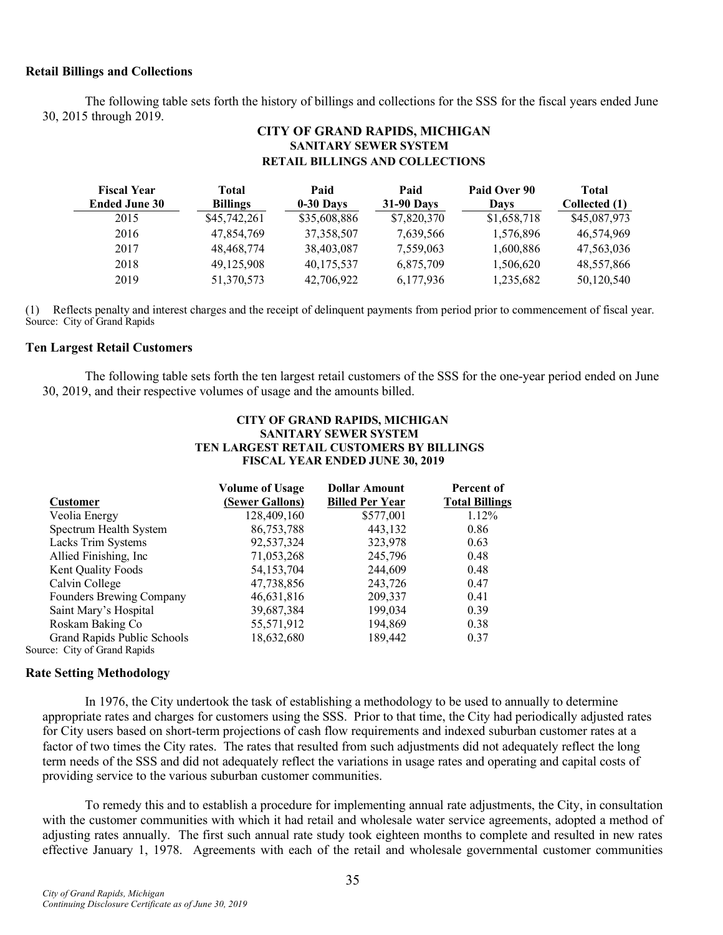#### **Retail Billings and Collections**

The following table sets forth the history of billings and collections for the SSS for the fiscal years ended June 30, 2015 through 2019.

### **CITY OF GRAND RAPIDS, MICHIGAN SANITARY SEWER SYSTEM RETAIL BILLINGS AND COLLECTIONS**

| <b>Fiscal Year</b>   | Total           | Paid         | Paid              | Paid Over 90 | Total         |
|----------------------|-----------------|--------------|-------------------|--------------|---------------|
| <b>Ended June 30</b> | <b>Billings</b> | $0-30$ Days  | <b>31-90 Days</b> | Davs         | Collected (1) |
| 2015                 | \$45,742,261    | \$35,608,886 | \$7,820,370       | \$1,658,718  | \$45,087,973  |
| 2016                 | 47,854,769      | 37, 358, 507 | 7,639,566         | 1,576,896    | 46,574,969    |
| 2017                 | 48,468,774      | 38,403,087   | 7,559,063         | 1,600,886    | 47,563,036    |
| 2018                 | 49.125.908      | 40,175,537   | 6,875,709         | 1,506,620    | 48,557,866    |
| 2019                 | 51,370,573      | 42,706,922   | 6,177,936         | 1,235,682    | 50,120,540    |

(1) Reflects penalty and interest charges and the receipt of delinquent payments from period prior to commencement of fiscal year. Source: City of Grand Rapids

#### **Ten Largest Retail Customers**

The following table sets forth the ten largest retail customers of the SSS for the one-year period ended on June 30, 2019, and their respective volumes of usage and the amounts billed.

#### **CITY OF GRAND RAPIDS, MICHIGAN SANITARY SEWER SYSTEM TEN LARGEST RETAIL CUSTOMERS BY BILLINGS FISCAL YEAR ENDED JUNE 30, 2019**

|                              | <b>Volume of Usage</b> | <b>Dollar Amount</b>   | Percent of            |
|------------------------------|------------------------|------------------------|-----------------------|
| <b>Customer</b>              | (Sewer Gallons)        | <b>Billed Per Year</b> | <b>Total Billings</b> |
| Veolia Energy                | 128,409,160            | \$577,001              | 1.12%                 |
| Spectrum Health System       | 86,753,788             | 443.132                | 0.86                  |
| Lacks Trim Systems           | 92,537,324             | 323,978                | 0.63                  |
| Allied Finishing, Inc.       | 71,053,268             | 245,796                | 0.48                  |
| Kent Quality Foods           | 54, 153, 704           | 244,609                | 0.48                  |
| Calvin College               | 47,738,856             | 243,726                | 0.47                  |
| Founders Brewing Company     | 46,631,816             | 209,337                | 0.41                  |
| Saint Mary's Hospital        | 39,687,384             | 199,034                | 0.39                  |
| Roskam Baking Co             | 55,571,912             | 194,869                | 0.38                  |
| Grand Rapids Public Schools  | 18,632,680             | 189,442                | 0.37                  |
| Source: City of Grand Rapids |                        |                        |                       |

#### **Rate Setting Methodology**

In 1976, the City undertook the task of establishing a methodology to be used to annually to determine appropriate rates and charges for customers using the SSS. Prior to that time, the City had periodically adjusted rates for City users based on short-term projections of cash flow requirements and indexed suburban customer rates at a factor of two times the City rates. The rates that resulted from such adjustments did not adequately reflect the long term needs of the SSS and did not adequately reflect the variations in usage rates and operating and capital costs of providing service to the various suburban customer communities.

To remedy this and to establish a procedure for implementing annual rate adjustments, the City, in consultation with the customer communities with which it had retail and wholesale water service agreements, adopted a method of adjusting rates annually. The first such annual rate study took eighteen months to complete and resulted in new rates effective January 1, 1978. Agreements with each of the retail and wholesale governmental customer communities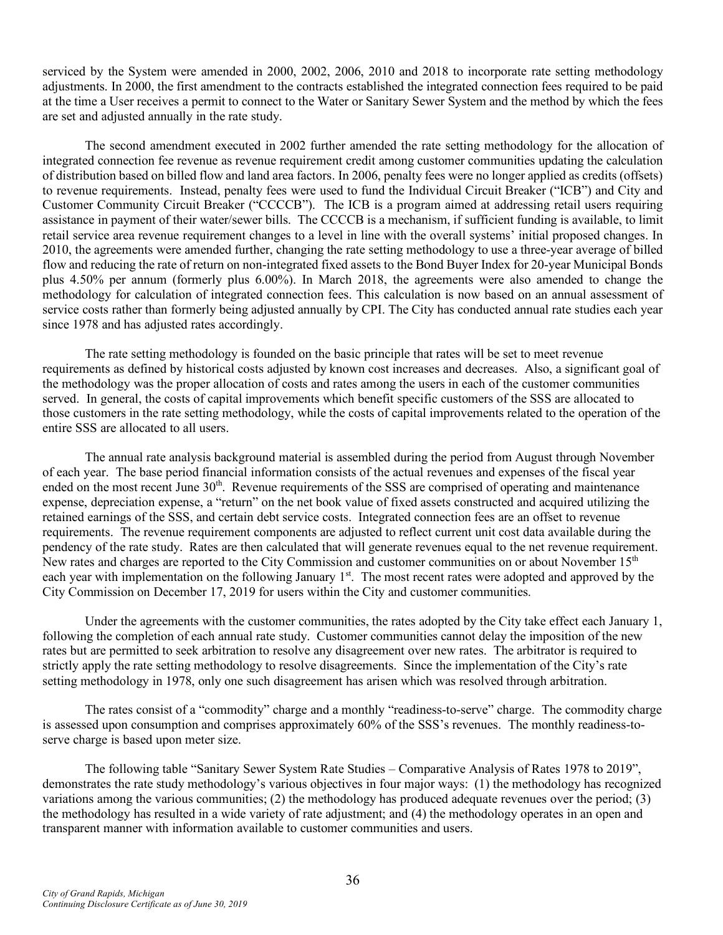serviced by the System were amended in 2000, 2002, 2006, 2010 and 2018 to incorporate rate setting methodology adjustments. In 2000, the first amendment to the contracts established the integrated connection fees required to be paid at the time a User receives a permit to connect to the Water or Sanitary Sewer System and the method by which the fees are set and adjusted annually in the rate study.

The second amendment executed in 2002 further amended the rate setting methodology for the allocation of integrated connection fee revenue as revenue requirement credit among customer communities updating the calculation of distribution based on billed flow and land area factors. In 2006, penalty fees were no longer applied as credits (offsets) to revenue requirements. Instead, penalty fees were used to fund the Individual Circuit Breaker ("ICB") and City and Customer Community Circuit Breaker ("CCCCB"). The ICB is a program aimed at addressing retail users requiring assistance in payment of their water/sewer bills. The CCCCB is a mechanism, if sufficient funding is available, to limit retail service area revenue requirement changes to a level in line with the overall systems' initial proposed changes. In 2010, the agreements were amended further, changing the rate setting methodology to use a three-year average of billed flow and reducing the rate of return on non-integrated fixed assets to the Bond Buyer Index for 20-year Municipal Bonds plus 4.50% per annum (formerly plus 6.00%). In March 2018, the agreements were also amended to change the methodology for calculation of integrated connection fees. This calculation is now based on an annual assessment of service costs rather than formerly being adjusted annually by CPI. The City has conducted annual rate studies each year since 1978 and has adjusted rates accordingly.

The rate setting methodology is founded on the basic principle that rates will be set to meet revenue requirements as defined by historical costs adjusted by known cost increases and decreases. Also, a significant goal of the methodology was the proper allocation of costs and rates among the users in each of the customer communities served. In general, the costs of capital improvements which benefit specific customers of the SSS are allocated to those customers in the rate setting methodology, while the costs of capital improvements related to the operation of the entire SSS are allocated to all users.

The annual rate analysis background material is assembled during the period from August through November of each year. The base period financial information consists of the actual revenues and expenses of the fiscal year ended on the most recent June 30<sup>th</sup>. Revenue requirements of the SSS are comprised of operating and maintenance expense, depreciation expense, a "return" on the net book value of fixed assets constructed and acquired utilizing the retained earnings of the SSS, and certain debt service costs. Integrated connection fees are an offset to revenue requirements. The revenue requirement components are adjusted to reflect current unit cost data available during the pendency of the rate study. Rates are then calculated that will generate revenues equal to the net revenue requirement. New rates and charges are reported to the City Commission and customer communities on or about November 15<sup>th</sup> each year with implementation on the following January 1<sup>st</sup>. The most recent rates were adopted and approved by the City Commission on December 17, 2019 for users within the City and customer communities.

Under the agreements with the customer communities, the rates adopted by the City take effect each January 1, following the completion of each annual rate study. Customer communities cannot delay the imposition of the new rates but are permitted to seek arbitration to resolve any disagreement over new rates. The arbitrator is required to strictly apply the rate setting methodology to resolve disagreements. Since the implementation of the City's rate setting methodology in 1978, only one such disagreement has arisen which was resolved through arbitration.

The rates consist of a "commodity" charge and a monthly "readiness-to-serve" charge. The commodity charge is assessed upon consumption and comprises approximately 60% of the SSS's revenues. The monthly readiness-toserve charge is based upon meter size.

The following table "Sanitary Sewer System Rate Studies – Comparative Analysis of Rates 1978 to 2019", demonstrates the rate study methodology's various objectives in four major ways: (1) the methodology has recognized variations among the various communities; (2) the methodology has produced adequate revenues over the period; (3) the methodology has resulted in a wide variety of rate adjustment; and (4) the methodology operates in an open and transparent manner with information available to customer communities and users.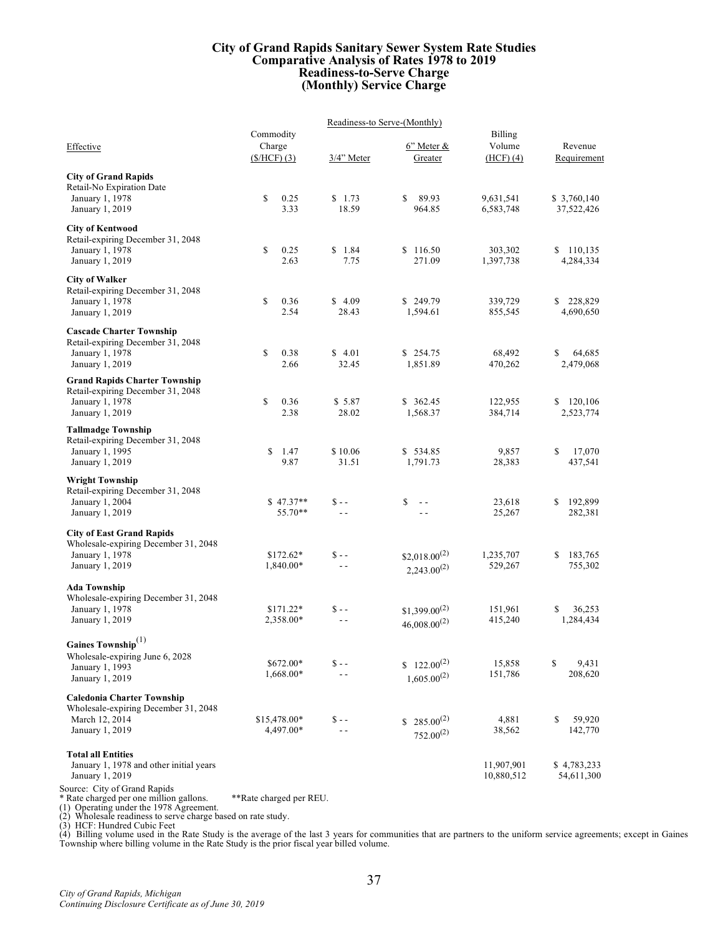#### **City of Grand Rapids Sanitary Sewer System Rate Studies Comparative Analysis of Rates 1978 to 2019 Readiness-to-Serve Charge (Monthly) Service Charge**

|                                                                                                    | Readiness-to Serve-(Monthly) |                           |                                       |                          |                            |  |  |
|----------------------------------------------------------------------------------------------------|------------------------------|---------------------------|---------------------------------------|--------------------------|----------------------------|--|--|
| Effective                                                                                          | Commodity<br>Charge          |                           | 6" Meter &                            | Billing<br>Volume        | Revenue                    |  |  |
|                                                                                                    | $(\frac{\text{S/HCF}}{3})$   | 3/4" Meter                | Greater                               | $(HCF)$ (4)              | Requirement                |  |  |
| <b>City of Grand Rapids</b><br>Retail-No Expiration Date<br>January 1, 1978<br>January 1, 2019     | \$<br>0.25<br>3.33           | \$1.73<br>18.59           | \$<br>89.93<br>964.85                 | 9,631,541<br>6,583,748   | \$ 3,760,140<br>37,522,426 |  |  |
|                                                                                                    |                              |                           |                                       |                          |                            |  |  |
| <b>City of Kentwood</b><br>Retail-expiring December 31, 2048<br>January 1, 1978<br>January 1, 2019 | \$<br>0.25<br>2.63           | \$1.84<br>7.75            | \$116.50<br>271.09                    | 303,302<br>1,397,738     | \$<br>110,135<br>4,284,334 |  |  |
| <b>City of Walker</b>                                                                              |                              |                           |                                       |                          |                            |  |  |
| Retail-expiring December 31, 2048<br>January 1, 1978<br>January 1, 2019                            | \$<br>0.36<br>2.54           | \$4.09<br>28.43           | \$249.79<br>1,594.61                  | 339,729<br>855,545       | \$<br>228,829<br>4,690,650 |  |  |
| <b>Cascade Charter Township</b>                                                                    |                              |                           |                                       |                          |                            |  |  |
| Retail-expiring December 31, 2048<br>January 1, 1978<br>January 1, 2019                            | \$<br>0.38<br>2.66           | \$4.01<br>32.45           | \$254.75<br>1,851.89                  | 68,492<br>470,262        | \$<br>64,685<br>2,479,068  |  |  |
| <b>Grand Rapids Charter Township</b>                                                               |                              |                           |                                       |                          |                            |  |  |
| Retail-expiring December 31, 2048<br>January 1, 1978<br>January 1, 2019                            | \$<br>0.36<br>2.38           | \$5.87<br>28.02           | \$362.45<br>1,568.37                  | 122,955<br>384,714       | \$<br>120,106<br>2,523,774 |  |  |
| <b>Tallmadge Township</b>                                                                          |                              |                           |                                       |                          |                            |  |  |
| Retail-expiring December 31, 2048<br>January 1, 1995<br>January 1, 2019                            | \$<br>1.47<br>9.87           | \$10.06<br>31.51          | \$534.85<br>1,791.73                  | 9,857<br>28,383          | \$<br>17,070<br>437,541    |  |  |
| <b>Wright Township</b>                                                                             |                              |                           |                                       |                          |                            |  |  |
| Retail-expiring December 31, 2048<br>January 1, 2004<br>January 1, 2019                            | $$47.37**$<br>55.70**        | $S - -$<br>$\sim$ $\sim$  | \$<br>$\sim$ $\sim$<br>$\sim$ $\sim$  | 23,618<br>25,267         | 192,899<br>\$<br>282,381   |  |  |
| <b>City of East Grand Rapids</b>                                                                   |                              |                           |                                       |                          |                            |  |  |
| Wholesale-expiring December 31, 2048                                                               |                              |                           |                                       |                          |                            |  |  |
| January 1, 1978<br>January 1, 2019                                                                 | $$172.62*$<br>1,840.00*      | $S - -$<br>$\sim$ $\sim$  | $$2,018.00^{(2)}$<br>$2,243.00^{(2)}$ | 1,235,707<br>529,267     | \$<br>183,765<br>755,302   |  |  |
| <b>Ada Township</b>                                                                                |                              |                           |                                       |                          |                            |  |  |
| Wholesale-expiring December 31, 2048<br>January 1, 1978                                            | $$171.22*$                   | $S - -$                   | $$1,399.00^{(2)}$                     | 151,961                  | \$<br>36.253               |  |  |
| January 1, 2019                                                                                    | 2,358.00*                    | $\sim$ $\sim$             | $46,008.00^{(2)}$                     | 415,240                  | 1,284,434                  |  |  |
| Gaines Township $^{(1)}$                                                                           |                              |                           |                                       |                          |                            |  |  |
| Wholesale-expiring June 6, 2028                                                                    | \$672.00*                    | $S - -$                   | $$122.00^{(2)}$                       | 15,858                   | \$<br>9,431                |  |  |
| January 1, 1993<br>January 1, 2019                                                                 | 1,668.00*                    | $\sim$ $\sim$             | $1,605.00^{(2)}$                      | 151,786                  | 208,620                    |  |  |
| <b>Caledonia Charter Township</b>                                                                  |                              |                           |                                       |                          |                            |  |  |
| Wholesale-expiring December 31, 2048                                                               |                              |                           |                                       |                          |                            |  |  |
| March 12, 2014<br>January 1, 2019                                                                  | \$15,478.00*<br>4,497.00*    | $S - -$<br>$\overline{a}$ | $$285.00^{(2)}$<br>$752.00^{(2)}$     | 4,881<br>38,562          | \$<br>59,920<br>142,770    |  |  |
| <b>Total all Entities</b>                                                                          |                              |                           |                                       |                          |                            |  |  |
| January 1, 1978 and other initial years<br>January 1, 2019                                         |                              |                           |                                       | 11,907,901<br>10,880,512 | \$4,783,233<br>54,611,300  |  |  |

Source: City of Grand Rapids<br>\* Rate charged per one million gallons. \*\*Rate charged per REU.<br>(1) Operating under the 1978 Agreement.<br>(2) Wholesale readiness to serve charge based on rate study.<br>(3) HCF: Hundred Cubic Feet<br>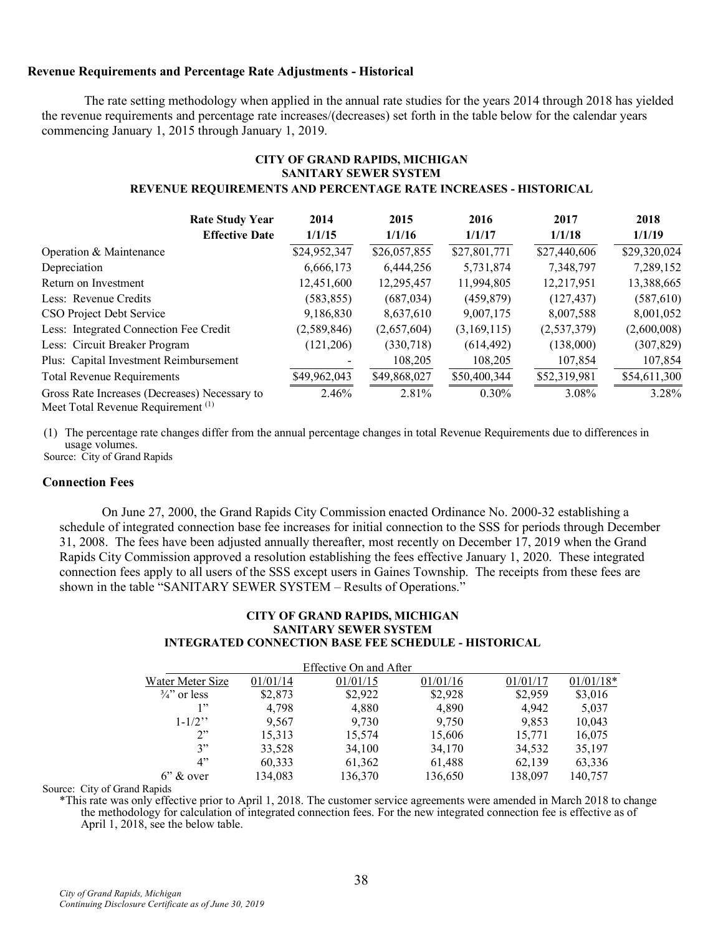### **Revenue Requirements and Percentage Rate Adjustments - Historical**

The rate setting methodology when applied in the annual rate studies for the years 2014 through 2018 has yielded the revenue requirements and percentage rate increases/(decreases) set forth in the table below for the calendar years commencing January 1, 2015 through January 1, 2019.

### **CITY OF GRAND RAPIDS, MICHIGAN SANITARY SEWER SYSTEM REVENUE REQUIREMENTS AND PERCENTAGE RATE INCREASES - HISTORICAL**

| <b>Rate Study Year</b>                                                                          | 2014         | 2015         | 2016         | 2017         | 2018         |
|-------------------------------------------------------------------------------------------------|--------------|--------------|--------------|--------------|--------------|
| <b>Effective Date</b>                                                                           | 1/1/15       | 1/1/16       | 1/1/17       | 1/1/18       | 1/1/19       |
| Operation & Maintenance                                                                         | \$24,952,347 | \$26,057,855 | \$27,801,771 | \$27,440,606 | \$29,320,024 |
| Depreciation                                                                                    | 6,666,173    | 6.444.256    | 5,731,874    | 7,348,797    | 7,289,152    |
| Return on Investment                                                                            | 12,451,600   | 12,295,457   | 11,994,805   | 12,217,951   | 13,388,665   |
| Less: Revenue Credits                                                                           | (583, 855)   | (687, 034)   | (459, 879)   | (127, 437)   | (587, 610)   |
| CSO Project Debt Service                                                                        | 9,186,830    | 8,637,610    | 9,007,175    | 8,007,588    | 8,001,052    |
| Less: Integrated Connection Fee Credit                                                          | (2,589,846)  | (2,657,604)  | (3,169,115)  | (2,537,379)  | (2,600,008)  |
| Less: Circuit Breaker Program                                                                   | (121,206)    | (330,718)    | (614, 492)   | (138,000)    | (307, 829)   |
| Plus: Capital Investment Reimbursement                                                          |              | 108,205      | 108,205      | 107,854      | 107,854      |
| Total Revenue Requirements                                                                      | \$49,962,043 | \$49,868,027 | \$50,400,344 | \$52,319,981 | \$54,611,300 |
| Gross Rate Increases (Decreases) Necessary to<br>$\mathbf{M}$ and $\mathbf{M}$ and $\mathbf{M}$ | 2.46%        | 2.81%        | $0.30\%$     | 3.08%        | 3.28%        |

Meet Total Revenue Requirement<sup>(1)</sup>

(1) The percentage rate changes differ from the annual percentage changes in total Revenue Requirements due to differences in usage volumes. Source: City of Grand Rapids

## **Connection Fees**

On June 27, 2000, the Grand Rapids City Commission enacted Ordinance No. 2000-32 establishing a schedule of integrated connection base fee increases for initial connection to the SSS for periods through December 31, 2008. The fees have been adjusted annually thereafter, most recently on December 17, 2019 when the Grand Rapids City Commission approved a resolution establishing the fees effective January 1, 2020. These integrated connection fees apply to all users of the SSS except users in Gaines Township. The receipts from these fees are shown in the table "SANITARY SEWER SYSTEM – Results of Operations."

#### **CITY OF GRAND RAPIDS, MICHIGAN SANITARY SEWER SYSTEM INTEGRATED CONNECTION BASE FEE SCHEDULE - HISTORICAL**

|                         |          | Effective On and After |          |          |             |
|-------------------------|----------|------------------------|----------|----------|-------------|
| Water Meter Size        | 01/01/14 | 01/01/15               | 01/01/16 | 01/01/17 | $01/01/18*$ |
| $\frac{3}{4}$ " or less | \$2,873  | \$2,922                | \$2,928  | \$2,959  | \$3,016     |
| 1"                      | 4,798    | 4,880                  | 4,890    | 4,942    | 5,037       |
| $1 - 1/2$               | 9,567    | 9.730                  | 9,750    | 9.853    | 10,043      |
| 2"                      | 15,313   | 15,574                 | 15,606   | 15,771   | 16,075      |
| 3"                      | 33,528   | 34,100                 | 34,170   | 34,532   | 35,197      |
| 4"                      | 60,333   | 61,362                 | 61,488   | 62,139   | 63,336      |
| $6$ " & over            | 134,083  | 136,370                | 136,650  | 138,097  | 140,757     |

Source: City of Grand Rapids

\*This rate was only effective prior to April 1, 2018. The customer service agreements were amended in March 2018 to change the methodology for calculation of integrated connection fees. For the new integrated connection fee is effective as of April 1, 2018, see the below table.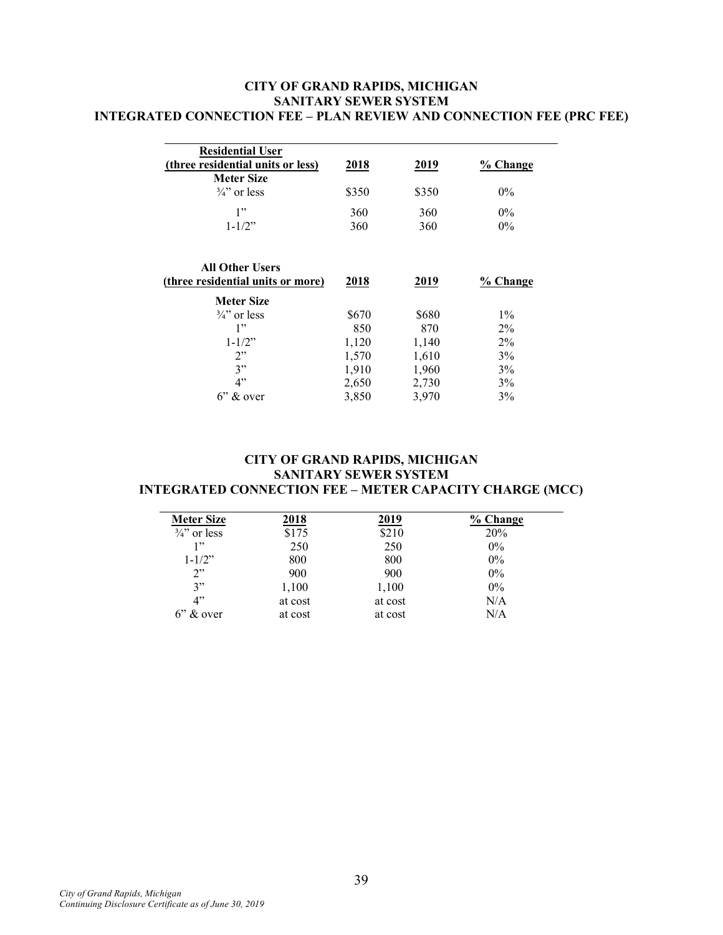# **CITY OF GRAND RAPIDS, MICHIGAN SANITARY SEWER SYSTEM INTEGRATED CONNECTION FEE – PLAN REVIEW AND CONNECTION FEE (PRC FEE)**

| <b>Residential User</b><br>(three residential units or less)<br><b>Meter Size</b> | 2018                                                      | 2019                                                      | % Change                                        |
|-----------------------------------------------------------------------------------|-----------------------------------------------------------|-----------------------------------------------------------|-------------------------------------------------|
| $\frac{3}{4}$ or less                                                             | \$350                                                     | \$350                                                     | $0\%$                                           |
| 1"<br>$1 - 1/2$ "                                                                 | 360<br>360                                                | 360<br>360                                                | $0\%$<br>$0\%$                                  |
| <b>All Other Users</b><br>(three residential units or more)<br><b>Meter Size</b>  | 2018                                                      | 2019                                                      | % Change                                        |
| $\frac{3}{4}$ or less<br>1"<br>$1 - 1/2$ "<br>2"<br>3"<br>4"<br>$6$ " & over      | \$670<br>850<br>1,120<br>1,570<br>1,910<br>2,650<br>3,850 | \$680<br>870<br>1,140<br>1,610<br>1,960<br>2,730<br>3,970 | $1\%$<br>$2\%$<br>$2\%$<br>3%<br>3%<br>3%<br>3% |

# **CITY OF GRAND RAPIDS, MICHIGAN SANITARY SEWER SYSTEM INTEGRATED CONNECTION FEE – METER CAPACITY CHARGE (MCC)**

| <b>Meter Size</b>     | 2018    | 2019    | % Change |
|-----------------------|---------|---------|----------|
| $\frac{3}{4}$ or less | \$175   | \$210   | 20%      |
| 1, 2                  | 250     | 250     | $0\%$    |
| $1 - 1/2$ "           | 800     | 800     | $0\%$    |
| 2"                    | 900     | 900     | $0\%$    |
| 3"                    | 1,100   | 1,100   | $0\%$    |
| 4"                    | at cost | at cost | N/A      |
| $6$ " & over          | at cost | at cost | N/A      |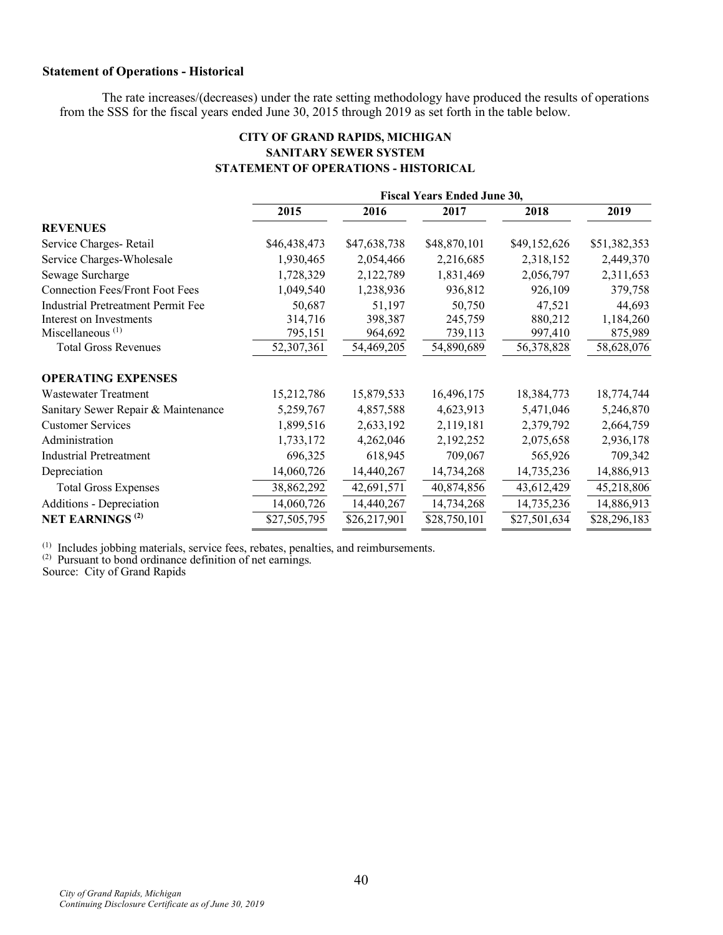# **Statement of Operations - Historical**

The rate increases/(decreases) under the rate setting methodology have produced the results of operations from the SSS for the fiscal years ended June 30, 2015 through 2019 as set forth in the table below.

# **CITY OF GRAND RAPIDS, MICHIGAN SANITARY SEWER SYSTEM STATEMENT OF OPERATIONS - HISTORICAL**

|                                           | <b>Fiscal Years Ended June 30,</b> |              |              |              |              |
|-------------------------------------------|------------------------------------|--------------|--------------|--------------|--------------|
|                                           | 2015                               | 2016         | 2017         | 2018         | 2019         |
| <b>REVENUES</b>                           |                                    |              |              |              |              |
| Service Charges-Retail                    | \$46,438,473                       | \$47,638,738 | \$48,870,101 | \$49,152,626 | \$51,382,353 |
| Service Charges-Wholesale                 | 1,930,465                          | 2,054,466    | 2,216,685    | 2,318,152    | 2,449,370    |
| Sewage Surcharge                          | 1,728,329                          | 2,122,789    | 1,831,469    | 2,056,797    | 2,311,653    |
| <b>Connection Fees/Front Foot Fees</b>    | 1,049,540                          | 1,238,936    | 936,812      | 926,109      | 379,758      |
| <b>Industrial Pretreatment Permit Fee</b> | 50,687                             | 51,197       | 50,750       | 47,521       | 44,693       |
| Interest on Investments                   | 314,716                            | 398,387      | 245,759      | 880,212      | 1,184,260    |
| Miscellaneous $(1)$                       | 795,151                            | 964,692      | 739,113      | 997,410      | 875,989      |
| <b>Total Gross Revenues</b>               | 52,307,361                         | 54,469,205   | 54,890,689   | 56,378,828   | 58,628,076   |
| <b>OPERATING EXPENSES</b>                 |                                    |              |              |              |              |
| <b>Wastewater Treatment</b>               | 15,212,786                         | 15,879,533   | 16,496,175   | 18,384,773   | 18,774,744   |
| Sanitary Sewer Repair & Maintenance       | 5,259,767                          | 4,857,588    | 4,623,913    | 5,471,046    | 5,246,870    |
| <b>Customer Services</b>                  | 1,899,516                          | 2,633,192    | 2,119,181    | 2,379,792    | 2,664,759    |
| Administration                            | 1,733,172                          | 4,262,046    | 2,192,252    | 2,075,658    | 2,936,178    |
| <b>Industrial Pretreatment</b>            | 696,325                            | 618,945      | 709,067      | 565,926      | 709,342      |
| Depreciation                              | 14,060,726                         | 14,440,267   | 14,734,268   | 14,735,236   | 14,886,913   |
| <b>Total Gross Expenses</b>               | 38,862,292                         | 42,691,571   | 40,874,856   | 43,612,429   | 45,218,806   |
| Additions - Depreciation                  | 14,060,726                         | 14,440,267   | 14,734,268   | 14,735,236   | 14,886,913   |
| <b>NET EARNINGS<sup>(2)</sup></b>         | \$27,505,795                       | \$26,217,901 | \$28,750,101 | \$27,501,634 | \$28,296,183 |

 $(1)$  Includes jobbing materials, service fees, rebates, penalties, and reimbursements.  $(2)$  Pursuant to bond ordinance definition of net earnings.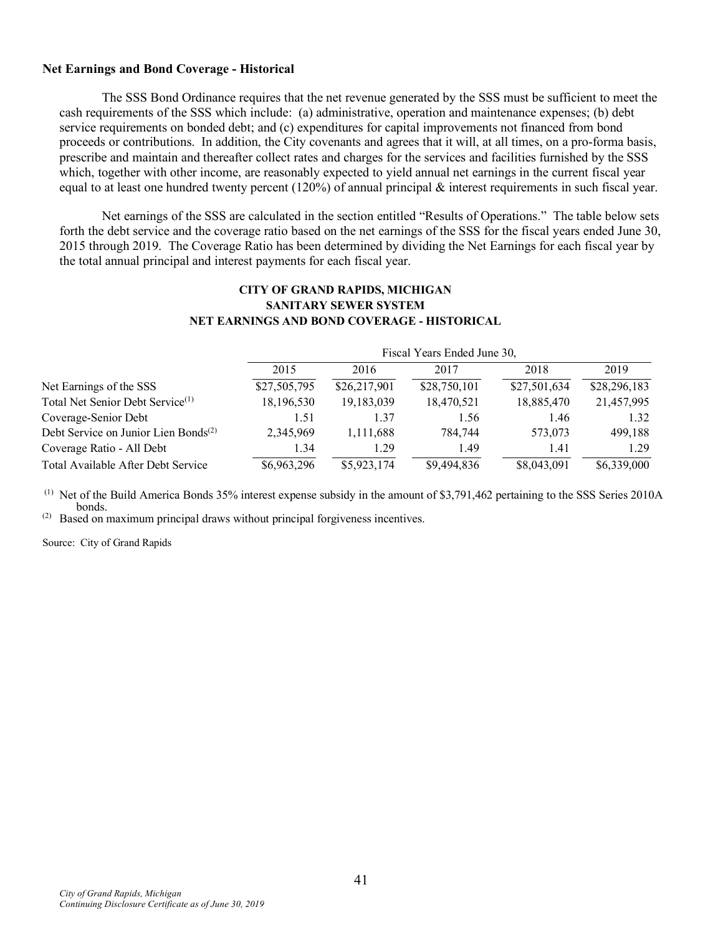### **Net Earnings and Bond Coverage - Historical**

The SSS Bond Ordinance requires that the net revenue generated by the SSS must be sufficient to meet the cash requirements of the SSS which include: (a) administrative, operation and maintenance expenses; (b) debt service requirements on bonded debt; and (c) expenditures for capital improvements not financed from bond proceeds or contributions. In addition, the City covenants and agrees that it will, at all times, on a pro-forma basis, prescribe and maintain and thereafter collect rates and charges for the services and facilities furnished by the SSS which, together with other income, are reasonably expected to yield annual net earnings in the current fiscal year equal to at least one hundred twenty percent (120%) of annual principal  $\&$  interest requirements in such fiscal year.

Net earnings of the SSS are calculated in the section entitled "Results of Operations." The table below sets forth the debt service and the coverage ratio based on the net earnings of the SSS for the fiscal years ended June 30, 2015 through 2019. The Coverage Ratio has been determined by dividing the Net Earnings for each fiscal year by the total annual principal and interest payments for each fiscal year.

## **CITY OF GRAND RAPIDS, MICHIGAN SANITARY SEWER SYSTEM NET EARNINGS AND BOND COVERAGE - HISTORICAL**

|                                                  | Fiscal Years Ended June 30, |              |              |              |              |  |
|--------------------------------------------------|-----------------------------|--------------|--------------|--------------|--------------|--|
|                                                  | 2015                        | 2016         | 2017         | 2018         | 2019         |  |
| Net Earnings of the SSS                          | \$27,505,795                | \$26,217,901 | \$28,750,101 | \$27,501,634 | \$28,296,183 |  |
| Total Net Senior Debt Service <sup>(1)</sup>     | 18,196,530                  | 19,183,039   | 18,470,521   | 18,885,470   | 21,457,995   |  |
| Coverage-Senior Debt                             | 1.51                        | 1.37         | 1.56         | 1.46         | 1.32         |  |
| Debt Service on Junior Lien Bonds <sup>(2)</sup> | 2,345,969                   | 1,111,688    | 784,744      | 573,073      | 499.188      |  |
| Coverage Ratio - All Debt                        | 1.34                        | 1.29         | 1.49         | 1.41         | 1.29         |  |
| Total Available After Debt Service               | \$6,963,296                 | \$5,923,174  | \$9,494,836  | \$8,043,091  | \$6,339,000  |  |

 $<sup>(1)</sup>$  Net of the Build America Bonds 35% interest expense subsidy in the amount of \$3,791,462 pertaining to the SSS Series 2010A</sup> bonds.

(2) Based on maximum principal draws without principal forgiveness incentives.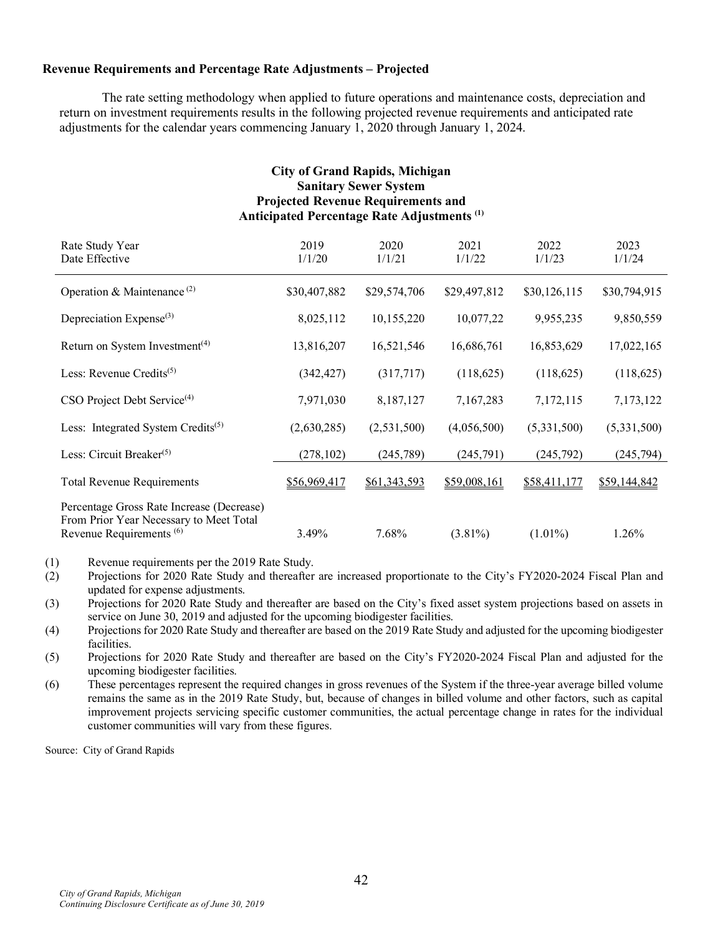## **Revenue Requirements and Percentage Rate Adjustments – Projected**

The rate setting methodology when applied to future operations and maintenance costs, depreciation and return on investment requirements results in the following projected revenue requirements and anticipated rate adjustments for the calendar years commencing January 1, 2020 through January 1, 2024.

| <b>City of Grand Rapids, Michigan</b><br><b>Sanitary Sewer System</b><br><b>Projected Revenue Requirements and</b><br>Anticipated Percentage Rate Adjustments <sup>(1)</sup> |                |                |                |                |                |  |  |
|------------------------------------------------------------------------------------------------------------------------------------------------------------------------------|----------------|----------------|----------------|----------------|----------------|--|--|
| Rate Study Year<br>Date Effective                                                                                                                                            | 2019<br>1/1/20 | 2020<br>1/1/21 | 2021<br>1/1/22 | 2022<br>1/1/23 | 2023<br>1/1/24 |  |  |
| Operation & Maintenance <sup>(2)</sup>                                                                                                                                       | \$30,407,882   | \$29,574,706   | \$29,497,812   | \$30,126,115   | \$30,794,915   |  |  |
| Depreciation Expense <sup>(3)</sup>                                                                                                                                          | 8,025,112      | 10,155,220     | 10,077,22      | 9,955,235      | 9,850,559      |  |  |
| Return on System Investment <sup>(4)</sup>                                                                                                                                   | 13,816,207     | 16,521,546     | 16,686,761     | 16,853,629     | 17,022,165     |  |  |
| Less: Revenue Credits $(5)$                                                                                                                                                  | (342, 427)     | (317,717)      | (118, 625)     | (118, 625)     | (118, 625)     |  |  |
| CSO Project Debt Service <sup>(4)</sup>                                                                                                                                      | 7,971,030      | 8,187,127      | 7,167,283      | 7,172,115      | 7,173,122      |  |  |
| Less: Integrated System Credits <sup>(5)</sup>                                                                                                                               | (2,630,285)    | (2,531,500)    | (4,056,500)    | (5,331,500)    | (5,331,500)    |  |  |
| Less: Circuit Breaker <sup>(5)</sup>                                                                                                                                         | (278, 102)     | (245, 789)     | (245,791)      | (245,792)      | (245, 794)     |  |  |
| <b>Total Revenue Requirements</b>                                                                                                                                            | \$56,969,417   | \$61,343,593   | \$59,008,161   | \$58,411,177   | \$59,144,842   |  |  |
| Percentage Gross Rate Increase (Decrease)<br>From Prior Year Necessary to Meet Total<br>Revenue Requirements <sup>(6)</sup>                                                  | 3.49%          | 7.68%          | $(3.81\%)$     | $(1.01\%)$     | 1.26%          |  |  |

(1) Revenue requirements per the 2019 Rate Study.

- (2) Projections for 2020 Rate Study and thereafter are increased proportionate to the City's FY2020-2024 Fiscal Plan and updated for expense adjustments.
- (3) Projections for 2020 Rate Study and thereafter are based on the City's fixed asset system projections based on assets in service on June 30, 2019 and adjusted for the upcoming biodigester facilities.
- (4) Projections for 2020 Rate Study and thereafter are based on the 2019 Rate Study and adjusted for the upcoming biodigester facilities.
- (5) Projections for 2020 Rate Study and thereafter are based on the City's FY2020-2024 Fiscal Plan and adjusted for the upcoming biodigester facilities.
- (6) These percentages represent the required changes in gross revenues of the System if the three-year average billed volume remains the same as in the 2019 Rate Study, but, because of changes in billed volume and other factors, such as capital improvement projects servicing specific customer communities, the actual percentage change in rates for the individual customer communities will vary from these figures.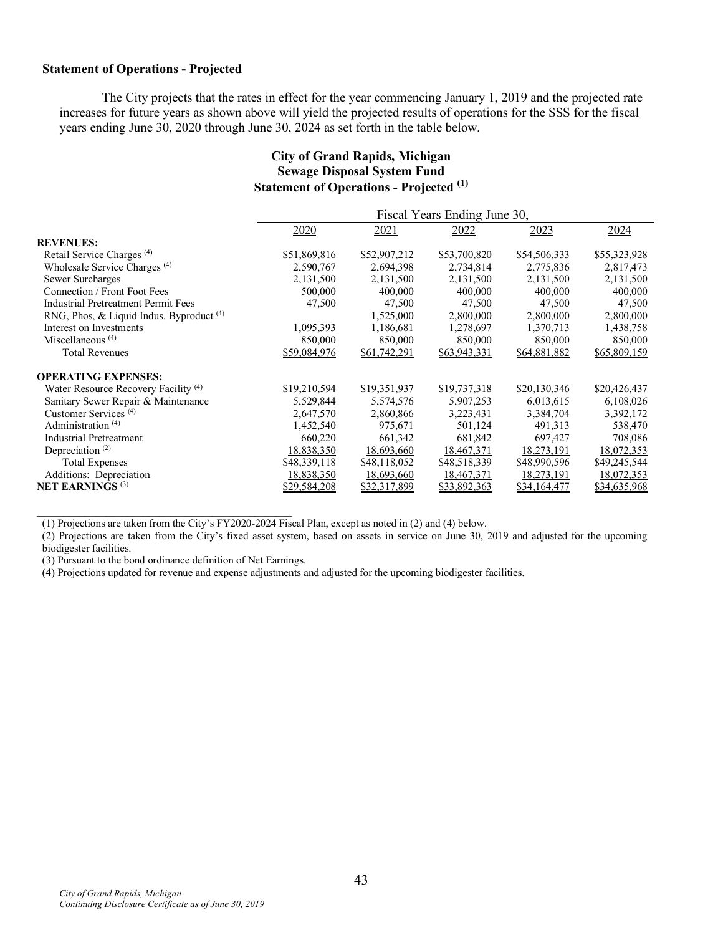### **Statement of Operations - Projected**

The City projects that the rates in effect for the year commencing January 1, 2019 and the projected rate increases for future years as shown above will yield the projected results of operations for the SSS for the fiscal years ending June 30, 2020 through June 30, 2024 as set forth in the table below.

# **City of Grand Rapids, Michigan Sewage Disposal System Fund Statement of Operations - Projected (1)**

|                                                 | Fiscal Years Ending June 30, |              |              |              |              |  |
|-------------------------------------------------|------------------------------|--------------|--------------|--------------|--------------|--|
|                                                 | 2020                         | 2021         | 2022         | 2023         | 2024         |  |
| <b>REVENUES:</b>                                |                              |              |              |              |              |  |
| Retail Service Charges <sup>(4)</sup>           | \$51,869,816                 | \$52,907,212 | \$53,700,820 | \$54,506,333 | \$55,323,928 |  |
| Wholesale Service Charges <sup>(4)</sup>        | 2,590,767                    | 2,694,398    | 2,734,814    | 2,775,836    | 2,817,473    |  |
| Sewer Surcharges                                | 2,131,500                    | 2,131,500    | 2,131,500    | 2,131,500    | 2,131,500    |  |
| Connection / Front Foot Fees                    | 500,000                      | 400,000      | 400,000      | 400,000      | 400,000      |  |
| Industrial Pretreatment Permit Fees             | 47,500                       | 47,500       | 47,500       | 47,500       | 47,500       |  |
| RNG, Phos, & Liquid Indus. Byproduct (4)        |                              | 1,525,000    | 2,800,000    | 2,800,000    | 2,800,000    |  |
| Interest on Investments                         | 1,095,393                    | 1,186,681    | 1,278,697    | 1,370,713    | 1,438,758    |  |
| Miscellaneous $(4)$                             | 850,000                      | 850,000      | 850,000      | 850,000      | 850,000      |  |
| <b>Total Revenues</b>                           | \$59,084,976                 | \$61,742,291 | \$63,943,331 | \$64,881,882 | \$65,809,159 |  |
| <b>OPERATING EXPENSES:</b>                      |                              |              |              |              |              |  |
| Water Resource Recovery Facility <sup>(4)</sup> | \$19,210,594                 | \$19,351,937 | \$19,737,318 | \$20,130,346 | \$20,426,437 |  |
| Sanitary Sewer Repair & Maintenance             | 5,529,844                    | 5,574,576    | 5,907,253    | 6,013,615    | 6,108,026    |  |
| Customer Services <sup>(4)</sup>                | 2,647,570                    | 2,860,866    | 3,223,431    | 3,384,704    | 3,392,172    |  |
| Administration <sup>(4)</sup>                   | 1,452,540                    | 975,671      | 501,124      | 491,313      | 538,470      |  |
| <b>Industrial Pretreatment</b>                  | 660,220                      | 661,342      | 681,842      | 697,427      | 708,086      |  |
| Depreciation <sup><math>(2)</math></sup>        | 18,838,350                   | 18,693,660   | 18,467,371   | 18,273,191   | 18,072,353   |  |
| <b>Total Expenses</b>                           | \$48,339,118                 | \$48,118,052 | \$48,518,339 | \$48,990,596 | \$49,245,544 |  |
| Additions: Depreciation                         | 18,838,350                   | 18,693,660   | 18,467,371   | 18,273,191   | 18,072,353   |  |
| <b>NET EARNINGS</b> <sup>(3)</sup>              | \$29,584,208                 | \$32,317,899 | \$33,892,363 | \$34,164,477 | \$34,635,968 |  |

 $\mathcal{L}_\text{max}$  , and the set of the set of the set of the set of the set of the set of the set of the set of the set of the set of the set of the set of the set of the set of the set of the set of the set of the set of the (1) Projections are taken from the City's FY2020-2024 Fiscal Plan, except as noted in (2) and (4) below.

(2) Projections are taken from the City's fixed asset system, based on assets in service on June 30, 2019 and adjusted for the upcoming biodigester facilities.

(3) Pursuant to the bond ordinance definition of Net Earnings.

(4) Projections updated for revenue and expense adjustments and adjusted for the upcoming biodigester facilities.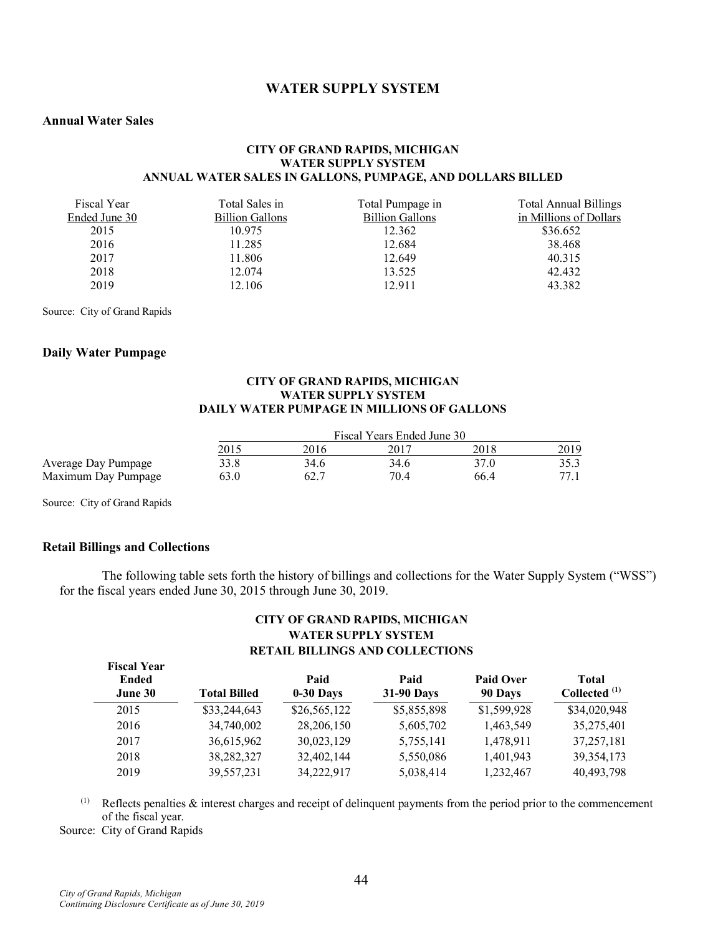# **WATER SUPPLY SYSTEM**

### **Annual Water Sales**

#### **CITY OF GRAND RAPIDS, MICHIGAN WATER SUPPLY SYSTEM ANNUAL WATER SALES IN GALLONS, PUMPAGE, AND DOLLARS BILLED**

| Fiscal Year   | Total Sales in         | Total Pumpage in       | <b>Total Annual Billings</b> |
|---------------|------------------------|------------------------|------------------------------|
| Ended June 30 | <b>Billion Gallons</b> | <b>Billion Gallons</b> | in Millions of Dollars       |
| 2015          | 10.975                 | 12.362                 | \$36.652                     |
| 2016          | 11.285                 | 12.684                 | 38.468                       |
| 2017          | 11.806                 | 12.649                 | 40.315                       |
| 2018          | 12.074                 | 13.525                 | 42.432                       |
| 2019          | 12.106                 | 12.911                 | 43.382                       |

Source: City of Grand Rapids

#### **Daily Water Pumpage**

#### **CITY OF GRAND RAPIDS, MICHIGAN WATER SUPPLY SYSTEM DAILY WATER PUMPAGE IN MILLIONS OF GALLONS**

|                     | Fiscal Years Ended June 30 |      |      |      |      |  |
|---------------------|----------------------------|------|------|------|------|--|
|                     | 2015                       | 2016 | 2011 | 2018 | 2019 |  |
| Average Day Pumpage | 33.8                       | 34.6 | 34.6 | 37.0 | 35.3 |  |
| Maximum Day Pumpage | 63.0                       |      | 70.4 | 66.4 | 77.1 |  |

Source: City of Grand Rapids

### **Retail Billings and Collections**

The following table sets forth the history of billings and collections for the Water Supply System ("WSS") for the fiscal years ended June 30, 2015 through June 30, 2019.

### **CITY OF GRAND RAPIDS, MICHIGAN WATER SUPPLY SYSTEM RETAIL BILLINGS AND COLLECTIONS**

| <b>Fiscal Year</b><br>Ended<br>June 30 | <b>Total Billed</b> | Paid<br>$0-30$ Days | Paid<br><b>31-90 Days</b> | Paid Over<br>90 Days | <b>Total</b><br>Collected <sup>(1)</sup> |
|----------------------------------------|---------------------|---------------------|---------------------------|----------------------|------------------------------------------|
| 2015                                   | \$33,244,643        | \$26,565,122        | \$5,855,898               | \$1,599,928          | \$34,020,948                             |
| 2016                                   | 34,740,002          | 28,206,150          | 5,605,702                 | 1,463,549            | 35,275,401                               |
| 2017                                   | 36,615,962          | 30,023,129          | 5,755,141                 | 1,478,911            | 37, 257, 181                             |
| 2018                                   | 38,282,327          | 32,402,144          | 5,550,086                 | 1,401,943            | 39, 354, 173                             |
| 2019                                   | 39,557,231          | 34,222,917          | 5,038,414                 | 1,232,467            | 40,493,798                               |

(1) Reflects penalties & interest charges and receipt of delinquent payments from the period prior to the commencement of the fiscal year.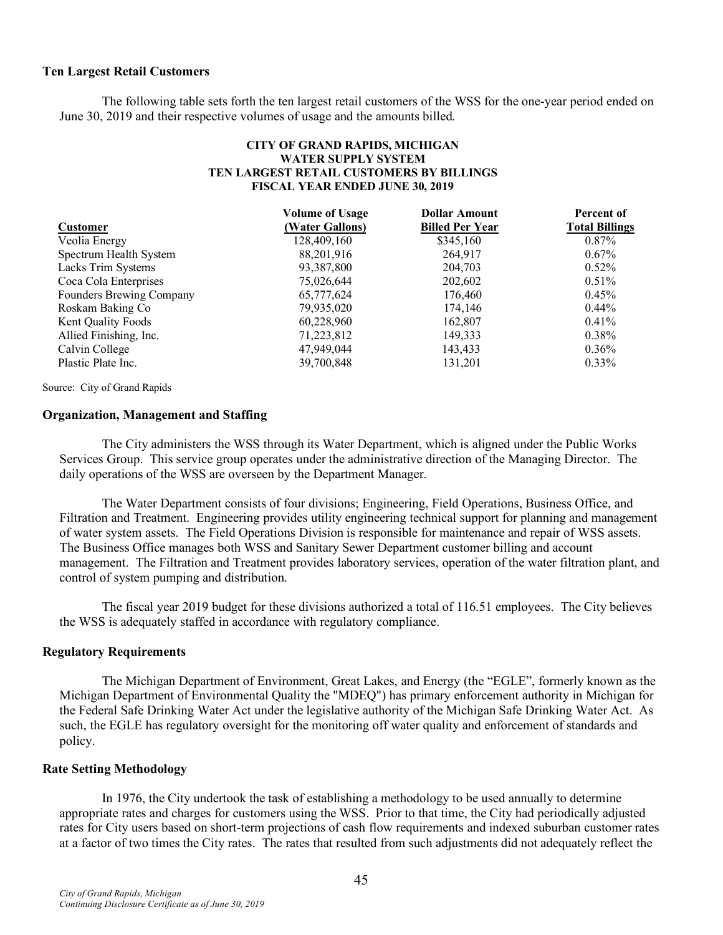### **Ten Largest Retail Customers**

The following table sets forth the ten largest retail customers of the WSS for the one-year period ended on June 30, 2019 and their respective volumes of usage and the amounts billed.

### **CITY OF GRAND RAPIDS, MICHIGAN WATER SUPPLY SYSTEM TEN LARGEST RETAIL CUSTOMERS BY BILLINGS FISCAL YEAR ENDED JUNE 30, 2019**

|                          | <b>Volume of Usage</b> | <b>Dollar Amount</b>   | Percent of            |
|--------------------------|------------------------|------------------------|-----------------------|
| <b>Customer</b>          | (Water Gallons)        | <b>Billed Per Year</b> | <b>Total Billings</b> |
| Veolia Energy            | 128,409,160            | \$345,160              | $0.87\%$              |
| Spectrum Health System   | 88,201,916             | 264,917                | $0.67\%$              |
| Lacks Trim Systems       | 93,387,800             | 204,703                | $0.52\%$              |
| Coca Cola Enterprises    | 75,026,644             | 202,602                | 0.51%                 |
| Founders Brewing Company | 65,777,624             | 176,460                | $0.45\%$              |
| Roskam Baking Co         | 79,935,020             | 174,146                | $0.44\%$              |
| Kent Quality Foods       | 60,228,960             | 162,807                | $0.41\%$              |
| Allied Finishing, Inc.   | 71,223,812             | 149,333                | $0.38\%$              |
| Calvin College           | 47,949,044             | 143,433                | $0.36\%$              |
| Plastic Plate Inc.       | 39,700,848             | 131.201                | $0.33\%$              |

Source: City of Grand Rapids

## **Organization, Management and Staffing**

The City administers the WSS through its Water Department, which is aligned under the Public Works Services Group. This service group operates under the administrative direction of the Managing Director. The daily operations of the WSS are overseen by the Department Manager.

The Water Department consists of four divisions; Engineering, Field Operations, Business Office, and Filtration and Treatment. Engineering provides utility engineering technical support for planning and management of water system assets. The Field Operations Division is responsible for maintenance and repair of WSS assets. The Business Office manages both WSS and Sanitary Sewer Department customer billing and account management. The Filtration and Treatment provides laboratory services, operation of the water filtration plant, and control of system pumping and distribution.

The fiscal year 2019 budget for these divisions authorized a total of 116.51 employees. The City believes the WSS is adequately staffed in accordance with regulatory compliance.

#### **Regulatory Requirements**

The Michigan Department of Environment, Great Lakes, and Energy (the "EGLE", formerly known as the Michigan Department of Environmental Quality the "MDEQ") has primary enforcement authority in Michigan for the Federal Safe Drinking Water Act under the legislative authority of the Michigan Safe Drinking Water Act. As such, the EGLE has regulatory oversight for the monitoring off water quality and enforcement of standards and policy.

#### **Rate Setting Methodology**

In 1976, the City undertook the task of establishing a methodology to be used annually to determine appropriate rates and charges for customers using the WSS. Prior to that time, the City had periodically adjusted rates for City users based on short-term projections of cash flow requirements and indexed suburban customer rates at a factor of two times the City rates. The rates that resulted from such adjustments did not adequately reflect the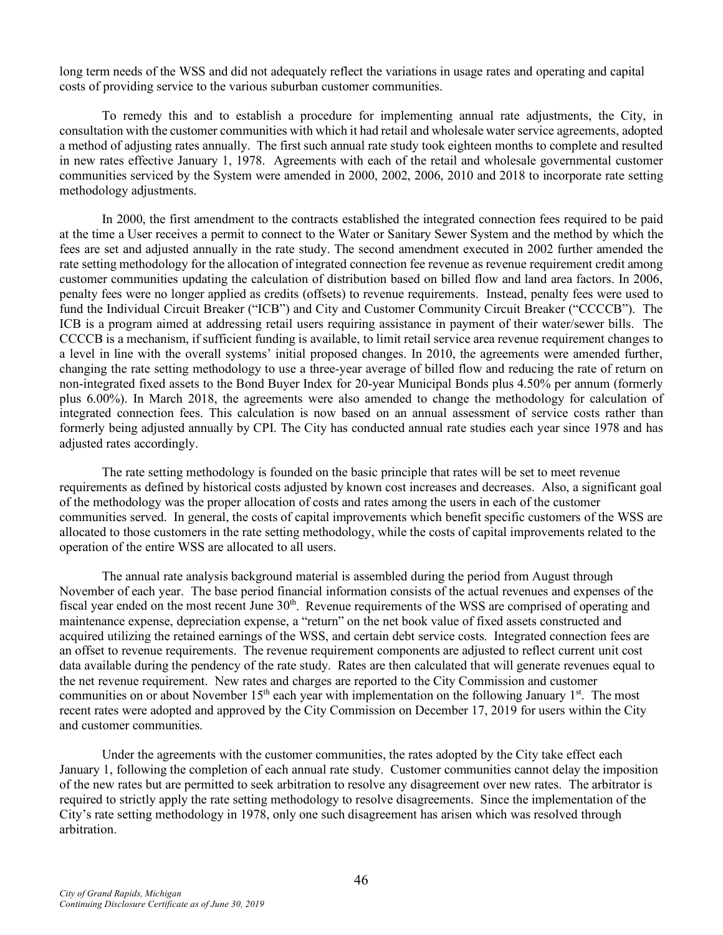long term needs of the WSS and did not adequately reflect the variations in usage rates and operating and capital costs of providing service to the various suburban customer communities.

To remedy this and to establish a procedure for implementing annual rate adjustments, the City, in consultation with the customer communities with which it had retail and wholesale water service agreements, adopted a method of adjusting rates annually. The first such annual rate study took eighteen months to complete and resulted in new rates effective January 1, 1978. Agreements with each of the retail and wholesale governmental customer communities serviced by the System were amended in 2000, 2002, 2006, 2010 and 2018 to incorporate rate setting methodology adjustments.

In 2000, the first amendment to the contracts established the integrated connection fees required to be paid at the time a User receives a permit to connect to the Water or Sanitary Sewer System and the method by which the fees are set and adjusted annually in the rate study. The second amendment executed in 2002 further amended the rate setting methodology for the allocation of integrated connection fee revenue as revenue requirement credit among customer communities updating the calculation of distribution based on billed flow and land area factors. In 2006, penalty fees were no longer applied as credits (offsets) to revenue requirements. Instead, penalty fees were used to fund the Individual Circuit Breaker ("ICB") and City and Customer Community Circuit Breaker ("CCCCB"). The ICB is a program aimed at addressing retail users requiring assistance in payment of their water/sewer bills. The CCCCB is a mechanism, if sufficient funding is available, to limit retail service area revenue requirement changes to a level in line with the overall systems' initial proposed changes. In 2010, the agreements were amended further, changing the rate setting methodology to use a three-year average of billed flow and reducing the rate of return on non-integrated fixed assets to the Bond Buyer Index for 20-year Municipal Bonds plus 4.50% per annum (formerly plus 6.00%). In March 2018, the agreements were also amended to change the methodology for calculation of integrated connection fees. This calculation is now based on an annual assessment of service costs rather than formerly being adjusted annually by CPI. The City has conducted annual rate studies each year since 1978 and has adjusted rates accordingly.

The rate setting methodology is founded on the basic principle that rates will be set to meet revenue requirements as defined by historical costs adjusted by known cost increases and decreases. Also, a significant goal of the methodology was the proper allocation of costs and rates among the users in each of the customer communities served. In general, the costs of capital improvements which benefit specific customers of the WSS are allocated to those customers in the rate setting methodology, while the costs of capital improvements related to the operation of the entire WSS are allocated to all users.

The annual rate analysis background material is assembled during the period from August through November of each year. The base period financial information consists of the actual revenues and expenses of the fiscal year ended on the most recent June 30<sup>th</sup>. Revenue requirements of the WSS are comprised of operating and maintenance expense, depreciation expense, a "return" on the net book value of fixed assets constructed and acquired utilizing the retained earnings of the WSS, and certain debt service costs. Integrated connection fees are an offset to revenue requirements. The revenue requirement components are adjusted to reflect current unit cost data available during the pendency of the rate study. Rates are then calculated that will generate revenues equal to the net revenue requirement. New rates and charges are reported to the City Commission and customer communities on or about November  $15<sup>th</sup>$  each year with implementation on the following January  $1<sup>st</sup>$ . The most recent rates were adopted and approved by the City Commission on December 17, 2019 for users within the City and customer communities.

Under the agreements with the customer communities, the rates adopted by the City take effect each January 1, following the completion of each annual rate study. Customer communities cannot delay the imposition of the new rates but are permitted to seek arbitration to resolve any disagreement over new rates. The arbitrator is required to strictly apply the rate setting methodology to resolve disagreements. Since the implementation of the City's rate setting methodology in 1978, only one such disagreement has arisen which was resolved through arbitration.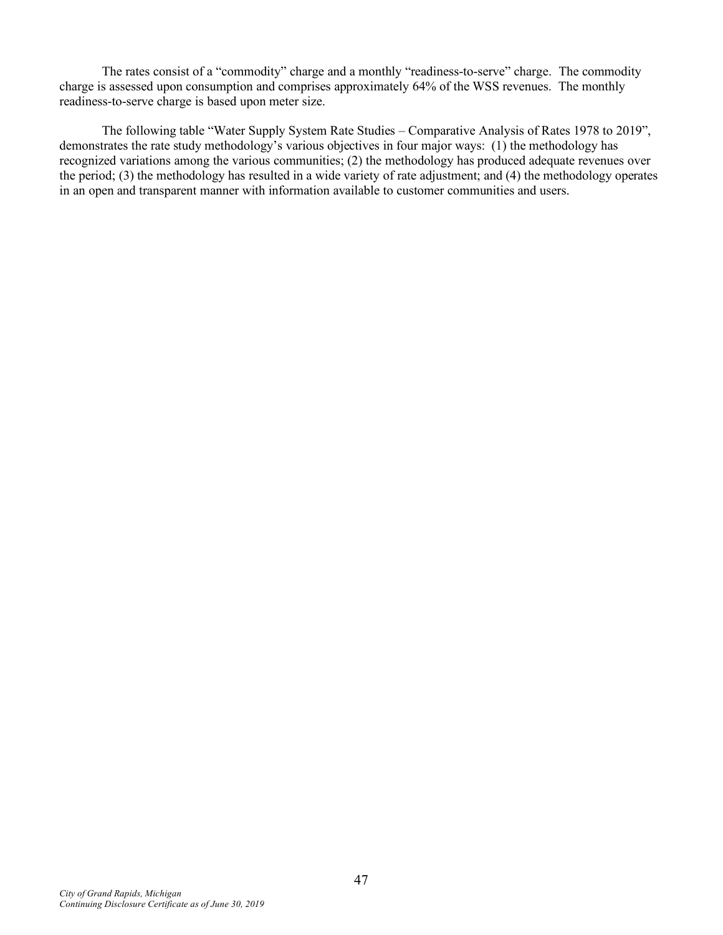The rates consist of a "commodity" charge and a monthly "readiness-to-serve" charge. The commodity charge is assessed upon consumption and comprises approximately 64% of the WSS revenues. The monthly readiness-to-serve charge is based upon meter size.

The following table "Water Supply System Rate Studies – Comparative Analysis of Rates 1978 to 2019", demonstrates the rate study methodology's various objectives in four major ways: (1) the methodology has recognized variations among the various communities; (2) the methodology has produced adequate revenues over the period; (3) the methodology has resulted in a wide variety of rate adjustment; and (4) the methodology operates in an open and transparent manner with information available to customer communities and users.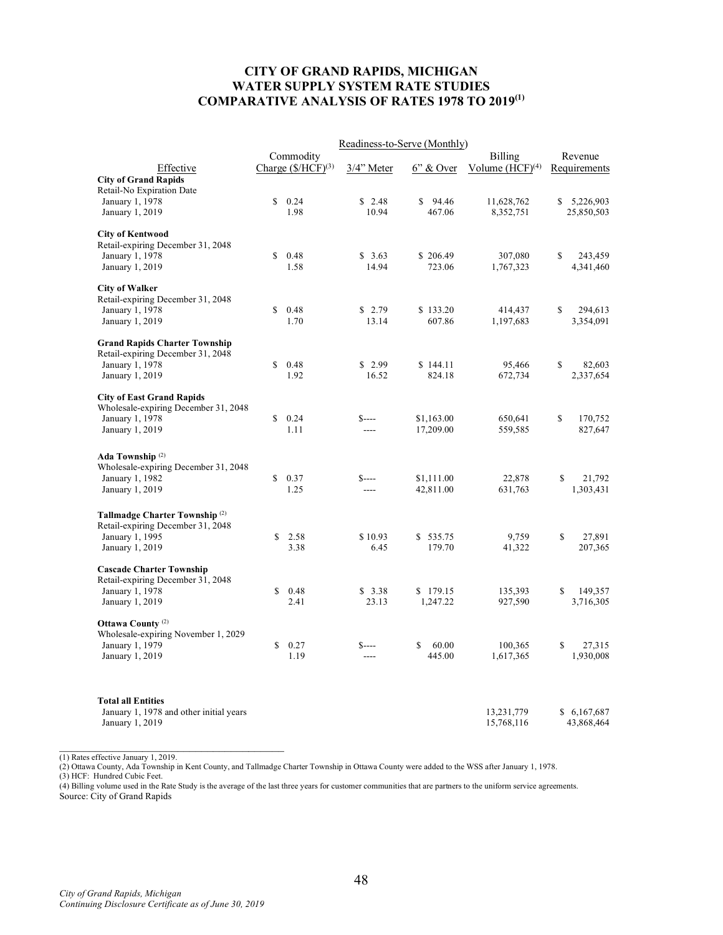## **CITY OF GRAND RAPIDS, MICHIGAN WATER SUPPLY SYSTEM RATE STUDIES COMPARATIVE ANALYSIS OF RATES 1978 TO 2019(1)**

|                                                                           |                                  | Readiness-to-Serve (Monthly) |              |                      |             |              |
|---------------------------------------------------------------------------|----------------------------------|------------------------------|--------------|----------------------|-------------|--------------|
|                                                                           | Commodity                        |                              |              | Billing              |             | Revenue      |
| Effective                                                                 | Charge $(\frac{S/HCF}{I})^{(3)}$ | 3/4" Meter                   | $6$ " & Over | Volume $(HCF)^{(4)}$ |             | Requirements |
| <b>City of Grand Rapids</b>                                               |                                  |                              |              |                      |             |              |
| Retail-No Expiration Date<br>January 1, 1978                              | \$<br>0.24                       | \$2.48                       | \$<br>94.46  | 11,628,762           | \$          | 5,226,903    |
| January 1, 2019                                                           | 1.98                             | 10.94                        | 467.06       | 8,352,751            |             | 25,850,503   |
|                                                                           |                                  |                              |              |                      |             |              |
| <b>City of Kentwood</b>                                                   |                                  |                              |              |                      |             |              |
| Retail-expiring December 31, 2048                                         |                                  |                              |              |                      |             |              |
| January 1, 1978                                                           | \$<br>0.48                       | \$3.63                       | \$206.49     | 307,080              | \$          | 243,459      |
| January 1, 2019                                                           | 1.58                             | 14.94                        | 723.06       | 1,767,323            |             | 4,341,460    |
| <b>City of Walker</b>                                                     |                                  |                              |              |                      |             |              |
| Retail-expiring December 31, 2048                                         |                                  |                              |              |                      |             |              |
| January 1, 1978                                                           | \$<br>0.48                       | \$2.79                       | \$133.20     | 414,437              | \$          | 294,613      |
| January 1, 2019                                                           | 1.70                             | 13.14                        | 607.86       | 1,197,683            |             | 3,354,091    |
|                                                                           |                                  |                              |              |                      |             |              |
| <b>Grand Rapids Charter Township</b><br>Retail-expiring December 31, 2048 |                                  |                              |              |                      |             |              |
| January 1, 1978                                                           | \$<br>0.48                       | \$2.99                       | \$144.11     | 95,466               | \$          | 82,603       |
| January 1, 2019                                                           | 1.92                             | 16.52                        | 824.18       | 672,734              |             | 2,337,654    |
|                                                                           |                                  |                              |              |                      |             |              |
| <b>City of East Grand Rapids</b>                                          |                                  |                              |              |                      |             |              |
| Wholesale-expiring December 31, 2048                                      |                                  |                              |              |                      |             |              |
| January 1, 1978                                                           | \$<br>0.24                       | $S$ ----                     | \$1,163.00   | 650,641              | \$          | 170,752      |
| January 1, 2019                                                           | 1.11                             | ----                         | 17,209.00    | 559,585              |             | 827,647      |
|                                                                           |                                  |                              |              |                      |             |              |
| Ada Township <sup>(2)</sup><br>Wholesale-expiring December 31, 2048       |                                  |                              |              |                      |             |              |
| January 1, 1982                                                           | \$<br>0.37                       | $S$ ----                     | \$1,111.00   | 22,878               | \$          | 21,792       |
| January 1, 2019                                                           | 1.25                             | $---$                        | 42,811.00    | 631,763              |             | 1,303,431    |
|                                                                           |                                  |                              |              |                      |             |              |
| Tallmadge Charter Township <sup>(2)</sup>                                 |                                  |                              |              |                      |             |              |
| Retail-expiring December 31, 2048                                         |                                  |                              |              |                      |             |              |
| January 1, 1995                                                           | \$<br>2.58                       | \$10.93                      | \$535.75     | 9,759                | $\mathbf S$ | 27,891       |
| January 1, 2019                                                           | 3.38                             | 6.45                         | 179.70       | 41,322               |             | 207,365      |
| <b>Cascade Charter Township</b>                                           |                                  |                              |              |                      |             |              |
| Retail-expiring December 31, 2048                                         |                                  |                              |              |                      |             |              |
| January 1, 1978                                                           | \$<br>0.48                       | \$3.38                       | \$179.15     | 135,393              | \$          | 149,357      |
| January 1, 2019                                                           | 2.41                             | 23.13                        | 1,247.22     | 927,590              |             | 3,716,305    |
|                                                                           |                                  |                              |              |                      |             |              |
| Ottawa County <sup>(2)</sup>                                              |                                  |                              |              |                      |             |              |
| Wholesale-expiring November 1, 2029                                       |                                  |                              |              |                      |             |              |
| January 1, 1979                                                           | \$<br>0.27                       | $S$ ----                     | \$<br>60.00  | 100,365              | \$          | 27,315       |
| January 1, 2019                                                           | 1.19                             | ----                         | 445.00       | 1,617,365            |             | 1,930,008    |
|                                                                           |                                  |                              |              |                      |             |              |
| <b>Total all Entities</b>                                                 |                                  |                              |              |                      |             |              |
| January 1, 1978 and other initial years                                   |                                  |                              |              | 13,231,779           |             | \$6,167,687  |
| January 1, 2019                                                           |                                  |                              |              | 15,768,116           |             | 43,868,464   |

(1) Rates effective January 1, 2019.

(2) Ottawa County, Ada Township in Kent County, and Tallmadge Charter Township in Ottawa County were added to the WSS after January 1, 1978.

(3) HCF: Hundred Cubic Feet.

(4) Billing volume used in the Rate Study is the average of the last three years for customer communities that are partners to the uniform service agreements. Source: City of Grand Rapids

\_\_\_\_\_\_\_\_\_\_\_\_\_\_\_\_\_\_\_\_\_\_\_\_\_\_\_\_\_\_\_\_\_\_\_\_\_\_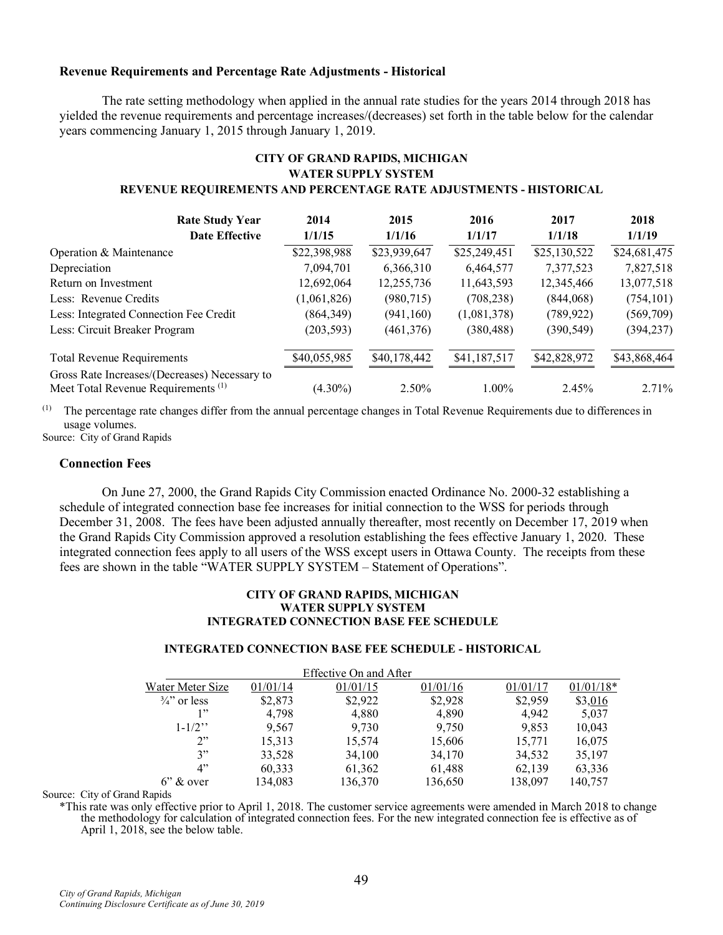### **Revenue Requirements and Percentage Rate Adjustments - Historical**

The rate setting methodology when applied in the annual rate studies for the years 2014 through 2018 has yielded the revenue requirements and percentage increases/(decreases) set forth in the table below for the calendar years commencing January 1, 2015 through January 1, 2019.

## **CITY OF GRAND RAPIDS, MICHIGAN WATER SUPPLY SYSTEM REVENUE REQUIREMENTS AND PERCENTAGE RATE ADJUSTMENTS - HISTORICAL**

| <b>Rate Study Year</b>                                                                          | 2014         | 2015         | 2016         | 2017         | 2018         |
|-------------------------------------------------------------------------------------------------|--------------|--------------|--------------|--------------|--------------|
| <b>Date Effective</b>                                                                           | 1/1/15       | 1/1/16       | 1/1/17       | 1/1/18       | 1/1/19       |
| Operation & Maintenance                                                                         | \$22,398,988 | \$23,939,647 | \$25,249,451 | \$25,130,522 | \$24,681,475 |
| Depreciation                                                                                    | 7,094,701    | 6,366,310    | 6,464,577    | 7,377,523    | 7,827,518    |
| Return on Investment                                                                            | 12,692,064   | 12,255,736   | 11,643,593   | 12,345,466   | 13,077,518   |
| Less: Revenue Credits                                                                           | (1,061,826)  | (980, 715)   | (708, 238)   | (844,068)    | (754, 101)   |
| Less: Integrated Connection Fee Credit                                                          | (864, 349)   | (941, 160)   | (1,081,378)  | (789, 922)   | (569,709)    |
| Less: Circuit Breaker Program                                                                   | (203, 593)   | (461, 376)   | (380, 488)   | (390, 549)   | (394, 237)   |
| <b>Total Revenue Requirements</b>                                                               | \$40,055,985 | \$40,178,442 | \$41,187,517 | \$42,828,972 | \$43,868,464 |
| Gross Rate Increases/(Decreases) Necessary to<br>Meet Total Revenue Requirements <sup>(1)</sup> | $(4.30\%)$   | $2.50\%$     | $1.00\%$     | 2.45%        | 2.71%        |

 $<sup>(1)</sup>$  The percentage rate changes differ from the annual percentage changes in Total Revenue Requirements due to differences in</sup> usage volumes.

Source: City of Grand Rapids

#### **Connection Fees**

On June 27, 2000, the Grand Rapids City Commission enacted Ordinance No. 2000-32 establishing a schedule of integrated connection base fee increases for initial connection to the WSS for periods through December 31, 2008. The fees have been adjusted annually thereafter, most recently on December 17, 2019 when the Grand Rapids City Commission approved a resolution establishing the fees effective January 1, 2020. These integrated connection fees apply to all users of the WSS except users in Ottawa County. The receipts from these fees are shown in the table "WATER SUPPLY SYSTEM – Statement of Operations".

#### **CITY OF GRAND RAPIDS, MICHIGAN WATER SUPPLY SYSTEM INTEGRATED CONNECTION BASE FEE SCHEDULE**

#### **INTEGRATED CONNECTION BASE FEE SCHEDULE - HISTORICAL**

| 01/01/14 | 01/01/15 | 01/01/16 | 01/01/17               | $01/01/18*$ |
|----------|----------|----------|------------------------|-------------|
| \$2,873  | \$2,922  | \$2,928  | \$2,959                | \$3,016     |
| 4,798    | 4,880    | 4,890    | 4.942                  | 5,037       |
| 9,567    | 9,730    | 9,750    | 9,853                  | 10,043      |
| 15,313   | 15,574   | 15,606   | 15,771                 | 16,075      |
| 33,528   | 34,100   | 34,170   | 34,532                 | 35,197      |
| 60,333   | 61,362   | 61,488   | 62,139                 | 63,336      |
| 134,083  | 136,370  | 136,650  | 138,097                | 140,757     |
|          |          |          | Effective On and After |             |

Source: City of Grand Rapids

\*This rate was only effective prior to April 1, 2018. The customer service agreements were amended in March 2018 to change the methodology for calculation of integrated connection fees. For the new integrated connection fee is effective as of April 1, 2018, see the below table.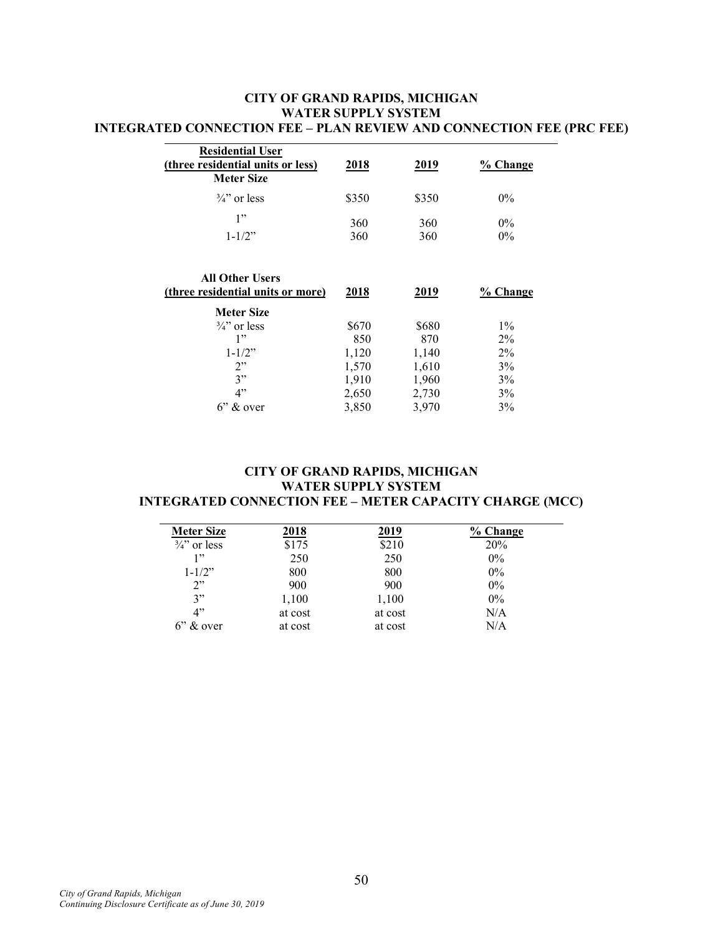## **CITY OF GRAND RAPIDS, MICHIGAN WATER SUPPLY SYSTEM INTEGRATED CONNECTION FEE – PLAN REVIEW AND CONNECTION FEE (PRC FEE)**

| <b>Residential User</b><br>(three residential units or less)<br><b>Meter Size</b> | 2018         | 2019         | % Change       |
|-----------------------------------------------------------------------------------|--------------|--------------|----------------|
| $\frac{3}{4}$ or less                                                             | \$350        | \$350        | $0\%$          |
| 1"<br>$1 - 1/2"$                                                                  | 360<br>360   | 360<br>360   | $0\%$<br>$0\%$ |
|                                                                                   |              |              |                |
| <b>All Other Users</b><br>(three residential units or more)                       | 2018         | 2019         | % Change       |
| <b>Meter Size</b><br>$\frac{3}{4}$ or less                                        |              |              | $1\%$          |
| 1"                                                                                | \$670<br>850 | \$680<br>870 | $2\%$          |
| $1 - 1/2"$                                                                        | 1,120        | 1,140        | $2\%$          |
| 2"                                                                                | 1,570        | 1,610        | 3%             |
| 3"                                                                                | 1,910        | 1,960        | $3\%$          |
| 4"                                                                                | 2,650        | 2,730        | 3%             |

# **CITY OF GRAND RAPIDS, MICHIGAN WATER SUPPLY SYSTEM INTEGRATED CONNECTION FEE – METER CAPACITY CHARGE (MCC)**

| <b>Meter Size</b>     | 2018    | 2019    | % Change |
|-----------------------|---------|---------|----------|
| $\frac{3}{4}$ or less | \$175   | \$210   | 20%      |
| 1, 2                  | 250     | 250     | $0\%$    |
| $1 - 1/2$ "           | 800     | 800     | $0\%$    |
| 2"                    | 900     | 900     | $0\%$    |
| 3"                    | 1,100   | 1,100   | $0\%$    |
| 4"                    | at cost | at cost | N/A      |
| $6$ " & over          | at cost | at cost | N/A      |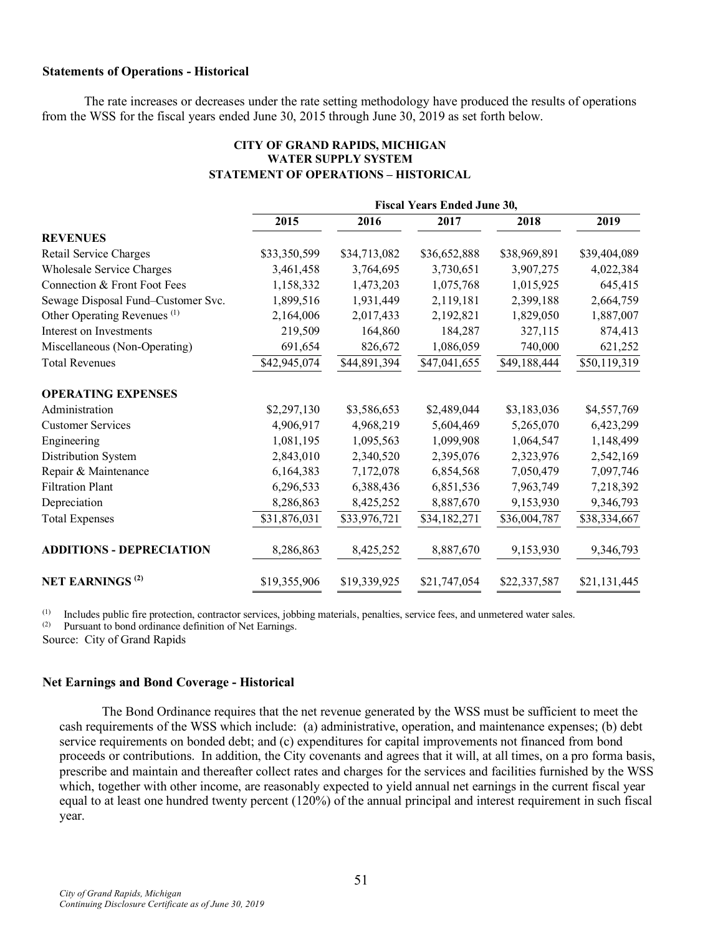### **Statements of Operations - Historical**

The rate increases or decreases under the rate setting methodology have produced the results of operations from the WSS for the fiscal years ended June 30, 2015 through June 30, 2019 as set forth below.

|                                         | <b>Fiscal Years Ended June 30,</b> |              |              |              |              |  |
|-----------------------------------------|------------------------------------|--------------|--------------|--------------|--------------|--|
|                                         | 2015                               | 2016         | 2017         | 2018         | 2019         |  |
| <b>REVENUES</b>                         |                                    |              |              |              |              |  |
| Retail Service Charges                  | \$33,350,599                       | \$34,713,082 | \$36,652,888 | \$38,969,891 | \$39,404,089 |  |
| Wholesale Service Charges               | 3,461,458                          | 3,764,695    | 3,730,651    | 3,907,275    | 4,022,384    |  |
| Connection & Front Foot Fees            | 1,158,332                          | 1,473,203    | 1,075,768    | 1,015,925    | 645,415      |  |
| Sewage Disposal Fund-Customer Svc.      | 1,899,516                          | 1,931,449    | 2,119,181    | 2,399,188    | 2,664,759    |  |
| Other Operating Revenues <sup>(1)</sup> | 2,164,006                          | 2,017,433    | 2,192,821    | 1,829,050    | 1,887,007    |  |
| Interest on Investments                 | 219,509                            | 164,860      | 184,287      | 327,115      | 874,413      |  |
| Miscellaneous (Non-Operating)           | 691,654                            | 826,672      | 1,086,059    | 740,000      | 621,252      |  |
| <b>Total Revenues</b>                   | \$42,945,074                       | \$44,891,394 | \$47,041,655 | \$49,188,444 | \$50,119,319 |  |
| <b>OPERATING EXPENSES</b>               |                                    |              |              |              |              |  |
| Administration                          | \$2,297,130                        | \$3,586,653  | \$2,489,044  | \$3,183,036  | \$4,557,769  |  |
| <b>Customer Services</b>                | 4,906,917                          | 4,968,219    | 5,604,469    | 5,265,070    | 6,423,299    |  |
| Engineering                             | 1,081,195                          | 1,095,563    | 1,099,908    | 1,064,547    | 1,148,499    |  |
| Distribution System                     | 2,843,010                          | 2,340,520    | 2,395,076    | 2,323,976    | 2,542,169    |  |
| Repair & Maintenance                    | 6,164,383                          | 7,172,078    | 6,854,568    | 7,050,479    | 7,097,746    |  |
| <b>Filtration Plant</b>                 | 6,296,533                          | 6,388,436    | 6,851,536    | 7,963,749    | 7,218,392    |  |
| Depreciation                            | 8,286,863                          | 8,425,252    | 8,887,670    | 9,153,930    | 9,346,793    |  |
| <b>Total Expenses</b>                   | \$31,876,031                       | \$33,976,721 | \$34,182,271 | \$36,004,787 | \$38,334,667 |  |
| ADDITIONS - DEPRECIATION                | 8,286,863                          | 8,425,252    | 8,887,670    | 9,153,930    | 9,346,793    |  |
| <b>NET EARNINGS<sup>(2)</sup></b>       | \$19,355,906                       | \$19,339,925 | \$21,747,054 | \$22,337,587 | \$21,131,445 |  |

## **CITY OF GRAND RAPIDS, MICHIGAN WATER SUPPLY SYSTEM STATEMENT OF OPERATIONS – HISTORICAL**

(1) Includes public fire protection, contractor services, jobbing materials, penalties, service fees, and unmetered water sales.

(2) Pursuant to bond ordinance definition of Net Earnings.

Source: City of Grand Rapids

#### **Net Earnings and Bond Coverage - Historical**

The Bond Ordinance requires that the net revenue generated by the WSS must be sufficient to meet the cash requirements of the WSS which include: (a) administrative, operation, and maintenance expenses; (b) debt service requirements on bonded debt; and (c) expenditures for capital improvements not financed from bond proceeds or contributions. In addition, the City covenants and agrees that it will, at all times, on a pro forma basis, prescribe and maintain and thereafter collect rates and charges for the services and facilities furnished by the WSS which, together with other income, are reasonably expected to yield annual net earnings in the current fiscal year equal to at least one hundred twenty percent (120%) of the annual principal and interest requirement in such fiscal year.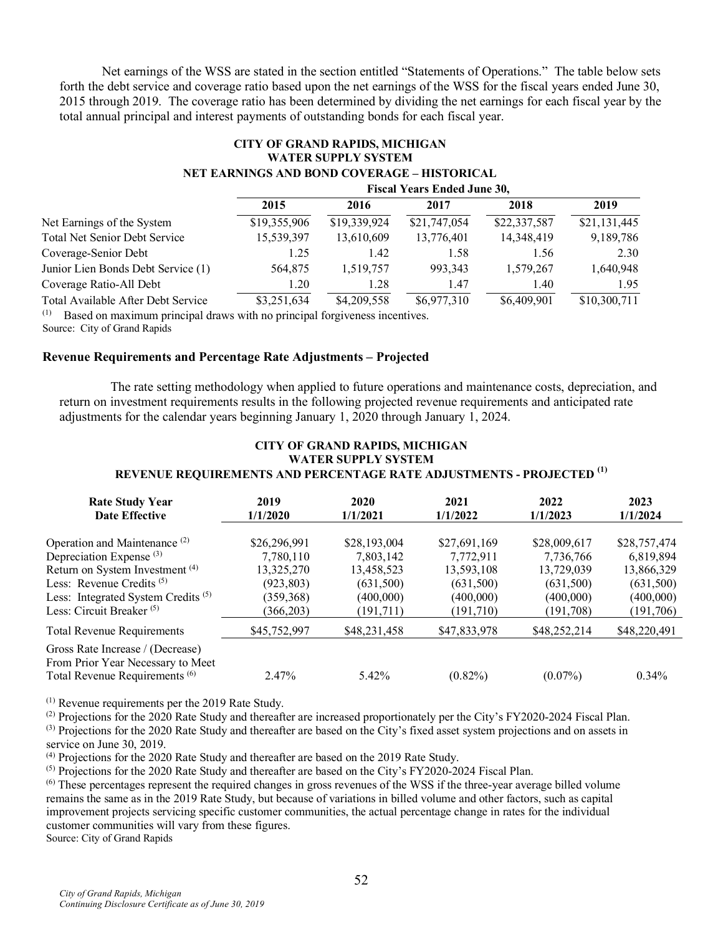Net earnings of the WSS are stated in the section entitled "Statements of Operations." The table below sets forth the debt service and coverage ratio based upon the net earnings of the WSS for the fiscal years ended June 30, 2015 through 2019. The coverage ratio has been determined by dividing the net earnings for each fiscal year by the total annual principal and interest payments of outstanding bonds for each fiscal year.

### **CITY OF GRAND RAPIDS, MICHIGAN WATER SUPPLY SYSTEM NET EARNINGS AND BOND COVERAGE – HISTORICAL**

|                                      | <b>Fiscal Years Ended June 30,</b> |              |              |              |              |
|--------------------------------------|------------------------------------|--------------|--------------|--------------|--------------|
|                                      | 2015                               | 2016         | 2017         | 2018         | 2019         |
| Net Earnings of the System           | \$19,355,906                       | \$19,339,924 | \$21,747,054 | \$22,337,587 | \$21,131,445 |
| <b>Total Net Senior Debt Service</b> | 15,539,397                         | 13,610,609   | 13,776,401   | 14,348,419   | 9,189,786    |
| Coverage-Senior Debt                 | 1.25                               | 1.42         | 1.58         | 1.56         | 2.30         |
| Junior Lien Bonds Debt Service (1)   | 564,875                            | 1,519,757    | 993.343      | 1,579,267    | 1,640,948    |
| Coverage Ratio-All Debt              | 1.20                               | 1.28         | 1.47         | 1.40         | 1.95         |
| Total Available After Debt Service   | \$3,251,634                        | \$4,209,558  | \$6,977,310  | \$6,409,901  | \$10,300,711 |

(1) Based on maximum principal draws with no principal forgiveness incentives.

Source: City of Grand Rapids

### **Revenue Requirements and Percentage Rate Adjustments – Projected**

The rate setting methodology when applied to future operations and maintenance costs, depreciation, and return on investment requirements results in the following projected revenue requirements and anticipated rate adjustments for the calendar years beginning January 1, 2020 through January 1, 2024.

# **CITY OF GRAND RAPIDS, MICHIGAN WATER SUPPLY SYSTEM REVENUE REQUIREMENTS AND PERCENTAGE RATE ADJUSTMENTS - PROJECTED (1)**

| <b>Rate Study Year</b>                                                                                             | 2019         | 2020         | 2021         | 2022         | 2023         |
|--------------------------------------------------------------------------------------------------------------------|--------------|--------------|--------------|--------------|--------------|
| <b>Date Effective</b>                                                                                              | 1/1/2020     | 1/1/2021     | 1/1/2022     | 1/1/2023     | 1/1/2024     |
| Operation and Maintenance <sup>(2)</sup>                                                                           | \$26,296,991 | \$28,193,004 | \$27,691,169 | \$28,009,617 | \$28,757,474 |
| Depreciation Expense <sup>(3)</sup>                                                                                | 7.780.110    | 7,803,142    | 7,772,911    | 7,736,766    | 6,819,894    |
| Return on System Investment <sup>(4)</sup>                                                                         | 13,325,270   | 13,458,523   | 13,593,108   | 13,729,039   | 13,866,329   |
| Less: Revenue Credits $(5)$                                                                                        | (923, 803)   | (631,500)    | (631,500)    | (631,500)    | (631,500)    |
| Less: Integrated System Credits <sup>(5)</sup>                                                                     | (359, 368)   | (400,000)    | (400,000)    | (400,000)    | (400,000)    |
| Less: Circuit Breaker $(5)$                                                                                        | (366,203)    | (191, 711)   | (191, 710)   | (191,708)    | (191,706)    |
| <b>Total Revenue Requirements</b>                                                                                  | \$45,752,997 | \$48,231,458 | \$47,833,978 | \$48,252,214 | \$48,220,491 |
| Gross Rate Increase / (Decrease)<br>From Prior Year Necessary to Meet<br>Total Revenue Requirements <sup>(6)</sup> | 2.47%        | 5.42%        | $(0.82\%)$   | $(0.07\%)$   | $0.34\%$     |

(1) Revenue requirements per the 2019 Rate Study.

(2) Projections for the 2020 Rate Study and thereafter are increased proportionately per the City's FY2020-2024 Fiscal Plan.  $^{(3)}$  Projections for the 2020 Rate Study and thereafter are based on the City's fixed asset system projections and on assets in service on June 30, 2019.

 $^{(4)}$  Projections for the 2020 Rate Study and thereafter are based on the 2019 Rate Study.

 $<sup>(5)</sup>$  Projections for the 2020 Rate Study and thereafter are based on the City's FY2020-2024 Fiscal Plan.</sup>

 $<sup>(6)</sup>$  These percentages represent the required changes in gross revenues of the WSS if the three-year average billed volume</sup> remains the same as in the 2019 Rate Study, but because of variations in billed volume and other factors, such as capital improvement projects servicing specific customer communities, the actual percentage change in rates for the individual customer communities will vary from these figures.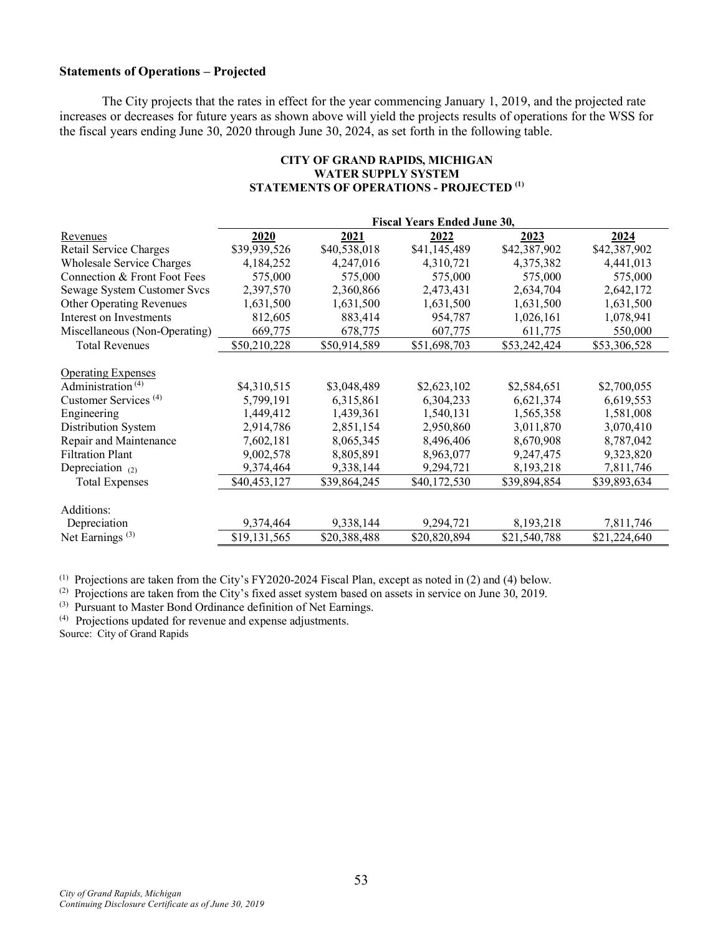### **Statements of Operations – Projected**

The City projects that the rates in effect for the year commencing January 1, 2019, and the projected rate increases or decreases for future years as shown above will yield the projects results of operations for the WSS for the fiscal years ending June 30, 2020 through June 30, 2024, as set forth in the following table.

|                                  | <b>Fiscal Years Ended June 30,</b> |              |              |              |              |  |  |
|----------------------------------|------------------------------------|--------------|--------------|--------------|--------------|--|--|
| Revenues                         | 2020                               | 2021         | 2022         | 2023         | 2024         |  |  |
| Retail Service Charges           | \$39,939,526                       | \$40,538,018 | \$41,145,489 | \$42,387,902 | \$42,387,902 |  |  |
| Wholesale Service Charges        | 4,184,252                          | 4,247,016    | 4,310,721    | 4,375,382    | 4,441,013    |  |  |
| Connection & Front Foot Fees     | 575,000                            | 575,000      | 575,000      | 575,000      | 575,000      |  |  |
| Sewage System Customer Svcs      | 2,397,570                          | 2,360,866    | 2,473,431    | 2,634,704    | 2,642,172    |  |  |
| <b>Other Operating Revenues</b>  | 1,631,500                          | 1,631,500    | 1,631,500    | 1,631,500    | 1,631,500    |  |  |
| Interest on Investments          | 812,605                            | 883,414      | 954,787      | 1,026,161    | 1,078,941    |  |  |
| Miscellaneous (Non-Operating)    | 669,775                            | 678,775      | 607,775      | 611,775      | 550,000      |  |  |
| <b>Total Revenues</b>            | \$50,210,228                       | \$50,914,589 | \$51,698,703 | \$53,242,424 | \$53,306,528 |  |  |
|                                  |                                    |              |              |              |              |  |  |
| <b>Operating Expenses</b>        |                                    |              |              |              |              |  |  |
| Administration <sup>(4)</sup>    | \$4,310,515                        | \$3,048,489  | \$2,623,102  | \$2,584,651  | \$2,700,055  |  |  |
| Customer Services <sup>(4)</sup> | 5,799,191                          | 6,315,861    | 6,304,233    | 6,621,374    | 6,619,553    |  |  |
| Engineering                      | 1,449,412                          | 1,439,361    | 1,540,131    | 1,565,358    | 1,581,008    |  |  |
| Distribution System              | 2,914,786                          | 2,851,154    | 2,950,860    | 3,011,870    | 3,070,410    |  |  |
| Repair and Maintenance           | 7,602,181                          | 8,065,345    | 8,496,406    | 8,670,908    | 8,787,042    |  |  |
| <b>Filtration Plant</b>          | 9,002,578                          | 8,805,891    | 8,963,077    | 9,247,475    | 9,323,820    |  |  |
| Depreciation $(2)$               | 9,374,464                          | 9,338,144    | 9,294,721    | 8,193,218    | 7,811,746    |  |  |
| <b>Total Expenses</b>            | \$40,453,127                       | \$39,864,245 | \$40,172,530 | \$39,894,854 | \$39,893,634 |  |  |
|                                  |                                    |              |              |              |              |  |  |
| Additions:                       |                                    |              |              |              |              |  |  |
| Depreciation                     | 9,374,464                          | 9,338,144    | 9,294,721    | 8,193,218    | 7,811,746    |  |  |
| Net Earnings $(3)$               | \$19,131,565                       | \$20,388,488 | \$20,820,894 | \$21,540,788 | \$21,224,640 |  |  |

### **CITY OF GRAND RAPIDS, MICHIGAN WATER SUPPLY SYSTEM STATEMENTS OF OPERATIONS - PROJECTED (1)**

(1) Projections are taken from the City's FY2020-2024 Fiscal Plan, except as noted in (2) and (4) below.

(2) Projections are taken from the City's fixed asset system based on assets in service on June 30, 2019.

(3) Pursuant to Master Bond Ordinance definition of Net Earnings.

(4) Projections updated for revenue and expense adjustments.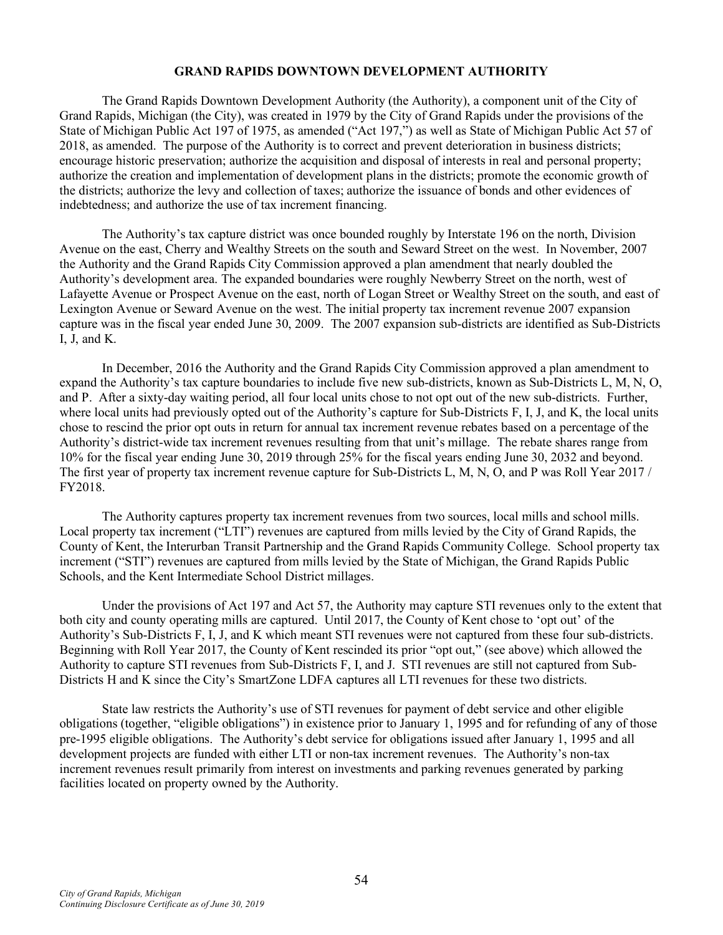### **GRAND RAPIDS DOWNTOWN DEVELOPMENT AUTHORITY**

The Grand Rapids Downtown Development Authority (the Authority), a component unit of the City of Grand Rapids, Michigan (the City), was created in 1979 by the City of Grand Rapids under the provisions of the State of Michigan Public Act 197 of 1975, as amended ("Act 197,") as well as State of Michigan Public Act 57 of 2018, as amended. The purpose of the Authority is to correct and prevent deterioration in business districts; encourage historic preservation; authorize the acquisition and disposal of interests in real and personal property; authorize the creation and implementation of development plans in the districts; promote the economic growth of the districts; authorize the levy and collection of taxes; authorize the issuance of bonds and other evidences of indebtedness; and authorize the use of tax increment financing.

The Authority's tax capture district was once bounded roughly by Interstate 196 on the north, Division Avenue on the east, Cherry and Wealthy Streets on the south and Seward Street on the west. In November, 2007 the Authority and the Grand Rapids City Commission approved a plan amendment that nearly doubled the Authority's development area. The expanded boundaries were roughly Newberry Street on the north, west of Lafayette Avenue or Prospect Avenue on the east, north of Logan Street or Wealthy Street on the south, and east of Lexington Avenue or Seward Avenue on the west. The initial property tax increment revenue 2007 expansion capture was in the fiscal year ended June 30, 2009. The 2007 expansion sub-districts are identified as Sub-Districts I, J, and K.

In December, 2016 the Authority and the Grand Rapids City Commission approved a plan amendment to expand the Authority's tax capture boundaries to include five new sub-districts, known as Sub-Districts L, M, N, O, and P. After a sixty-day waiting period, all four local units chose to not opt out of the new sub-districts. Further, where local units had previously opted out of the Authority's capture for Sub-Districts F, I, J, and K, the local units chose to rescind the prior opt outs in return for annual tax increment revenue rebates based on a percentage of the Authority's district-wide tax increment revenues resulting from that unit's millage. The rebate shares range from 10% for the fiscal year ending June 30, 2019 through 25% for the fiscal years ending June 30, 2032 and beyond. The first year of property tax increment revenue capture for Sub-Districts L, M, N, O, and P was Roll Year 2017 / FY2018.

The Authority captures property tax increment revenues from two sources, local mills and school mills. Local property tax increment ("LTI") revenues are captured from mills levied by the City of Grand Rapids, the County of Kent, the Interurban Transit Partnership and the Grand Rapids Community College. School property tax increment ("STI") revenues are captured from mills levied by the State of Michigan, the Grand Rapids Public Schools, and the Kent Intermediate School District millages.

Under the provisions of Act 197 and Act 57, the Authority may capture STI revenues only to the extent that both city and county operating mills are captured. Until 2017, the County of Kent chose to 'opt out' of the Authority's Sub-Districts F, I, J, and K which meant STI revenues were not captured from these four sub-districts. Beginning with Roll Year 2017, the County of Kent rescinded its prior "opt out," (see above) which allowed the Authority to capture STI revenues from Sub-Districts F, I, and J. STI revenues are still not captured from Sub-Districts H and K since the City's SmartZone LDFA captures all LTI revenues for these two districts.

State law restricts the Authority's use of STI revenues for payment of debt service and other eligible obligations (together, "eligible obligations") in existence prior to January 1, 1995 and for refunding of any of those pre-1995 eligible obligations. The Authority's debt service for obligations issued after January 1, 1995 and all development projects are funded with either LTI or non-tax increment revenues. The Authority's non-tax increment revenues result primarily from interest on investments and parking revenues generated by parking facilities located on property owned by the Authority.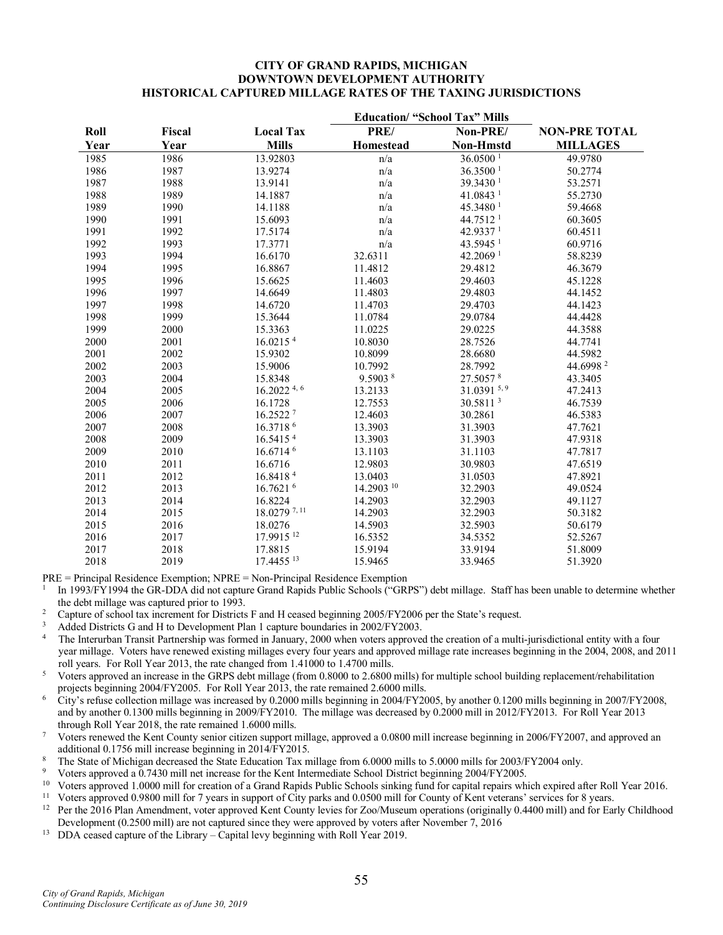#### **CITY OF GRAND RAPIDS, MICHIGAN DOWNTOWN DEVELOPMENT AUTHORITY HISTORICAL CAPTURED MILLAGE RATES OF THE TAXING JURISDICTIONS**

| Roll | Fiscal | <b>Local Tax</b>         | PRE/       | Non-PRE/               | <b>NON-PRE TOTAL</b> |
|------|--------|--------------------------|------------|------------------------|----------------------|
| Year | Year   | <b>Mills</b>             | Homestead  | <b>Non-Hmstd</b>       | <b>MILLAGES</b>      |
| 1985 | 1986   | 13.92803                 | n/a        | $36.0500$ <sup>1</sup> | 49.9780              |
| 1986 | 1987   | 13.9274                  | n/a        | 36.3500 <sup>1</sup>   | 50.2774              |
| 1987 | 1988   | 13.9141                  | n/a        | 39.3430 <sup>1</sup>   | 53.2571              |
| 1988 | 1989   | 14.1887                  | n/a        | 41.0843 <sup>1</sup>   | 55.2730              |
| 1989 | 1990   | 14.1188                  | n/a        | 45.3480 <sup>1</sup>   | 59.4668              |
| 1990 | 1991   | 15.6093                  | n/a        | 44.7512 <sup>1</sup>   | 60.3605              |
| 1991 | 1992   | 17.5174                  | n/a        | 42.9337 <sup>1</sup>   | 60.4511              |
| 1992 | 1993   | 17.3771                  | n/a        | 43.5945 <sup>1</sup>   | 60.9716              |
| 1993 | 1994   | 16.6170                  | 32.6311    | 42.2069 <sup>1</sup>   | 58.8239              |
| 1994 | 1995   | 16.8867                  | 11.4812    | 29.4812                | 46.3679              |
| 1995 | 1996   | 15.6625                  | 11.4603    | 29.4603                | 45.1228              |
| 1996 | 1997   | 14.6649                  | 11.4803    | 29.4803                | 44.1452              |
| 1997 | 1998   | 14.6720                  | 11.4703    | 29.4703                | 44.1423              |
| 1998 | 1999   | 15.3644                  | 11.0784    | 29.0784                | 44.4428              |
| 1999 | 2000   | 15.3363                  | 11.0225    | 29.0225                | 44.3588              |
| 2000 | 2001   | 16.0215 <sup>4</sup>     | 10.8030    | 28.7526                | 44.7741              |
| 2001 | 2002   | 15.9302                  | 10.8099    | 28.6680                | 44.5982              |
| 2002 | 2003   | 15.9006                  | 10.7992    | 28.7992                | 44.6998 <sup>2</sup> |
| 2003 | 2004   | 15.8348                  | 9.5903 8   | 27.5057 8              | 43.3405              |
| 2004 | 2005   | $16.2022$ <sup>4,6</sup> | 13.2133    | 31.0391 5, 9           | 47.2413              |
| 2005 | 2006   | 16.1728                  | 12.7553    | 30.58113               | 46.7539              |
| 2006 | 2007   | 16.25227                 | 12.4603    | 30.2861                | 46.5383              |
| 2007 | 2008   | 16.37186                 | 13.3903    | 31.3903                | 47.7621              |
| 2008 | 2009   | 16.5415 <sup>4</sup>     | 13.3903    | 31.3903                | 47.9318              |
| 2009 | 2010   | 16.6714 6                | 13.1103    | 31.1103                | 47.7817              |
| 2010 | 2011   | 16.6716                  | 12.9803    | 30.9803                | 47.6519              |
| 2011 | 2012   | 16.84184                 | 13.0403    | 31.0503                | 47.8921              |
| 2012 | 2013   | 16.7621 6                | 14.2903 10 | 32.2903                | 49.0524              |
| 2013 | 2014   | 16.8224                  | 14.2903    | 32.2903                | 49.1127              |
| 2014 | 2015   | 18.0279 <sup>7,11</sup>  | 14.2903    | 32.2903                | 50.3182              |
| 2015 | 2016   | 18.0276                  | 14.5903    | 32.5903                | 50.6179              |
| 2016 | 2017   | 17.9915 <sup>12</sup>    | 16.5352    | 34.5352                | 52.5267              |
| 2017 | 2018   | 17.8815                  | 15.9194    | 33.9194                | 51.8009              |
| 2018 | 2019   | 17.4455 13               | 15.9465    | 33.9465                | 51.3920              |

PRE = Principal Residence Exemption; NPRE = Non-Principal Residence Exemption

<sup>1</sup> In 1993/FY1994 the GR-DDA did not capture Grand Rapids Public Schools ("GRPS") debt millage. Staff has been unable to determine whether the debt millage was captured prior to 1993.

- <sup>2</sup> Capture of school tax increment for Districts F and H ceased beginning 2005/FY2006 per the State's request.
- <sup>3</sup> Added Districts G and H to Development Plan 1 capture boundaries in 2002/FY2003.
- <sup>4</sup> The Interurban Transit Partnership was formed in January, 2000 when voters approved the creation of a multi-jurisdictional entity with a four year millage. Voters have renewed existing millages every four years and approved millage rate increases beginning in the 2004, 2008, and 2011 roll years. For Roll Year 2013, the rate changed from 1.41000 to 1.4700 mills.
- <sup>5</sup> Voters approved an increase in the GRPS debt millage (from 0.8000 to 2.6800 mills) for multiple school building replacement/rehabilitation projects beginning 2004/FY2005. For Roll Year 2013, the rate remained 2.6000 mills.
- <sup>6</sup> City's refuse collection millage was increased by 0.2000 mills beginning in 2004/FY2005, by another 0.1200 mills beginning in 2007/FY2008, and by another 0.1300 mills beginning in 2009/FY2010. The millage was decreased by 0.2000 mill in 2012/FY2013. For Roll Year 2013 through Roll Year 2018, the rate remained 1.6000 mills.

<sup>7</sup> Voters renewed the Kent County senior citizen support millage, approved a 0.0800 mill increase beginning in 2006/FY2007, and approved an additional 0.1756 mill increase beginning in 2014/FY2015.

- <sup>8</sup> The State of Michigan decreased the State Education Tax millage from 6.0000 mills to 5.0000 mills for 2003/FY2004 only.
- <sup>9</sup> Voters approved a 0.7430 mill net increase for the Kent Intermediate School District beginning 2004/FY2005.
- <sup>10</sup> Voters approved 1.0000 mill for creation of a Grand Rapids Public Schools sinking fund for capital repairs which expired after Roll Year 2016.
- <sup>11</sup> Voters approved 0.9800 mill for 7 years in support of City parks and 0.0500 mill for County of Kent veterans' services for 8 years.<br><sup>12</sup> Per the 2016 Plan Amendment voter approved Kent County levies for Zoo/Museum op
- <sup>12</sup> Per the 2016 Plan Amendment, voter approved Kent County levies for Zoo/Museum operations (originally 0.4400 mill) and for Early Childhood Development (0.2500 mill) are not captured since they were approved by voters after November 7, 2016
- <sup>13</sup> DDA ceased capture of the Library Capital levy beginning with Roll Year 2019.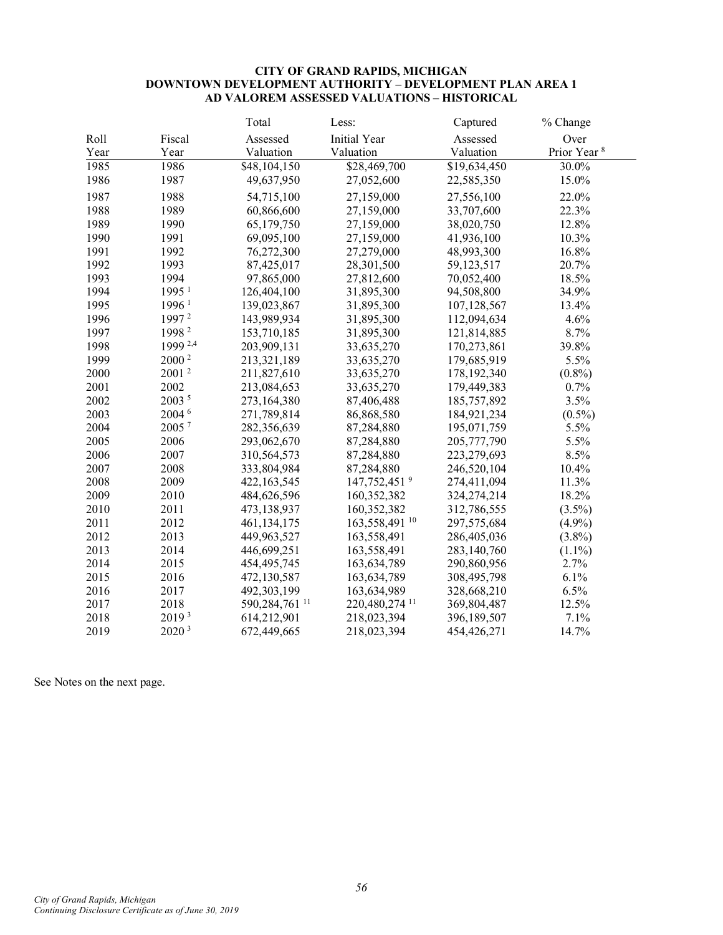#### **CITY OF GRAND RAPIDS, MICHIGAN DOWNTOWN DEVELOPMENT AUTHORITY – DEVELOPMENT PLAN AREA 1 AD VALOREM ASSESSED VALUATIONS – HISTORICAL**

|      |                   | Total                       | Less:                     | Captured     | % Change                |
|------|-------------------|-----------------------------|---------------------------|--------------|-------------------------|
| Roll | Fiscal            | Assessed                    | <b>Initial Year</b>       | Assessed     | Over                    |
| Year | Year              | Valuation                   | Valuation                 | Valuation    | Prior Year <sup>8</sup> |
| 1985 | 1986              | \$48,104,150                | \$28,469,700              | \$19,634,450 | 30.0%                   |
| 1986 | 1987              | 49,637,950                  | 27,052,600                | 22,585,350   | 15.0%                   |
| 1987 | 1988              | 54,715,100                  | 27,159,000                | 27,556,100   | 22.0%                   |
| 1988 | 1989              | 60,866,600                  | 27,159,000                | 33,707,600   | 22.3%                   |
| 1989 | 1990              | 65,179,750                  | 27,159,000                | 38,020,750   | 12.8%                   |
| 1990 | 1991              | 69,095,100                  | 27,159,000                | 41,936,100   | 10.3%                   |
| 1991 | 1992              | 76,272,300                  | 27,279,000                | 48,993,300   | 16.8%                   |
| 1992 | 1993              | 87,425,017                  | 28,301,500                | 59,123,517   | 20.7%                   |
| 1993 | 1994              | 97,865,000                  | 27,812,600                | 70,052,400   | 18.5%                   |
| 1994 | 1995 <sup>1</sup> | 126,404,100                 | 31,895,300                | 94,508,800   | 34.9%                   |
| 1995 | 1996 <sup>1</sup> | 139,023,867                 | 31,895,300                | 107,128,567  | 13.4%                   |
| 1996 | 1997 <sup>2</sup> | 143,989,934                 | 31,895,300                | 112,094,634  | 4.6%                    |
| 1997 | 1998 <sup>2</sup> | 153,710,185                 | 31,895,300                | 121,814,885  | 8.7%                    |
| 1998 | 1999 2,4          | 203,909,131                 | 33,635,270                | 170,273,861  | 39.8%                   |
| 1999 | 2000 <sup>2</sup> | 213,321,189                 | 33,635,270                | 179,685,919  | 5.5%                    |
| 2000 | 2001 <sup>2</sup> | 211,827,610                 | 33,635,270                | 178,192,340  | $(0.8\%)$               |
| 2001 | 2002              | 213,084,653                 | 33,635,270                | 179,449,383  | 0.7%                    |
| 2002 | 2003 <sup>5</sup> | 273,164,380                 | 87,406,488                | 185,757,892  | 3.5%                    |
| 2003 | 2004 6            | 271,789,814                 | 86,868,580                | 184,921,234  | $(0.5\%)$               |
| 2004 | 2005 7            | 282,356,639                 | 87,284,880                | 195,071,759  | 5.5%                    |
| 2005 | 2006              | 293,062,670                 | 87,284,880                | 205,777,790  | 5.5%                    |
| 2006 | 2007              | 310,564,573                 | 87,284,880                | 223,279,693  | 8.5%                    |
| 2007 | 2008              | 333,804,984                 | 87,284,880                | 246,520,104  | 10.4%                   |
| 2008 | 2009              | 422, 163, 545               | 147,752,451 <sup>9</sup>  | 274,411,094  | 11.3%                   |
| 2009 | 2010              | 484,626,596                 | 160,352,382               | 324,274,214  | 18.2%                   |
| 2010 | 2011              | 473,138,937                 | 160,352,382               | 312,786,555  | $(3.5\%)$               |
| 2011 | 2012              | 461,134,175                 | 163,558,491 10            | 297,575,684  | $(4.9\%)$               |
| 2012 | 2013              | 449,963,527                 | 163,558,491               | 286,405,036  | $(3.8\%)$               |
| 2013 | 2014              | 446,699,251                 | 163,558,491               | 283,140,760  | $(1.1\%)$               |
| 2014 | 2015              | 454, 495, 745               | 163,634,789               | 290,860,956  | 2.7%                    |
| 2015 | 2016              | 472,130,587                 | 163,634,789               | 308,495,798  | 6.1%                    |
| 2016 | 2017              | 492,303,199                 | 163,634,989               | 328,668,210  | 6.5%                    |
| 2017 | 2018              | 590, 284, 761 <sup>11</sup> | 220,480,274 <sup>11</sup> | 369,804,487  | 12.5%                   |
| 2018 | 2019 <sup>3</sup> | 614,212,901                 | 218,023,394               | 396,189,507  | 7.1%                    |
| 2019 | 2020 <sup>3</sup> | 672,449,665                 | 218,023,394               | 454,426,271  | 14.7%                   |

See Notes on the next page.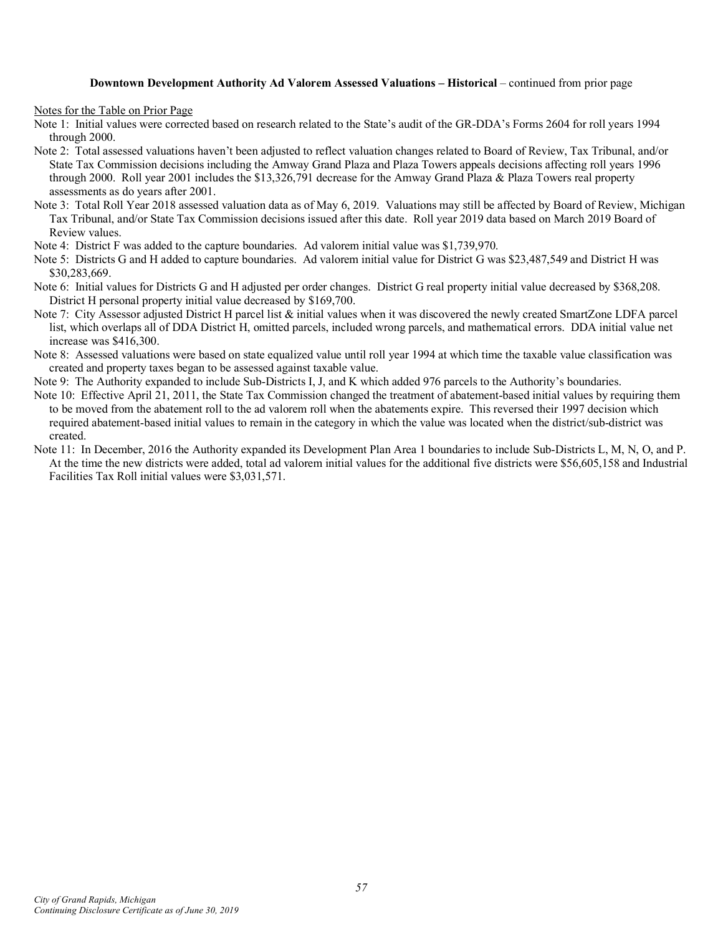#### **Downtown Development Authority Ad Valorem Assessed Valuations – Historical** – continued from prior page

Notes for the Table on Prior Page

- Note 1: Initial values were corrected based on research related to the State's audit of the GR-DDA's Forms 2604 for roll years 1994 through 2000.
- Note 2: Total assessed valuations haven't been adjusted to reflect valuation changes related to Board of Review, Tax Tribunal, and/or State Tax Commission decisions including the Amway Grand Plaza and Plaza Towers appeals decisions affecting roll years 1996 through 2000. Roll year 2001 includes the \$13,326,791 decrease for the Amway Grand Plaza & Plaza Towers real property assessments as do years after 2001.
- Note 3: Total Roll Year 2018 assessed valuation data as of May 6, 2019. Valuations may still be affected by Board of Review, Michigan Tax Tribunal, and/or State Tax Commission decisions issued after this date. Roll year 2019 data based on March 2019 Board of Review values.
- Note 4: District F was added to the capture boundaries. Ad valorem initial value was \$1,739,970.
- Note 5: Districts G and H added to capture boundaries. Ad valorem initial value for District G was \$23,487,549 and District H was \$30,283,669.
- Note 6: Initial values for Districts G and H adjusted per order changes. District G real property initial value decreased by \$368,208. District H personal property initial value decreased by \$169,700.
- Note 7: City Assessor adjusted District H parcel list & initial values when it was discovered the newly created SmartZone LDFA parcel list, which overlaps all of DDA District H, omitted parcels, included wrong parcels, and mathematical errors. DDA initial value net increase was \$416,300.
- Note 8: Assessed valuations were based on state equalized value until roll year 1994 at which time the taxable value classification was created and property taxes began to be assessed against taxable value.
- Note 9: The Authority expanded to include Sub-Districts I, J, and K which added 976 parcels to the Authority's boundaries.
- Note 10: Effective April 21, 2011, the State Tax Commission changed the treatment of abatement-based initial values by requiring them to be moved from the abatement roll to the ad valorem roll when the abatements expire. This reversed their 1997 decision which required abatement-based initial values to remain in the category in which the value was located when the district/sub-district was created.
- Note 11: In December, 2016 the Authority expanded its Development Plan Area 1 boundaries to include Sub-Districts L, M, N, O, and P. At the time the new districts were added, total ad valorem initial values for the additional five districts were \$56,605,158 and Industrial Facilities Tax Roll initial values were \$3,031,571.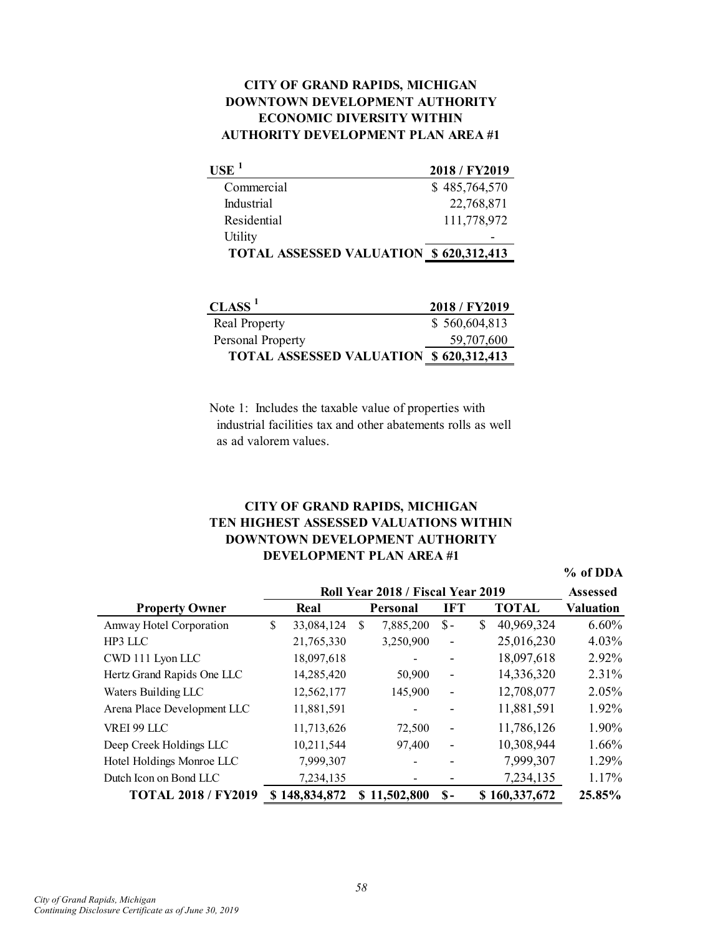# **AUTHORITY DEVELOPMENT PLAN AREA #1 CITY OF GRAND RAPIDS, MICHIGAN DOWNTOWN DEVELOPMENT AUTHORITY ECONOMIC DIVERSITY WITHIN**

| USE <sup>1</sup>                              | 2018 / FY2019 |
|-----------------------------------------------|---------------|
| Commercial                                    | \$485,764,570 |
| Industrial                                    | 22,768,871    |
| Residential                                   | 111,778,972   |
| Utility                                       |               |
| <b>TOTAL ASSESSED VALUATION \$620,312,413</b> |               |

| $\mathbf{CLASS} \ ^1$                          | 2018/FY2019   |
|------------------------------------------------|---------------|
| <b>Real Property</b>                           | \$560,604,813 |
| Personal Property                              | 59,707,600    |
| <b>TOTAL ASSESSED VALUATION \$ 620,312,413</b> |               |

Note 1: Includes the taxable value of properties with industrial facilities tax and other abatements rolls as well as ad valorem values.

# **DEVELOPMENT PLAN AREA #1 CITY OF GRAND RAPIDS, MICHIGAN TEN HIGHEST ASSESSED VALUATIONS WITHIN DOWNTOWN DEVELOPMENT AUTHORITY**

**% of DDA**

|                             | Roll Year 2018 / Fiscal Year 2019 |               |   |                 |                   |    |               |                  |
|-----------------------------|-----------------------------------|---------------|---|-----------------|-------------------|----|---------------|------------------|
| <b>Property Owner</b>       |                                   | Real          |   | <b>Personal</b> | <b>IFT</b>        |    | <b>TOTAL</b>  | <b>Valuation</b> |
| Amway Hotel Corporation     | \$                                | 33,084,124    | S | 7,885,200       | $S -$             | \$ | 40,969,324    | 6.60%            |
| HP3 LLC                     |                                   | 21,765,330    |   | 3,250,900       | $\qquad \qquad -$ |    | 25,016,230    | 4.03%            |
| CWD 111 Lyon LLC            |                                   | 18,097,618    |   |                 |                   |    | 18,097,618    | 2.92%            |
| Hertz Grand Rapids One LLC  |                                   | 14,285,420    |   | 50,900          | -                 |    | 14,336,320    | 2.31%            |
| Waters Building LLC         |                                   | 12,562,177    |   | 145,900         | -                 |    | 12,708,077    | 2.05%            |
| Arena Place Development LLC |                                   | 11,881,591    |   |                 |                   |    | 11,881,591    | 1.92%            |
| VREI 99 LLC                 |                                   | 11,713,626    |   | 72,500          |                   |    | 11,786,126    | 1.90%            |
| Deep Creek Holdings LLC     |                                   | 10,211,544    |   | 97,400          | $\qquad \qquad -$ |    | 10,308,944    | 1.66%            |
| Hotel Holdings Monroe LLC   |                                   | 7,999,307     |   |                 |                   |    | 7,999,307     | 1.29%            |
| Dutch Icon on Bond LLC      |                                   | 7,234,135     |   |                 |                   |    | 7,234,135     | 1.17%            |
| <b>TOTAL 2018 / FY2019</b>  |                                   | \$148,834,872 |   | \$11,502,800    | $S-$              |    | \$160,337,672 | 25.85%           |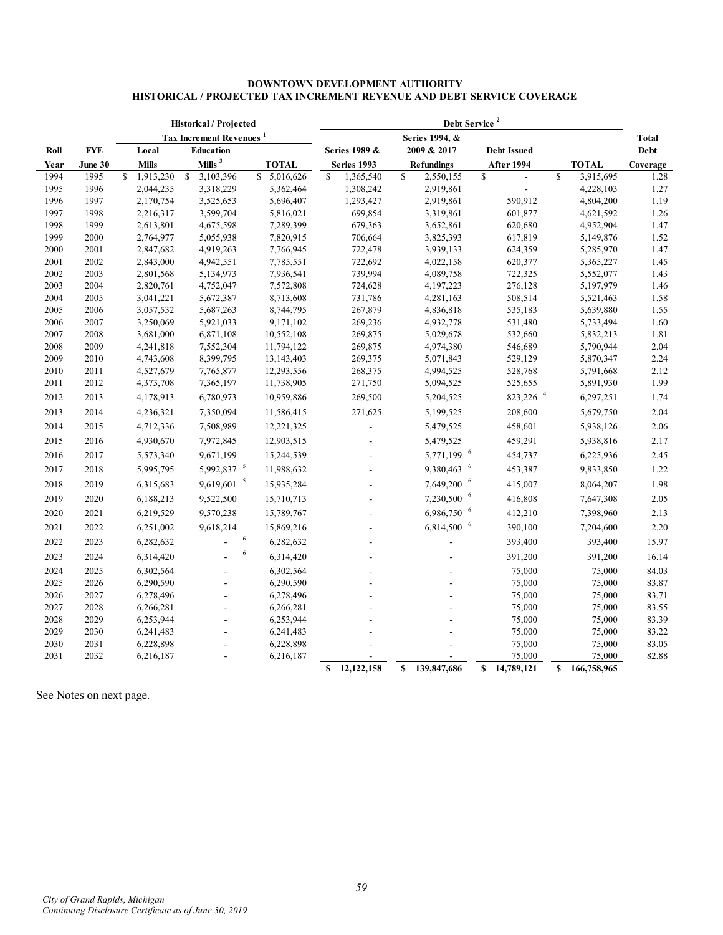#### **DOWNTOWN DEVELOPMENT AUTHORITY HISTORICAL / PROJECTED TAX INCREMENT REVENUE AND DEBT SERVICE COVERAGE**

|              |              |             |                        |              | <b>Historical / Projected</b>       |                          | Debt Service <sup>2</sup> |                    |              |                        |    |                    |              |                        |              |
|--------------|--------------|-------------|------------------------|--------------|-------------------------------------|--------------------------|---------------------------|--------------------|--------------|------------------------|----|--------------------|--------------|------------------------|--------------|
|              |              |             |                        |              | Tax Increment Revenues <sup>1</sup> |                          | Series 1994, &            |                    |              |                        |    |                    | <b>Total</b> |                        |              |
| Roll         | <b>FYE</b>   |             | Local                  |              | <b>Education</b>                    |                          |                           | Series 1989 &      |              | 2009 & 2017            |    | <b>Debt Issued</b> |              |                        | Debt         |
| Year         | June 30      |             | <b>Mills</b>           |              | Mills $3$                           | <b>TOTAL</b>             |                           | Series 1993        |              | <b>Refundings</b>      |    | After 1994         |              | <b>TOTAL</b>           | Coverage     |
| 1994         | 1995         | $\mathbf S$ | 1,913,230              | $\mathbf{s}$ | 3,103,396                           | \$5,016,626              | S.                        | 1,365,540          | \$           | 2,550,155              | \$ |                    | $\mathbf S$  | 3,915,695              | 1.28         |
| 1995         | 1996         |             | 2,044,235              |              | 3,318,229                           | 5,362,464                |                           | 1,308,242          |              | 2,919,861              |    |                    |              | 4,228,103              | 1.27         |
| 1996         | 1997         |             | 2,170,754              |              | 3,525,653                           | 5,696,407                |                           | 1,293,427          |              | 2,919,861              |    | 590,912            |              | 4,804,200              | 1.19         |
| 1997         | 1998         |             | 2,216,317              |              | 3,599,704                           | 5,816,021                |                           | 699,854            |              | 3,319,861              |    | 601,877            |              | 4,621,592              | 1.26         |
| 1998         | 1999         |             | 2,613,801              |              | 4,675,598                           | 7,289,399                |                           | 679,363            |              | 3,652,861              |    | 620,680            |              | 4,952,904              | 1.47         |
| 1999         | 2000         |             | 2,764,977              |              | 5,055,938                           | 7,820,915                |                           | 706,664            |              | 3,825,393              |    | 617,819            |              | 5,149,876              | 1.52         |
| 2000         | 2001         |             | 2,847,682              |              | 4,919,263                           | 7,766,945                |                           | 722,478            |              | 3,939,133              |    | 624,359            |              | 5,285,970              | 1.47         |
| 2001         | 2002         |             | 2,843,000              |              | 4,942,551                           | 7,785,551                |                           | 722,692            |              | 4,022,158              |    | 620,377            |              | 5,365,227              | 1.45         |
| 2002         | 2003         |             | 2,801,568              |              | 5,134,973                           | 7,936,541                |                           | 739,994            |              | 4,089,758              |    | 722,325            |              | 5,552,077              | 1.43         |
| 2003         | 2004         |             | 2,820,761              |              | 4,752,047                           | 7,572,808                |                           | 724,628            |              | 4,197,223              |    | 276,128            |              | 5,197,979              | 1.46         |
| 2004         | 2005         |             | 3,041,221              |              | 5,672,387                           | 8,713,608                |                           | 731,786            |              | 4,281,163              |    | 508,514            |              | 5,521,463              | 1.58         |
| 2005         | 2006         |             | 3,057,532              |              | 5,687,263                           | 8,744,795                |                           | 267,879            |              | 4,836,818              |    | 535,183            |              | 5,639,880              | 1.55         |
| 2006         | 2007         |             | 3,250,069              |              | 5,921,033                           | 9,171,102                |                           | 269,236            |              | 4,932,778              |    | 531,480            |              | 5,733,494              | 1.60         |
| 2007<br>2008 | 2008<br>2009 |             | 3,681,000              |              | 6,871,108<br>7,552,304              | 10,552,108<br>11,794,122 |                           | 269,875<br>269,875 |              | 5,029,678<br>4,974,380 |    | 532,660<br>546,689 |              | 5,832,213<br>5,790,944 | 1.81<br>2.04 |
| 2009         | 2010         |             | 4,241,818<br>4,743,608 |              | 8,399,795                           | 13, 143, 403             |                           | 269,375            |              | 5,071,843              |    | 529,129            |              | 5,870,347              | 2.24         |
| 2010         | 2011         |             | 4,527,679              |              | 7,765,877                           | 12,293,556               |                           | 268,375            |              | 4,994,525              |    | 528,768            |              | 5,791,668              | 2.12         |
| 2011         | 2012         |             | 4,373,708              |              | 7,365,197                           | 11,738,905               |                           | 271,750            |              | 5,094,525              |    | 525,655            |              | 5,891,930              | 1.99         |
|              |              |             |                        |              |                                     |                          |                           |                    |              |                        |    | 823,226 $4$        |              |                        |              |
| 2012         | 2013         |             | 4,178,913              |              | 6,780,973                           | 10,959,886               |                           | 269,500            |              | 5,204,525              |    |                    |              | 6,297,251              | 1.74         |
| 2013         | 2014         |             | 4,236,321              |              | 7,350,094                           | 11,586,415               |                           | 271,625            |              | 5,199,525              |    | 208,600            |              | 5,679,750              | 2.04         |
| 2014         | 2015         |             | 4,712,336              |              | 7,508,989                           | 12,221,325               |                           | $\overline{a}$     |              | 5,479,525              |    | 458,601            |              | 5,938,126              | 2.06         |
| 2015         | 2016         |             | 4,930,670              |              | 7,972,845                           | 12,903,515               |                           |                    |              | 5,479,525              |    | 459,291            |              | 5,938,816              | 2.17         |
| 2016         | 2017         |             | 5,573,340              |              | 9,671,199                           | 15,244,539               |                           |                    |              | 5,771,199 6            |    | 454,737            |              | 6,225,936              | 2.45         |
| 2017         | 2018         |             | 5,995,795              |              | 5,992,837 5                         | 11,988,632               |                           |                    |              | 9,380,463 6            |    | 453,387            |              | 9,833,850              | 1.22         |
| 2018         | 2019         |             | 6,315,683              |              | $9,619,601$ <sup>5</sup>            | 15,935,284               |                           | $\overline{a}$     |              | 7,649,200 6            |    | 415,007            |              | 8,064,207              | 1.98         |
| 2019         | 2020         |             | 6,188,213              |              | 9,522,500                           | 15,710,713               |                           | $\overline{a}$     |              | 7,230,500 6            |    | 416,808            |              | 7,647,308              | 2.05         |
| 2020         | 2021         |             | 6,219,529              |              | 9,570,238                           | 15,789,767               |                           |                    |              | 6,986,750 6            |    | 412,210            |              | 7,398,960              | 2.13         |
| 2021         | 2022         |             | 6,251,002              |              | 9,618,214                           | 15,869,216               |                           |                    |              | 6,814,500 6            |    | 390,100            |              | 7,204,600              | 2.20         |
| 2022         | 2023         |             | 6,282,632              |              | 6                                   | 6,282,632                |                           |                    |              |                        |    | 393,400            |              | 393,400                | 15.97        |
| 2023         | 2024         |             | 6,314,420              |              | $\,$ 6 $\,$                         | 6,314,420                |                           |                    |              |                        |    | 391,200            |              | 391,200                | 16.14        |
| 2024         | 2025         |             | 6,302,564              |              |                                     | 6,302,564                |                           |                    |              |                        |    | 75,000             |              | 75,000                 | 84.03        |
| 2025         | 2026         |             | 6,290,590              |              |                                     | 6,290,590                |                           |                    |              |                        |    | 75,000             |              | 75,000                 | 83.87        |
| 2026         | 2027         |             | 6,278,496              |              |                                     | 6,278,496                |                           |                    |              |                        |    | 75,000             |              | 75,000                 | 83.71        |
| 2027         | 2028         |             | 6,266,281              |              |                                     | 6,266,281                |                           |                    |              |                        |    | 75,000             |              | 75,000                 | 83.55        |
| 2028         | 2029         |             | 6,253,944              |              |                                     | 6,253,944                |                           |                    |              |                        |    | 75,000             |              | 75,000                 | 83.39        |
| 2029         | 2030         |             | 6,241,483              |              |                                     | 6,241,483                |                           |                    |              |                        |    | 75,000             |              | 75,000                 | 83.22        |
| 2030         | 2031         |             | 6,228,898              |              |                                     | 6,228,898                |                           |                    |              |                        |    | 75,000             |              | 75,000                 | 83.05        |
| 2031         | 2032         |             | 6,216,187              |              |                                     | 6,216,187                |                           |                    |              |                        |    | 75,000             |              | 75,000                 | 82.88        |
|              |              |             |                        |              |                                     |                          | S                         | 12,122,158         | $\mathbf{s}$ | 139,847,686            |    | \$14,789,121       | S            | 166,758,965            |              |

See Notes on next page.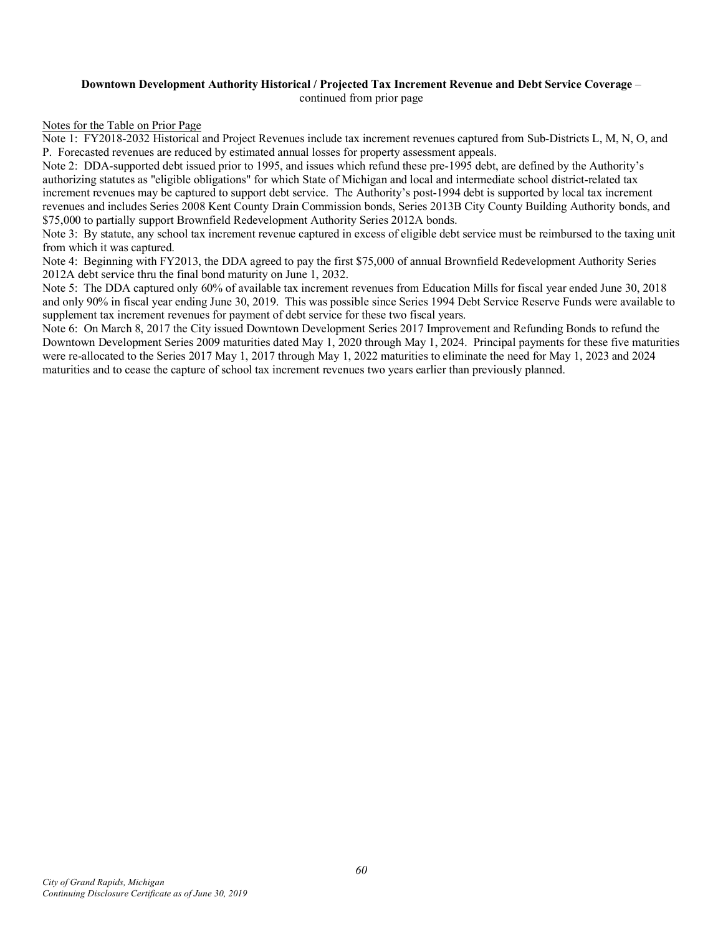#### **Downtown Development Authority Historical / Projected Tax Increment Revenue and Debt Service Coverage** – continued from prior page

#### Notes for the Table on Prior Page

Note 1: FY2018-2032 Historical and Project Revenues include tax increment revenues captured from Sub-Districts L, M, N, O, and P. Forecasted revenues are reduced by estimated annual losses for property assessment appeals.

Note 2: DDA-supported debt issued prior to 1995, and issues which refund these pre-1995 debt, are defined by the Authority's authorizing statutes as "eligible obligations" for which State of Michigan and local and intermediate school district-related tax increment revenues may be captured to support debt service. The Authority's post-1994 debt is supported by local tax increment revenues and includes Series 2008 Kent County Drain Commission bonds, Series 2013B City County Building Authority bonds, and \$75,000 to partially support Brownfield Redevelopment Authority Series 2012A bonds.

Note 3: By statute, any school tax increment revenue captured in excess of eligible debt service must be reimbursed to the taxing unit from which it was captured.

Note 4: Beginning with FY2013, the DDA agreed to pay the first \$75,000 of annual Brownfield Redevelopment Authority Series 2012A debt service thru the final bond maturity on June 1, 2032.

Note 5: The DDA captured only 60% of available tax increment revenues from Education Mills for fiscal year ended June 30, 2018 and only 90% in fiscal year ending June 30, 2019. This was possible since Series 1994 Debt Service Reserve Funds were available to supplement tax increment revenues for payment of debt service for these two fiscal years.

Note 6: On March 8, 2017 the City issued Downtown Development Series 2017 Improvement and Refunding Bonds to refund the Downtown Development Series 2009 maturities dated May 1, 2020 through May 1, 2024. Principal payments for these five maturities were re-allocated to the Series 2017 May 1, 2017 through May 1, 2022 maturities to eliminate the need for May 1, 2023 and 2024 maturities and to cease the capture of school tax increment revenues two years earlier than previously planned.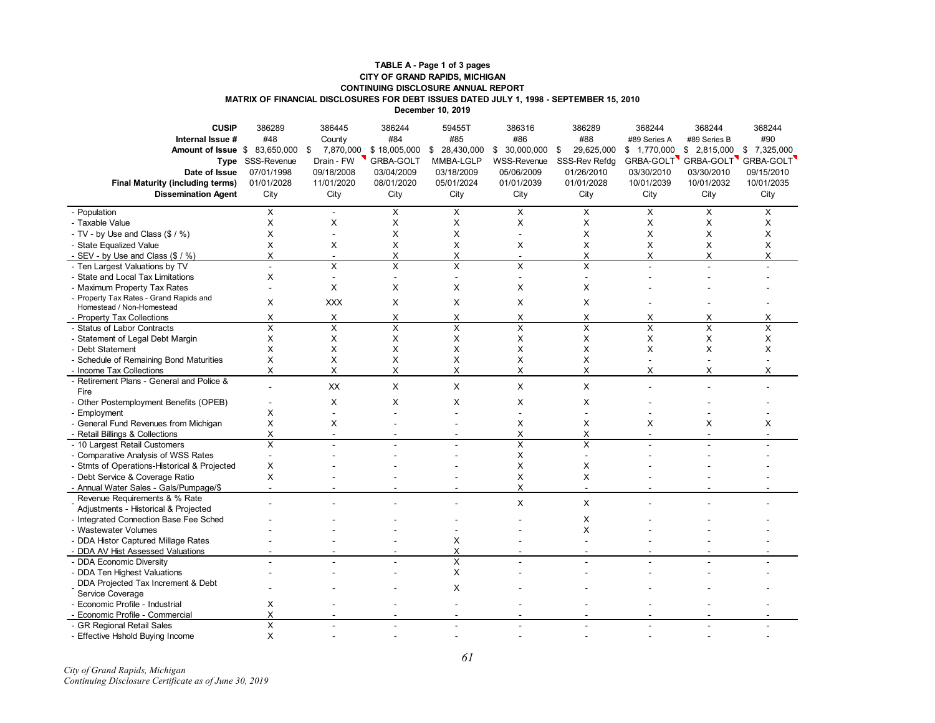#### **MATRIX OF FINANCIAL DISCLOSURES FOR DEBT ISSUES DATED JULY 1, 1998 - SEPTEMBER 15, 2010 TABLE A - Page 1 of 3 pages CITY OF GRAND RAPIDS, MICHIGAN CONTINUING DISCLOSURE ANNUAL REPORT**

**December 10, 2019**

| <b>CUSIP</b>                                 | 386289                  | 386445                  | 386244         | 59455T           | 386316                   | 386289           | 368244           | 368244          | 368244      |
|----------------------------------------------|-------------------------|-------------------------|----------------|------------------|--------------------------|------------------|------------------|-----------------|-------------|
| Internal Issue #                             | #48                     | County                  | #84            | #85              | #86                      | #88              | #89 Series A     | #89 Series B    | #90         |
| Amount of Issue \$                           | 83,650,000              | 7,870,000<br>\$         | \$18,005,000   | \$<br>28,430,000 | \$30,000,000             | 29,625,000<br>\$ | \$<br>1,770,000  | \$<br>2,815,000 | \$7,325,000 |
| Type                                         | SSS-Revenue             | Drain - FW              | GRBA-GOLT      | MMBA-LGLP        | <b>WSS-Revenue</b>       | SSS-Rev Refdq    | <b>GRBA-GOLT</b> | GRBA-GOLT       | GRBA-GOLT   |
| Date of Issue                                | 07/01/1998              | 09/18/2008              | 03/04/2009     | 03/18/2009       | 05/06/2009               | 01/26/2010       | 03/30/2010       | 03/30/2010      | 09/15/2010  |
| <b>Final Maturity (including terms)</b>      | 01/01/2028              | 11/01/2020              | 08/01/2020     | 05/01/2024       | 01/01/2039               | 01/01/2028       | 10/01/2039       | 10/01/2032      | 10/01/2035  |
| <b>Dissemination Agent</b>                   | City                    | City                    | City           | City             | City                     | City             | City             | City            | City        |
|                                              |                         |                         |                |                  |                          |                  |                  |                 |             |
| - Population                                 | X                       | $\blacksquare$          | X              | X                | X                        | X                | X                | X               | X           |
| - Taxable Value                              | X                       | X                       | X              | X                | X                        | X                | X                | X               | X           |
| - TV - by Use and Class (\$ / %)             | X                       | $\blacksquare$          | X              | $\times$         |                          | X                | X                | X               | X           |
| - State Equalized Value                      | X                       | X                       | X              | X                | X                        | X                | X                | X               | Χ           |
| - SEV - by Use and Class (\$ / %)            | X                       | $\overline{a}$          | X              | X                | $\overline{\phantom{a}}$ | X                | X                | Χ               | Χ           |
| - Ten Largest Valuations by TV               | $\overline{a}$          | $\times$                | X              | X                | X                        | X                |                  |                 |             |
| - State and Local Tax Limitations            | X                       | $\sim$                  | $\blacksquare$ | ÷                | $\overline{\phantom{a}}$ |                  |                  |                 |             |
| - Maximum Property Tax Rates                 |                         | X                       | X              | X                | X                        | X                |                  |                 |             |
| - Property Tax Rates - Grand Rapids and      | X                       | <b>XXX</b>              | X              | X                | X                        | X                |                  |                 |             |
| Homestead / Non-Homestead                    |                         |                         |                |                  |                          |                  |                  |                 |             |
| - Property Tax Collections                   | X                       | X                       | Х              | Х                | X                        | х                | Χ                | Χ               | Χ           |
| - Status of Labor Contracts                  | $\overline{\mathsf{x}}$ | $\overline{\mathsf{x}}$ | X              | X                | X                        | Χ                | X                | X               | Χ           |
| - Statement of Legal Debt Margin             | X                       | X                       | X              | X                | X                        | X                | X                | X               | X           |
| - Debt Statement                             | X                       | X                       | X              | X                | X                        | X                | X                | X               | X           |
| - Schedule of Remaining Bond Maturities      | X                       | X                       | X              | X                | X                        | X                |                  |                 |             |
| - Income Tax Collections                     | X                       | X                       | X              | X                | X                        | X                | X                | Χ               | X           |
| - Retirement Plans - General and Police &    |                         | XX                      | X              | X                | X                        | X                |                  |                 |             |
| Fire                                         |                         |                         |                |                  |                          |                  |                  |                 |             |
| - Other Postemployment Benefits (OPEB)       |                         | X                       | X              | $\times$         | X                        | X                |                  |                 |             |
| - Employment                                 | X                       | $\overline{a}$          |                |                  | ÷                        | $\overline{a}$   |                  |                 |             |
| - General Fund Revenues from Michigan        | X                       | X                       |                |                  | X                        | X                | X                | X               | X           |
| - Retail Billings & Collections              | Χ                       |                         |                |                  | X                        | Χ                |                  |                 |             |
| - 10 Largest Retail Customers                | X                       |                         |                |                  | X                        | X                |                  |                 |             |
| - Comparative Analysis of WSS Rates          | $\overline{a}$          |                         |                |                  | X                        | $\sim$           |                  |                 |             |
| - Stmts of Operations-Historical & Projected | X                       |                         |                |                  | X                        | X                |                  |                 |             |
| - Debt Service & Coverage Ratio              | X                       |                         |                |                  | X                        | X                |                  |                 |             |
| - Annual Water Sales - Gals/Pumpage/\$       | $\overline{a}$          |                         |                |                  | X                        | $\mathbf{r}$     |                  |                 |             |
| Revenue Requirements & % Rate                |                         |                         |                |                  | X                        | X                |                  |                 |             |
| Adjustments - Historical & Projected         |                         |                         |                |                  |                          |                  |                  |                 |             |
| - Integrated Connection Base Fee Sched       |                         |                         |                |                  |                          | X                |                  |                 |             |
| - Wastewater Volumes                         |                         |                         |                |                  |                          | X                |                  |                 |             |
| - DDA Histor Captured Millage Rates          |                         |                         |                | X                |                          |                  |                  |                 |             |
| - DDA AV Hist Assessed Valuations            |                         |                         |                | X                |                          |                  |                  |                 |             |
| - DDA Economic Diversity                     |                         |                         |                | X                |                          |                  |                  |                 |             |
| - DDA Ten Highest Valuations                 |                         |                         |                | X                |                          |                  |                  |                 |             |
| DDA Projected Tax Increment & Debt           |                         |                         |                | X                |                          |                  |                  |                 |             |
| Service Coverage                             |                         |                         |                |                  |                          |                  |                  |                 |             |
| - Economic Profile - Industrial              | X                       |                         |                |                  |                          |                  |                  |                 |             |
| - Economic Profile - Commercial              | Χ                       |                         |                |                  |                          |                  |                  |                 |             |
| - GR Regional Retail Sales                   | X                       |                         |                |                  |                          |                  |                  |                 |             |
| - Effective Hshold Buying Income             | X                       |                         |                |                  |                          |                  |                  |                 |             |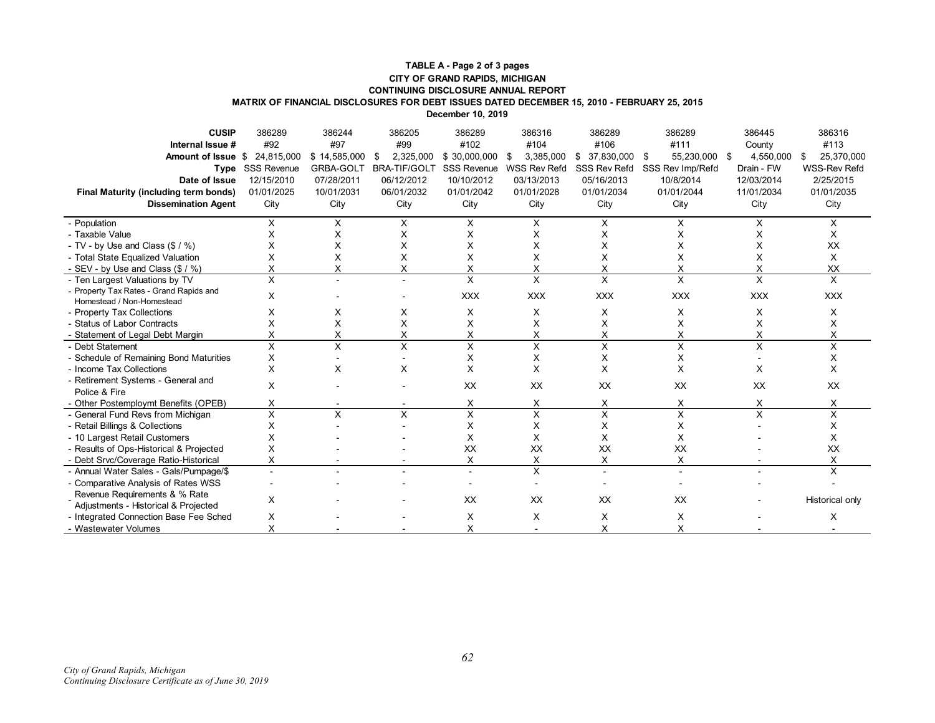#### **TABLE A - Page 2 of 3 pages CITY OF GRAND RAPIDS, MICHIGAN CONTINUING DISCLOSURE ANNUAL REPORT MATRIX OF FINANCIAL DISCLOSURES FOR DEBT ISSUES DATED DECEMBER 15, 2010 - FEBRUARY 25, 2015**

**December 10, 2019**

| <b>CUSIP</b>                                                         | 386289           | 386244       | 386205              | 386289                  | 386316                  | 386289           | 386289           | 386445                  | 386316              |
|----------------------------------------------------------------------|------------------|--------------|---------------------|-------------------------|-------------------------|------------------|------------------|-------------------------|---------------------|
| Internal Issue #                                                     | #92              | #97          | #99                 | #102                    | #104                    | #106             | #111             | County                  | #113                |
| <b>Amount of Issue</b>                                               | \$ 24.815.000    | \$14,585,000 | 2,325,000<br>\$     | \$30,000,000            | 3,385,000<br>\$         | $$37.830.000$ \$ | 55,230,000       | 4,550,000<br>- \$       | 25,370,000<br>S     |
|                                                                      | Type SSS Revenue | GRBA-GOLT    | <b>BRA-TIF/GOLT</b> | <b>SSS Revenue</b>      | <b>WSS Rev Refd</b>     | SSS Rev Refd     | SSS Rev Imp/Refd | Drain - FW              | <b>WSS-Rev Refd</b> |
| Date of Issue                                                        | 12/15/2010       | 07/28/2011   | 06/12/2012          | 10/10/2012              | 03/13/2013              | 05/16/2013       | 10/8/2014        | 12/03/2014              | 2/25/2015           |
| Final Maturity (including term bonds)                                | 01/01/2025       | 10/01/2031   | 06/01/2032          | 01/01/2042              | 01/01/2028              | 01/01/2034       | 01/01/2044       | 11/01/2034              | 01/01/2035          |
| <b>Dissemination Agent</b>                                           | City             | City         | City                | City                    | City                    | City             | City             | City                    | City                |
| - Population                                                         | X                | X            | X                   | X                       | X                       | X                | X                | X                       | X                   |
| - Taxable Value                                                      | X                | Х            | Х                   | X                       | X                       | Χ                | X                | X                       | X                   |
| - TV - by Use and Class (\$ / %)                                     |                  | Х            | X                   | Χ                       | X                       | Χ                | X                | X                       | XX                  |
| - Total State Equalized Valuation                                    | X                | X            | X                   | X                       | X                       | X                | X                | X                       | X                   |
| - SEV - by Use and Class (\$ / %)                                    | X                | X            | X                   | Χ                       | X                       | X                | X                | X                       | XX                  |
| - Ten Largest Valuations by TV                                       | $\times$         |              |                     | $\overline{\mathsf{x}}$ | $\overline{\mathsf{x}}$ | $\overline{x}$   | X                | $\overline{\mathsf{x}}$ | $\times$            |
| - Property Tax Rates - Grand Rapids and<br>Homestead / Non-Homestead | X                |              |                     | <b>XXX</b>              | <b>XXX</b>              | <b>XXX</b>       | <b>XXX</b>       | <b>XXX</b>              | <b>XXX</b>          |
| - Property Tax Collections                                           | X                | X            | X                   | X                       | X                       | Χ                | X                | X                       | X                   |
| - Status of Labor Contracts                                          | X                | X            | X                   | X                       | X                       | X                | X                | X                       | X                   |
| - Statement of Legal Debt Margin                                     | Χ                | X            | X                   | Χ                       | X                       | X                | X                | X                       | Χ                   |
| - Debt Statement                                                     | X                | X            | X                   | X                       | X                       | X                | X                | X                       | X                   |
| - Schedule of Remaining Bond Maturities                              | X                |              |                     | X                       | X                       | X                | X                |                         | X                   |
| - Income Tax Collections                                             | X                | X            | X                   | X                       | X                       | X                | X                | X                       | X                   |
| - Retirement Systems - General and<br>Police & Fire                  | X                |              |                     | <b>XX</b>               | XX                      | XX               | XX               | XX                      | XX                  |
| - Other Postemploymt Benefits (OPEB)                                 | X                |              |                     | X                       | X                       | Χ                | X                | X                       | X                   |
| - General Fund Revs from Michigan                                    | X                | X            | X                   | X                       | $\times$                | X                | X                | X                       | X                   |
| - Retail Billings & Collections                                      | x                |              |                     | X                       | X                       | X                | X                |                         | X                   |
| - 10 Largest Retail Customers                                        | X                |              |                     | X                       | X                       | X                | X.               |                         | X                   |
| - Results of Ops-Historical & Projected                              | X                |              |                     | XX                      | XX                      | XX               | XX               |                         | XX                  |
| - Debt Srvc/Coverage Ratio-Historical                                | X                |              |                     | X                       | X                       | X                | X                |                         | Χ                   |
| - Annual Water Sales - Gals/Pumpage/\$                               |                  |              |                     |                         | X                       |                  |                  |                         | X                   |
| - Comparative Analysis of Rates WSS                                  |                  |              |                     |                         |                         |                  |                  |                         |                     |
| Revenue Requirements & % Rate                                        | X                |              |                     | XX                      | XX                      | XX               | XX               |                         | Historical only     |
| Adjustments - Historical & Projected                                 |                  |              |                     |                         |                         |                  |                  |                         |                     |
| - Integrated Connection Base Fee Sched                               | X                |              |                     | х                       | Х                       | х                | X                |                         | х                   |
| - Wastewater Volumes                                                 | X                |              |                     | X                       |                         | Χ                | X                |                         |                     |